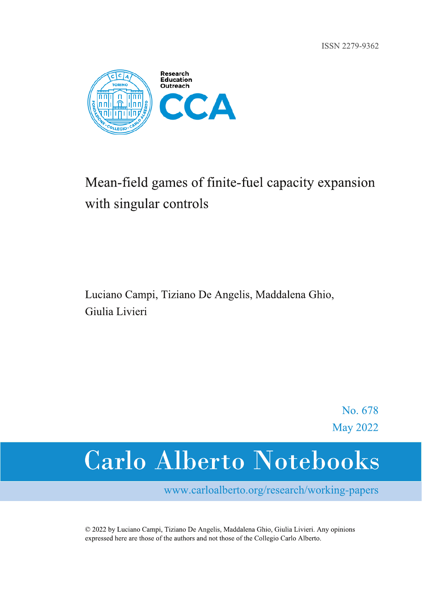ISSN 2279-9362



## Mean-field games of finite-fuel capacity expansion with singular controls

Luciano Campi, Tiziano De Angelis, Maddalena Ghio, Giulia Livieri

> No. 678 **May 2022**

# **Carlo Alberto Notebooks**

www.carloalberto.org/research/working-papers

© 2022 by Luciano Campi, Tiziano De Angelis, Maddalena Ghio, Giulia Livieri. Any opinions expressed here are those of the authors and not those of the Collegio Carlo Alberto.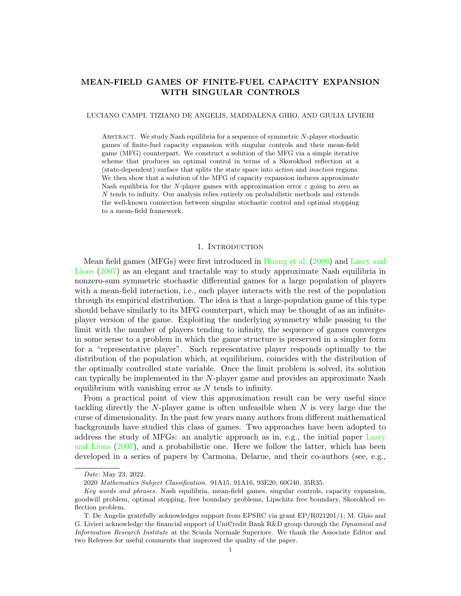### MEAN-FIELD GAMES OF FINITE-FUEL CAPACITY EXPANSION WITH SINGULAR CONTROLS

#### LUCIANO CAMPI, TIZIANO DE ANGELIS, MADDALENA GHIO, AND GIULIA LIVIERI

ABSTRACT. We study Nash equilibria for a sequence of symmetric N-player stochastic games of finite-fuel capacity expansion with singular controls and their mean-field game (MFG) counterpart. We construct a solution of the MFG via a simple iterative scheme that produces an optimal control in terms of a Skorokhod reflection at a (state-dependent) surface that splits the state space into action and inaction regions. We then show that a solution of the MFG of capacity expansion induces approximate Nash equilibria for the N-player games with approximation error  $\varepsilon$  going to zero as N tends to infinity. Our analysis relies entirely on probabilistic methods and extends the well-known connection between singular stochastic control and optimal stopping to a mean-field framework.

#### 1. INTRODUCTION

Mean field games (MFGs) were first introduced in [Huang et al.](#page-44-0) [\(2006\)](#page-44-0) and [Lasry and](#page-45-0) [Lions](#page-45-0) [\(2007\)](#page-45-0) as an elegant and tractable way to study approximate Nash equilibria in nonzero-sum symmetric stochastic differential games for a large population of players with a mean-field interaction, i.e., each player interacts with the rest of the population through its empirical distribution. The idea is that a large-population game of this type should behave similarly to its MFG counterpart, which may be thought of as an infiniteplayer version of the game. Exploiting the underlying symmetry while passing to the limit with the number of players tending to infinity, the sequence of games converges in some sense to a problem in which the game structure is preserved in a simpler form for a "representative player". Such representative player responds optimally to the distribution of the population which, at equilibrium, coincides with the distribution of the optimally controlled state variable. Once the limit problem is solved, its solution can typically be implemented in the N-player game and provides an approximate Nash equilibrium with vanishing error as  $N$  tends to infinity.

From a practical point of view this approximation result can be very useful since tackling directly the  $N$ -player game is often unfeasible when  $N$  is very large due the curse of dimensionality. In the past few years many authors from different mathematical backgrounds have studied this class of games. Two approaches have been adopted to address the study of MFGs: an analytic approach as in, e.g., the initial paper [Lasry](#page-45-0) [and Lions](#page-45-0) [\(2007\)](#page-45-0), and a probabilistic one. Here we follow the latter, which has been developed in a series of papers by Carmona, Delarue, and their co-authors (see, e.g.,

Date: May 23, 2022.

<sup>2020</sup> Mathematics Subject Classification. 91A15, 91A16, 93E20, 60G40, 35R35.

Key words and phrases. Nash equilibria, mean-field games, singular controls, capacity expansion, goodwill problem, optimal stopping, free boundary problems, Lipschitz free boundary, Skorokhod reflection problem.

T. De Angelis gratefully acknowledges support from EPSRC via grant EP/R021201/1; M. Ghio and G. Livieri acknowledge the financial support of UniCredit Bank R&D group through the Dynamical and Information Research Institute at the Scuola Normale Superiore. We thank the Associate Editor and two Referees for useful comments that improved the quality of the paper.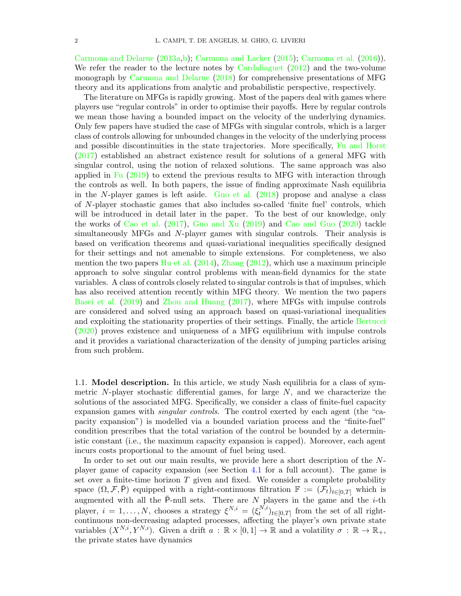[Carmona and Delarue](#page-44-1) [\(2013a,](#page-44-1)[b\)](#page-44-2); [Carmona and Lacker](#page-44-3) [\(2015\)](#page-44-3); [Carmona et al.](#page-44-4) [\(2016\)](#page-44-4)). We refer the reader to the lecture notes by [Cardaliaguet](#page-43-0) [\(2012\)](#page-43-0) and the two-volume monograph by [Carmona and Delarue](#page-44-5) [\(2018\)](#page-44-5) for comprehensive presentations of MFG theory and its applications from analytic and probabilistic perspective, respectively.

The literature on MFGs is rapidly growing. Most of the papers deal with games where players use "regular controls" in order to optimise their payoffs. Here by regular controls we mean those having a bounded impact on the velocity of the underlying dynamics. Only few papers have studied the case of MFGs with singular controls, which is a larger class of controls allowing for unbounded changes in the velocity of the underlying process and possible discontinuities in the state trajectories. More specifically, [Fu and Horst](#page-44-6) [\(2017\)](#page-44-6) established an abstract existence result for solutions of a general MFG with singular control, using the notion of relaxed solutions. The same approach was also applied in [Fu](#page-44-7) [\(2019\)](#page-44-7) to extend the previous results to MFG with interaction through the controls as well. In both papers, the issue of finding approximate Nash equilibria in the N-player games is left aside. [Guo et al.](#page-44-8) [\(2018\)](#page-44-8) propose and analyse a class of N-player stochastic games that also includes so-called 'finite fuel' controls, which will be introduced in detail later in the paper. To the best of our knowledge, only the works of [Cao et al.](#page-43-1) [\(2017\)](#page-43-1), [Guo and Xu](#page-44-9) [\(2019\)](#page-44-9) and [Cao and Guo](#page-43-2) [\(2020\)](#page-43-2) tackle simultaneously MFGs and N-player games with singular controls. Their analysis is based on verification theorems and quasi-variational inequalities specifically designed for their settings and not amenable to simple extensions. For completeness, we also mention the two papers [Hu et al.](#page-44-10)  $(2014)$ , [Zhang](#page-45-1)  $(2012)$ , which use a maximum principle approach to solve singular control problems with mean-field dynamics for the state variables. A class of controls closely related to singular controls is that of impulses, which has also received attention recently within MFG theory. We mention the two papers [Basei et al.](#page-43-3) [\(2019\)](#page-43-3) and [Zhou and Huang](#page-45-2) [\(2017\)](#page-45-2), where MFGs with impulse controls are considered and solved using an approach based on quasi-variational inequalities and exploiting the stationarity properties of their settings. Finally, the article [Bertucci](#page-43-4) [\(2020\)](#page-43-4) proves existence and uniqueness of a MFG equilibrium with impulse controls and it provides a variational characterization of the density of jumping particles arising from such problem.

<span id="page-2-0"></span>1.1. Model description. In this article, we study Nash equilibria for a class of symmetric  $N$ -player stochastic differential games, for large  $N$ , and we characterize the solutions of the associated MFG. Specifically, we consider a class of finite-fuel capacity expansion games with singular controls. The control exerted by each agent (the "capacity expansion") is modelled via a bounded variation process and the "finite-fuel" condition prescribes that the total variation of the control be bounded by a deterministic constant (i.e., the maximum capacity expansion is capped). Moreover, each agent incurs costs proportional to the amount of fuel being used.

In order to set out our main results, we provide here a short description of the Nplayer game of capacity expansion (see Section [4.1](#page-24-0) for a full account). The game is set over a finite-time horizon  $T$  given and fixed. We consider a complete probability space  $(\Omega, \mathcal{F}, \bar{P})$  equipped with a right-continuous filtration  $\mathbb{F} := (\mathcal{F}_t)_{t \in [0,T]}$  which is augmented with all the  $\bar{P}$ -null sets. There are N players in the game and the *i*-th player,  $i = 1, ..., N$ , chooses a strategy  $\xi^{N,i} = (\xi_i^{N,i})$  $(t^{N,t})_{t\in[0,T]}$  from the set of all rightcontinuous non-decreasing adapted processes, affecting the player's own private state variables  $(X^{N,i}, Y^{N,i})$ . Given a drift  $a : \mathbb{R} \times [0,1] \to \mathbb{R}$  and a volatility  $\sigma : \mathbb{R} \to \mathbb{R}_+$ , the private states have dynamics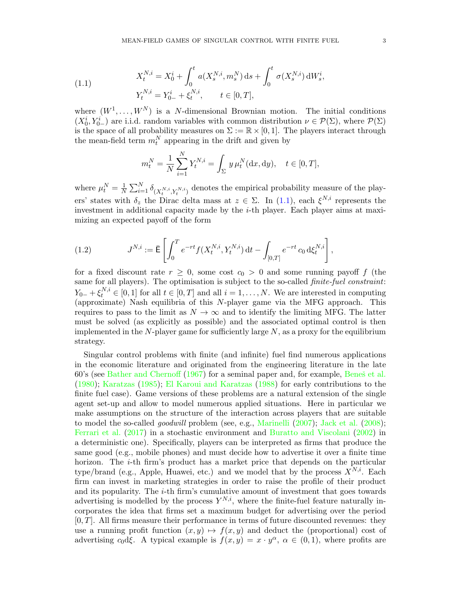<span id="page-3-0"></span>(1.1) 
$$
X_t^{N,i} = X_0^i + \int_0^t a(X_s^{N,i}, m_s^N) ds + \int_0^t \sigma(X_s^{N,i}) dW_s^i,
$$

$$
Y_t^{N,i} = Y_{0-}^i + \xi_t^{N,i}, \qquad t \in [0, T],
$$

where  $(W^1, \ldots, W^N)$  is a N-dimensional Brownian motion. The initial conditions  $(X_0^i, Y_{0-}^i)$  are i.i.d. random variables with common distribution  $\nu \in \mathcal{P}(\Sigma)$ , where  $\mathcal{P}(\Sigma)$ is the space of all probability measures on  $\Sigma := \mathbb{R} \times [0,1]$ . The players interact through the mean-field term  $m_t^N$  appearing in the drift and given by

$$
m_t^N = \frac{1}{N} \sum_{i=1}^N Y_t^{N,i} = \int_{\Sigma} y \,\mu_t^N(\mathrm{d}x, \mathrm{d}y), \quad t \in [0, T],
$$

where  $\mu_t^N = \frac{1}{N}$  $\frac{1}{N} \sum_{i=1}^{N} \delta_{(X_t^{N,i}, Y_t^{N,i})}$  denotes the empirical probability measure of the players' states with  $\delta_z$  the Dirac delta mass at  $z \in \Sigma$ . In [\(1.1\)](#page-3-0), each  $\xi^{N,i}$  represents the investment in additional capacity made by the i-th player. Each player aims at maximizing an expected payoff of the form

<span id="page-3-1"></span>(1.2) 
$$
J^{N,i} := \bar{\mathsf{E}} \left[ \int_0^T e^{-rt} f(X_t^{N,i}, Y_t^{N,i}) dt - \int_{[0,T]} e^{-rt} c_0 d\xi_t^{N,i} \right],
$$

for a fixed discount rate  $r \geq 0$ , some cost  $c_0 > 0$  and some running payoff f (the same for all players). The optimisation is subject to the so-called finite-fuel constraint:  $Y_{0-} + \xi_t^{N,i} \in [0,1]$  for all  $t \in [0,T]$  and all  $i = 1,\ldots,N$ . We are interested in computing (approximate) Nash equilibria of this N-player game via the MFG approach. This requires to pass to the limit as  $N \to \infty$  and to identify the limiting MFG. The latter must be solved (as explicitly as possible) and the associated optimal control is then implemented in the  $N$ -player game for sufficiently large  $N$ , as a proxy for the equilibrium strategy.

Singular control problems with finite (and infinite) fuel find numerous applications in the economic literature and originated from the engineering literature in the late 60's (see [Bather and Chernoff](#page-43-5) [\(1967\)](#page-43-5) for a seminal paper and, for example, Benes et al. [\(1980\)](#page-43-6); [Karatzas](#page-45-3) [\(1985\)](#page-45-3); [El Karoui and Karatzas](#page-44-11) [\(1988\)](#page-44-11) for early contributions to the finite fuel case). Game versions of these problems are a natural extension of the single agent set-up and allow to model numerous applied situations. Here in particular we make assumptions on the structure of the interaction across players that are suitable to model the so-called *goodwill* problem (see, e.g., [Marinelli](#page-45-4)  $(2007)$ ; [Jack et al.](#page-44-12)  $(2008)$ ; [Ferrari et al.](#page-44-13) [\(2017\)](#page-44-13) in a stochastic environment and [Buratto and Viscolani](#page-43-7) [\(2002\)](#page-43-7) in a deterministic one). Specifically, players can be interpreted as firms that produce the same good (e.g., mobile phones) and must decide how to advertise it over a finite time horizon. The  $i$ -th firm's product has a market price that depends on the particular type/brand (e.g., Apple, Huawei, etc.) and we model that by the process  $X^{N,i}$ . Each firm can invest in marketing strategies in order to raise the profile of their product and its popularity. The  $i$ -th firm's cumulative amount of investment that goes towards advertising is modelled by the process  $Y^{N,i}$ , where the finite-fuel feature naturally incorporates the idea that firms set a maximum budget for advertising over the period  $[0, T]$ . All firms measure their performance in terms of future discounted revenues: they use a running profit function  $(x, y) \mapsto f(x, y)$  and deduct the (proportional) cost of advertising c<sub>0</sub>dξ. A typical example is  $f(x,y) = x \cdot y^{\alpha}, \alpha \in (0,1)$ , where profits are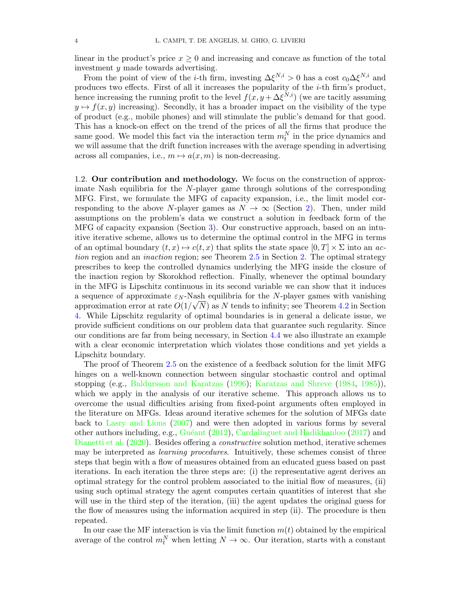linear in the product's price  $x \geq 0$  and increasing and concave as function of the total investment y made towards advertising.

From the point of view of the *i*-th firm, investing  $\Delta \xi^{N,i} > 0$  has a cost  $c_0 \Delta \xi^{N,i}$  and produces two effects. First of all it increases the popularity of the i-th firm's product, hence increasing the running profit to the level  $f(x, y + \Delta \xi^{N,i})$  (we are tacitly assuming  $y \mapsto f(x, y)$  increasing). Secondly, it has a broader impact on the visibility of the type of product (e.g., mobile phones) and will stimulate the public's demand for that good. This has a knock-on effect on the trend of the prices of all the firms that produce the same good. We model this fact via the interaction term  $m_t^N$  in the price dynamics and we will assume that the drift function increases with the average spending in advertising across all companies, i.e.,  $m \mapsto a(x, m)$  is non-decreasing.

1.2. Our contribution and methodology. We focus on the construction of approximate Nash equilibria for the N-player game through solutions of the corresponding MFG. First, we formulate the MFG of capacity expansion, i.e., the limit model corresponding to the above N-player games as  $N \to \infty$  (Section [2\)](#page-6-0). Then, under mild assumptions on the problem's data we construct a solution in feedback form of the MFG of capacity expansion (Section [3\)](#page-11-0). Our constructive approach, based on an intuitive iterative scheme, allows us to determine the optimal control in the MFG in terms of an optimal boundary  $(t, x) \mapsto c(t, x)$  that splits the state space  $[0, T] \times \Sigma$  into an action region and an inaction region; see Theorem [2.5](#page-10-0) in Section [2.](#page-6-0) The optimal strategy prescribes to keep the controlled dynamics underlying the MFG inside the closure of the inaction region by Skorokhod reflection. Finally, whenever the optimal boundary in the MFG is Lipschitz continuous in its second variable we can show that it induces a sequence of approximate  $\varepsilon_N$ -Nash equilibria for the N-player games with vanishing approximation error at rate  $O(1/\sqrt{N})$  as N tends to infinity; see Theorem [4.2](#page-27-0) in Section [4.](#page-24-1) While Lipschitz regularity of optimal boundaries is in general a delicate issue, we provide sufficient conditions on our problem data that guarantee such regularity. Since our conditions are far from being necessary, in Section [4.4](#page-36-0) we also illustrate an example with a clear economic interpretation which violates those conditions and yet yields a Lipschitz boundary.

The proof of Theorem [2.5](#page-10-0) on the existence of a feedback solution for the limit MFG hinges on a well-known connection between singular stochastic control and optimal stopping (e.g., [Baldursson and Karatzas](#page-43-8) [\(1996\)](#page-43-8); [Karatzas and Shreve](#page-45-5) [\(1984,](#page-45-5) [1985\)](#page-45-6)), which we apply in the analysis of our iterative scheme. This approach allows us to overcome the usual difficulties arising from fixed-point arguments often employed in the literature on MFGs. Ideas around iterative schemes for the solution of MFGs date back to [Lasry and Lions](#page-45-0) [\(2007\)](#page-45-0) and were then adopted in various forms by several other authors including, e.g., [Gu´eant](#page-44-14) [\(2012\)](#page-44-14), [Cardaliaguet and Hadikhanloo](#page-44-15) [\(2017\)](#page-44-15) and [Dianetti et al.](#page-44-16) [\(2020\)](#page-44-16). Besides offering a *constructive* solution method, iterative schemes may be interpreted as learning procedures. Intuitively, these schemes consist of three steps that begin with a flow of measures obtained from an educated guess based on past iterations. In each iteration the three steps are: (i) the representative agent derives an optimal strategy for the control problem associated to the initial flow of measures, (ii) using such optimal strategy the agent computes certain quantities of interest that she will use in the third step of the iteration, (iii) the agent updates the original guess for the flow of measures using the information acquired in step (ii). The procedure is then repeated.

In our case the MF interaction is via the limit function  $m(t)$  obtained by the empirical average of the control  $m_t^N$  when letting  $N \to \infty$ . Our iteration, starts with a constant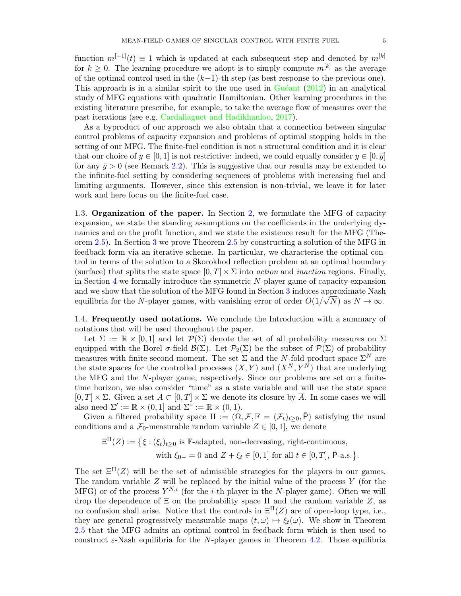function  $m^{[-1]}(t) \equiv 1$  which is updated at each subsequent step and denoted by  $m^{[k]}$ for  $k > 0$ . The learning procedure we adopt is to simply compute  $m^{[k]}$  as the average of the optimal control used in the  $(k-1)$ -th step (as best response to the previous one). This approach is in a similar spirit to the one used in  $Guéant$  [\(2012\)](#page-44-14) in an analytical study of MFG equations with quadratic Hamiltonian. Other learning procedures in the existing literature prescribe, for example, to take the average flow of measures over the past iterations (see e.g. [Cardaliaguet and Hadikhanloo,](#page-44-15) [2017\)](#page-44-15).

As a byproduct of our approach we also obtain that a connection between singular control problems of capacity expansion and problems of optimal stopping holds in the setting of our MFG. The finite-fuel condition is not a structural condition and it is clear that our choice of  $y \in [0, 1]$  is not restrictive: indeed, we could equally consider  $y \in [0, \bar{y}]$ for any  $\bar{y} > 0$  (see Remark [2.2\)](#page-6-1). This is suggestive that our results may be extended to the infinite-fuel setting by considering sequences of problems with increasing fuel and limiting arguments. However, since this extension is non-trivial, we leave it for later work and here focus on the finite-fuel case.

1.3. Organization of the paper. In Section [2,](#page-6-0) we formulate the MFG of capacity expansion, we state the standing assumptions on the coefficients in the underlying dynamics and on the profit function, and we state the existence result for the MFG (Theorem [2.5\)](#page-10-0). In Section [3](#page-11-0) we prove Theorem [2.5](#page-10-0) by constructing a solution of the MFG in feedback form via an iterative scheme. In particular, we characterise the optimal control in terms of the solution to a Skorokhod reflection problem at an optimal boundary (surface) that splits the state space  $[0, T] \times \Sigma$  into *action* and *inaction* regions. Finally, in Section [4](#page-24-1) we formally introduce the symmetric  $N$ -player game of capacity expansion and we show that the solution of the MFG found in Section [3](#page-11-0) induces approximate Nash equilibria for the N-player games, with vanishing error of order  $O(1/\sqrt{N})$  as  $N \to \infty$ .

<span id="page-5-0"></span>1.4. Frequently used notations. We conclude the Introduction with a summary of notations that will be used throughout the paper.

Let  $\Sigma := \mathbb{R} \times [0,1]$  and let  $\mathcal{P}(\Sigma)$  denote the set of all probability measures on  $\Sigma$ equipped with the Borel  $\sigma$ -field  $\mathcal{B}(\Sigma)$ . Let  $\mathcal{P}_2(\Sigma)$  be the subset of  $\mathcal{P}(\Sigma)$  of probability measures with finite second moment. The set  $\Sigma$  and the N-fold product space  $\Sigma^N$  are the state spaces for the controlled processes  $(X, Y)$  and  $(X^N, Y^N)$  that are underlying the MFG and the N-player game, respectively. Since our problems are set on a finitetime horizon, we also consider "time" as a state variable and will use the state space  $[0, T] \times \Sigma$ . Given a set  $A \subset [0, T] \times \Sigma$  we denote its closure by  $\overline{A}$ . In some cases we will also need  $\Sigma' := \mathbb{R} \times (0, 1]$  and  $\Sigma^{\circ} := \mathbb{R} \times (0, 1)$ .

Given a filtered probability space  $\Pi := (\Omega, \mathcal{F}, \mathbb{F} = (\mathcal{F}_t)_{t>0}, \bar{P})$  satisfying the usual conditions and a  $\mathcal{F}_0$ -measurable random variable  $Z \in [0,1]$ , we denote

 $\Xi^{\Pi}(Z) := \{ \xi : (\xi_t)_{t \geq 0} \text{ is } \mathbb{F}\text{-adapted, non-decreasing, right-continuous, }$ with  $\xi_{0-} = 0$  and  $Z + \xi_t \in [0,1]$  for all  $t \in [0,T]$ ,  $\bar{P}$ -a.s. $\}$ .

The set  $\Xi^{\Pi}(Z)$  will be the set of admissible strategies for the players in our games. The random variable  $Z$  will be replaced by the initial value of the process  $Y$  (for the MFG) or of the process  $Y^{N,i}$  (for the *i*-th player in the N-player game). Often we will drop the dependence of  $\Xi$  on the probability space  $\Pi$  and the random variable Z, as no confusion shall arise. Notice that the controls in  $\Xi^{\Pi}(Z)$  are of open-loop type, i.e., they are general progressively measurable maps  $(t, \omega) \mapsto \xi_t(\omega)$ . We show in Theorem [2.5](#page-10-0) that the MFG admits an optimal control in feedback form which is then used to construct  $\varepsilon$ -Nash equilibria for the N-player games in Theorem [4.2.](#page-27-0) Those equilibria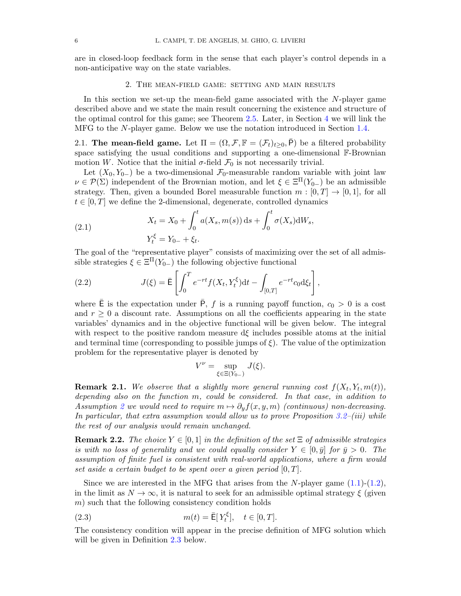are in closed-loop feedback form in the sense that each player's control depends in a non-anticipative way on the state variables.

#### 2. The mean-field game: setting and main results

<span id="page-6-0"></span>In this section we set-up the mean-field game associated with the  $N$ -player game described above and we state the main result concerning the existence and structure of the optimal control for this game; see Theorem [2.5.](#page-10-0) Later, in Section [4](#page-24-1) we will link the MFG to the N-player game. Below we use the notation introduced in Section [1.4.](#page-5-0)

<span id="page-6-5"></span>2.1. The mean-field game. Let  $\Pi = (\Omega, \mathcal{F}, \mathbb{F} = (\mathcal{F}_t)_{t>0}, P)$  be a filtered probability space satisfying the usual conditions and supporting a one-dimensional F-Brownian motion W. Notice that the initial  $\sigma$ -field  $\mathcal{F}_0$  is not necessarily trivial.

Let  $(X_0, Y_0)$  be a two-dimensional  $\mathcal{F}_0$ -measurable random variable with joint law  $\nu \in \mathcal{P}(\Sigma)$  independent of the Brownian motion, and let  $\xi \in \Xi^{\Pi}(Y_{0-})$  be an admissible strategy. Then, given a bounded Borel measurable function  $m : [0, T] \rightarrow [0, 1]$ , for all  $t \in [0, T]$  we define the 2-dimensional, degenerate, controlled dynamics

<span id="page-6-2"></span>(2.1) 
$$
X_t = X_0 + \int_0^t a(X_s, m(s)) ds + \int_0^t \sigma(X_s) dW_s,
$$

$$
Y_t^{\xi} = Y_{0-} + \xi_t.
$$

The goal of the "representative player" consists of maximizing over the set of all admissible strategies  $\xi \in \Xi^{\Pi}(Y_{0-})$  the following objective functional

<span id="page-6-4"></span>(2.2) 
$$
J(\xi) = \bar{\mathsf{E}} \left[ \int_0^T e^{-rt} f(X_t, Y_t^{\xi}) dt - \int_{[0,T]} e^{-rt} c_0 d\xi_t \right],
$$

where  $\bar{\mathsf{E}}$  is the expectation under  $\bar{\mathsf{P}}, f$  is a running payoff function,  $c_0 > 0$  is a cost and  $r \geq 0$  a discount rate. Assumptions on all the coefficients appearing in the state variables' dynamics and in the objective functional will be given below. The integral with respect to the positive random measure  $d\xi$  includes possible atoms at the initial and terminal time (corresponding to possible jumps of  $\xi$ ). The value of the optimization problem for the representative player is denoted by

$$
V^{\nu} = \sup_{\xi \in \Xi(Y_{0-})} J(\xi).
$$

**Remark 2.1.** We observe that a slightly more general running cost  $f(X_t, Y_t, m(t))$ , depending also on the function m, could be considered. In that case, in addition to Assumption [2](#page-10-1) we would need to require  $m \mapsto \partial_y f(x, y, m)$  (continuous) non-decreasing. In particular, that extra assumption would allow us to prove Proposition  $3.2-(iii)$  while the rest of our analysis would remain unchanged.

<span id="page-6-1"></span>**Remark 2.2.** The choice  $Y \in [0,1]$  in the definition of the set  $\Xi$  of admissible strategies is with no loss of generality and we could equally consider  $Y \in [0, \bar{y}]$  for  $\bar{y} > 0$ . The assumption of finite fuel is consistent with real-world applications, where a firm would set aside a certain budget to be spent over a given period  $[0, T]$ .

Since we are interested in the MFG that arises from the N-player game  $(1.1)-(1.2)$  $(1.1)-(1.2)$  $(1.1)-(1.2)$ , in the limit as  $N \to \infty$ , it is natural to seek for an admissible optimal strategy  $\xi$  (given  $m$ ) such that the following consistency condition holds

<span id="page-6-3"></span>(2.3) 
$$
m(t) = \overline{E}[Y_t^{\xi}], \quad t \in [0, T].
$$

The consistency condition will appear in the precise definition of MFG solution which will be given in Definition [2.3](#page-8-0) below.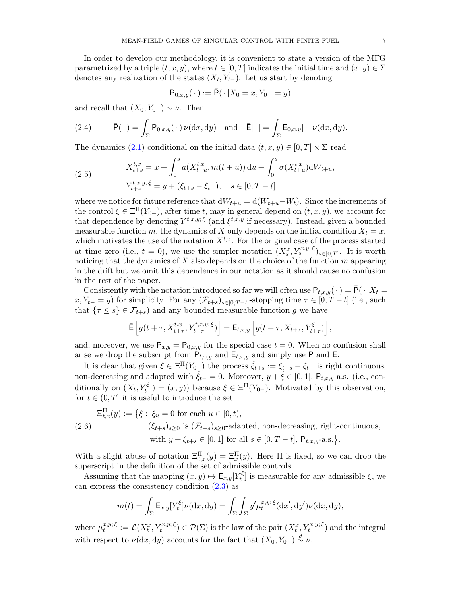In order to develop our methodology, it is convenient to state a version of the MFG parametrized by a triple  $(t, x, y)$ , where  $t \in [0, T]$  indicates the initial time and  $(x, y) \in \Sigma$ denotes any realization of the states  $(X_t, Y_{t-})$ . Let us start by denoting

$$
P_{0,x,y}(\cdot) := \bar{P}(\cdot | X_0 = x, Y_{0-} = y)
$$

and recall that  $(X_0, Y_{0-}) \sim \nu$ . Then

<span id="page-7-1"></span>(2.4) 
$$
\bar{P}(\cdot) = \int_{\Sigma} P_{0,x,y}(\cdot) \nu(dx,dy) \text{ and } \bar{E}[\cdot] = \int_{\Sigma} E_{0,x,y}[\cdot] \nu(dx,dy).
$$

The dynamics [\(2.1\)](#page-6-2) conditional on the initial data  $(t, x, y) \in [0, T] \times \Sigma$  read

<span id="page-7-0"></span>(2.5) 
$$
X_{t+s}^{t,x} = x + \int_0^s a(X_{t+u}^{t,x}, m(t+u)) du + \int_0^s \sigma(X_{t+u}^{t,x}) dW_{t+u},
$$

$$
Y_{t+s}^{t,x,y;\xi} = y + (\xi_{t+s} - \xi_{t-}), \quad s \in [0, T - t],
$$

where we notice for future reference that  $dW_{t+u} = d(W_{t+u} - W_t)$ . Since the increments of the control  $\xi \in \Xi^{\Pi}(Y_{0-})$ , after time t, may in general depend on  $(t, x, y)$ , we account for that dependence by denoting  $Y^{t,x,y;\xi}$  (and  $\xi^{t,x,y}$  if necessary). Instead, given a bounded measurable function m, the dynamics of X only depends on the initial condition  $X_t = x$ , which motivates the use of the notation  $X^{t,x}$ . For the original case of the process started at time zero (i.e.,  $t = 0$ ), we use the simpler notation  $(X_s^x, Y_s^{x,y;\xi})_{s \in [0,T]}$ . It is worth noticing that the dynamics of  $X$  also depends on the choice of the function  $m$  appearing in the drift but we omit this dependence in our notation as it should cause no confusion in the rest of the paper.

Consistently with the notation introduced so far we will often use  $P_{t,x,y}(\cdot) = \overline{P}(\cdot | X_t =$  $x, Y_{t-} = y$ ) for simplicity. For any  $(\mathcal{F}_{t+s})_{s \in [0,T-t]}$ -stopping time  $\tau \in [0,T-t]$  (i.e., such that  $\{\tau \leq s\} \in \mathcal{F}_{t+s}$  and any bounded measurable function g we have

$$
\bar{\mathsf{E}}\left[g(t+\tau,X^{t,x}_{t+\tau},Y^{t,x,y;\xi}_{t+\tau})\right] = \mathsf{E}_{t,x,y}\left[g(t+\tau,X_{t+\tau},Y^{\xi}_{t+\tau})\right],
$$

and, moreover, we use  $P_{x,y} = P_{0,x,y}$  for the special case  $t = 0$ . When no confusion shall arise we drop the subscript from  $P_{t,x,y}$  and  $E_{t,x,y}$  and simply use P and E.

It is clear that given  $\xi \in \Xi^{\Pi}(Y_{0-})$  the process  $\hat{\xi}_{t+s} := \xi_{t+s} - \xi_{t-}$  is right continuous, non-decreasing and adapted with  $\hat{\xi}_{t-} = 0$ . Moreover,  $y + \hat{\xi} \in [0, 1]$ ,  $\mathsf{P}_{t,x,y}$  a.s. (i.e., conditionally on  $(X_t, Y_{t-}^{\xi}) = (x, y)$  because  $\xi \in \Xi^{\Pi}(Y_{0-})$ . Motivated by this observation, for  $t \in (0, T]$  it is useful to introduce the set

<span id="page-7-2"></span>
$$
\Xi_{t,x}^{\Pi}(y) := \left\{ \xi : \xi_u = 0 \text{ for each } u \in [0, t), \right\}
$$
  
(2.6) 
$$
(\xi_{t+s})_{s \ge 0} \text{ is } (\mathcal{F}_{t+s})_{s \ge 0} \text{-adapted, non-decreasing, right-continuous,}
$$
  
with  $y + \xi_{t+s} \in [0, 1]$  for all  $s \in [0, T - t]$ ,  $P_{t,x,y} \text{-a.s.} \right\}.$ 

With a slight abuse of notation  $\Xi_{0,x}^{\Pi}(y) = \Xi_x^{\Pi}(y)$ . Here  $\Pi$  is fixed, so we can drop the superscript in the definition of the set of admissible controls.

Assuming that the mapping  $(x, y) \mapsto \mathsf{E}_{x,y}[Y_t^{\xi}]$  $\mathcal{E}_t^{\xi}$  is measurable for any admissible  $\xi$ , we can express the consistency condition [\(2.3\)](#page-6-3) as

$$
m(t) = \int_{\Sigma} \mathsf{E}_{x,y} [Y_t^{\xi}] \nu(\mathrm{d}x, \mathrm{d}y) = \int_{\Sigma} \int_{\Sigma} y' \mu_t^{x,y;\xi} (\mathrm{d}x', \mathrm{d}y') \nu(\mathrm{d}x, \mathrm{d}y),
$$

where  $\mu_t^{x,y;\,\xi}$  $\mathcal{L}^{x,y;\xi}_{t} := \mathcal{L}(X_t^x, Y_t^{x,y;\xi}) \in \mathcal{P}(\Sigma)$  is the law of the pair  $(X_t^x, Y_t^{x,y;\xi})$  and the integral with respect to  $\nu(\mathrm{d}x, \mathrm{d}y)$  accounts for the fact that  $(X_0, Y_{0-}) \stackrel{d}{\sim} \nu$ .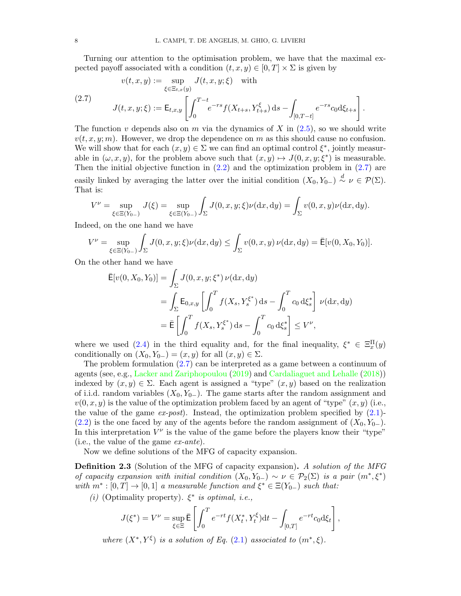Turning our attention to the optimisation problem, we have that the maximal expected payoff associated with a condition  $(t, x, y) \in [0, T] \times \Sigma$  is given by

<span id="page-8-1"></span>
$$
v(t, x, y) := \sup_{\xi \in \Xi_{t, x}(y)} J(t, x, y; \xi) \quad \text{with}
$$
\n
$$
(2.7)
$$
\n
$$
J(t, x, y; \xi) := \mathsf{E}_{t, x, y} \left[ \int_0^{T-t} e^{-rs} f(X_{t+s}, Y_{t+s}^{\xi}) \, \mathrm{d} s - \int_{[0, T-t]} e^{-rs} c_0 \mathrm{d} \xi_{t+s} \right].
$$

The function v depends also on m via the dynamics of X in  $(2.5)$ , so we should write  $v(t, x, y; m)$ . However, we drop the dependence on m as this should cause no confusion. We will show that for each  $(x, y) \in \Sigma$  we can find an optimal control  $\xi^*$ , jointly measurable in  $(\omega, x, y)$ , for the problem above such that  $(x, y) \mapsto J(0, x, y; \xi^*)$  is measurable. Then the initial objective function in  $(2.2)$  and the optimization problem in  $(2.7)$  are easily linked by averaging the latter over the initial condition  $(X_0, Y_{0-}) \stackrel{d}{\sim} \nu \in \mathcal{P}(\Sigma)$ . That is:

$$
V^{\nu} = \sup_{\xi \in \Xi(Y_{0-})} J(\xi) = \sup_{\xi \in \Xi(Y_{0-})} \int_{\Sigma} J(0, x, y; \xi) \nu(\mathrm{d}x, \mathrm{d}y) = \int_{\Sigma} v(0, x, y) \nu(\mathrm{d}x, \mathrm{d}y).
$$

Indeed, on the one hand we have

$$
V^{\nu} = \sup_{\xi \in \Xi(Y_{0-})} \int_{\Sigma} J(0, x, y; \xi) \nu(dx, dy) \le \int_{\Sigma} v(0, x, y) \nu(dx, dy) = \bar{\mathsf{E}}[v(0, X_0, Y_0)].
$$

On the other hand we have

$$
\bar{\mathsf{E}}[v(0, X_0, Y_0)] = \int_{\Sigma} J(0, x, y; \xi^*) \nu(\mathrm{d}x, \mathrm{d}y) \n= \int_{\Sigma} \mathsf{E}_{0, x, y} \left[ \int_0^T f(X_s, Y_s^{\xi^*}) \, \mathrm{d}s - \int_0^T c_0 \, \mathrm{d}\xi_s^* \right] \nu(\mathrm{d}x, \mathrm{d}y) \n= \bar{\mathsf{E}} \left[ \int_0^T f(X_s, Y_s^{\xi^*}) \, \mathrm{d}s - \int_0^T c_0 \, \mathrm{d}\xi_s^* \right] \le V^{\nu},
$$

where we used [\(2.4\)](#page-7-1) in the third equality and, for the final inequality,  $\xi^* \in \Xi_x^{\Pi}(y)$ conditionally on  $(X_0, Y_{0-}) = (x, y)$  for all  $(x, y) \in \Sigma$ .

The problem formulation [\(2.7\)](#page-8-1) can be interpreted as a game between a continuum of agents (see, e.g., [Lacker and Zariphopoulou](#page-45-7) [\(2019\)](#page-45-7) and [Cardaliaguet and Lehalle](#page-44-17) [\(2018\)](#page-44-17)) indexed by  $(x, y) \in \Sigma$ . Each agent is assigned a "type"  $(x, y)$  based on the realization of i.i.d. random variables  $(X_0, Y_0)$ . The game starts after the random assignment and  $v(0, x, y)$  is the value of the optimization problem faced by an agent of "type"  $(x, y)$  (i.e., the value of the game  $ex\text{-}post$ . Instead, the optimization problem specified by  $(2.1)$ -[\(2.2\)](#page-6-4) is the one faced by any of the agents before the random assignment of  $(X_0, Y_0_+)$ . In this interpretation  $V^{\nu}$  is the value of the game before the players know their "type" (i.e., the value of the game ex-ante).

Now we define solutions of the MFG of capacity expansion.

<span id="page-8-0"></span>**Definition 2.3** (Solution of the MFG of capacity expansion). A solution of the MFG of capacity expansion with initial condition  $(X_0, Y_{0-}) \sim \nu \in \mathcal{P}_2(\Sigma)$  is a pair  $(m^*, \xi^*)$ with  $m^* : [0, T] \to [0, 1]$  a measurable function and  $\xi^* \in \Xi(Y_{0-})$  such that:

(i) (Optimality property).  $\xi^*$  is optimal, i.e.,

$$
J(\xi^*) = V^{\nu} = \sup_{\xi \in \Xi} \bar{E} \left[ \int_0^T e^{-rt} f(X_t^*, Y_t^{\xi}) dt - \int_{[0,T]} e^{-rt} c_0 d\xi_t \right],
$$

where  $(X^*, Y^{\xi})$  is a solution of Eq. [\(2.1\)](#page-6-2) associated to  $(m^*, \xi)$ .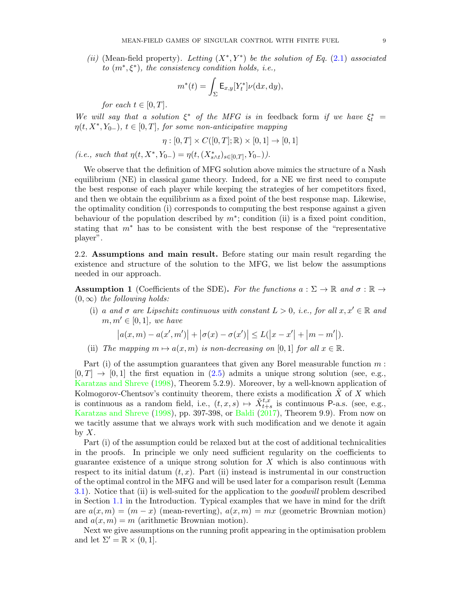(ii) (Mean-field property). Letting  $(X^*, Y^*)$  be the solution of Eq. [\(2.1\)](#page-6-2) associated to  $(m^*, \xi^*)$ , the consistency condition holds, i.e.,

$$
m^*(t) = \int_{\Sigma} \mathsf{E}_{x,y}[Y_t^*] \nu(\mathrm{d}x, \mathrm{d}y),
$$

for each  $t \in [0, T]$ .

We will say that a solution  $\xi^*$  of the MFG is in feedback form if we have  $\xi_t^*$  =  $\eta(t, X^*, Y_{0-}), t \in [0,T],$  for some non-anticipative mapping

$$
\eta : [0, T] \times C([0, T]; \mathbb{R}) \times [0, 1] \to [0, 1]
$$

(i.e., such that  $\eta(t, X^*, Y_{0-}) = \eta(t, (X^*_{s \wedge t})_{s \in [0,T]}, Y_{0-})).$ 

We observe that the definition of MFG solution above mimics the structure of a Nash equilibrium (NE) in classical game theory. Indeed, for a NE we first need to compute the best response of each player while keeping the strategies of her competitors fixed, and then we obtain the equilibrium as a fixed point of the best response map. Likewise, the optimality condition (i) corresponds to computing the best response against a given behaviour of the population described by  $m^*$ ; condition (ii) is a fixed point condition, stating that m<sup>∗</sup> has to be consistent with the best response of the "representative player".

2.2. Assumptions and main result. Before stating our main result regarding the existence and structure of the solution to the MFG, we list below the assumptions needed in our approach.

<span id="page-9-0"></span>**Assumption 1** (Coefficients of the SDE). For the functions  $a : \Sigma \to \mathbb{R}$  and  $\sigma : \mathbb{R} \to$  $(0, \infty)$  the following holds:

(i) a and  $\sigma$  are Lipschitz continuous with constant  $L > 0$ , i.e., for all  $x, x' \in \mathbb{R}$  and  $m, m' \in [0, 1]$ , we have

$$
|a(x,m) - a(x',m')| + |\sigma(x) - \sigma(x')| \le L(|x - x'| + |m - m'|).
$$

(ii) The mapping  $m \mapsto a(x, m)$  is non-decreasing on [0, 1] for all  $x \in \mathbb{R}$ .

Part (i) of the assumption guarantees that given any Borel measurable function  $m$ :  $[0, T] \rightarrow [0, 1]$  the first equation in [\(2.5\)](#page-7-0) admits a unique strong solution (see, e.g., [Karatzas and Shreve](#page-45-8) [\(1998\)](#page-45-8), Theorem 5.2.9). Moreover, by a well-known application of Kolmogorov-Chentsov's continuity theorem, there exists a modification  $\overline{X}$  of  $\overline{X}$  which is continuous as a random field, i.e.,  $(t, x, s) \mapsto \tilde{X}^{t, x}_{t+s}$  is continuous P-a.s. (see, e.g., [Karatzas and Shreve](#page-45-8) [\(1998\)](#page-45-8), pp. 397-398, or [Baldi](#page-43-9) [\(2017\)](#page-43-9), Theorem 9.9). From now on we tacitly assume that we always work with such modification and we denote it again by  $X$ .

Part (i) of the assumption could be relaxed but at the cost of additional technicalities in the proofs. In principle we only need sufficient regularity on the coefficients to guarantee existence of a unique strong solution for  $X$  which is also continuous with respect to its initial datum  $(t, x)$ . Part (ii) instead is instrumental in our construction of the optimal control in the MFG and will be used later for a comparison result (Lemma [3.1\)](#page-13-1). Notice that (ii) is well-suited for the application to the goodwill problem described in Section [1.1](#page-2-0) in the Introduction. Typical examples that we have in mind for the drift are  $a(x, m) = (m - x)$  (mean-reverting),  $a(x, m) = mx$  (geometric Brownian motion) and  $a(x, m) = m$  (arithmetic Brownian motion).

Next we give assumptions on the running profit appearing in the optimisation problem and let  $\Sigma' = \mathbb{R} \times (0, 1].$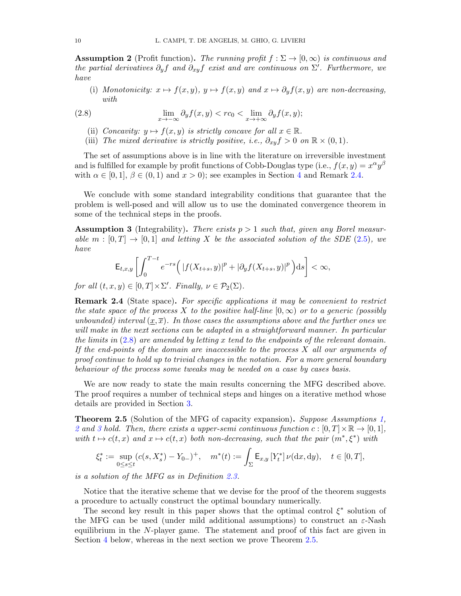<span id="page-10-1"></span>**Assumption 2** (Profit function). The running profit  $f : \Sigma \to [0, \infty)$  is continuous and the partial derivatives  $\partial_y f$  and  $\partial_{xy} f$  exist and are continuous on  $\Sigma'$ . Furthermore, we have

(i) Monotonicity:  $x \mapsto f(x, y), y \mapsto f(x, y)$  and  $x \mapsto \partial_y f(x, y)$  are non-decreasing,  $with$ 

<span id="page-10-3"></span>(2.8) 
$$
\lim_{x \to -\infty} \partial_y f(x, y) < r c_0 < \lim_{x \to +\infty} \partial_y f(x, y);
$$

- (ii) Concavity:  $y \mapsto f(x, y)$  is strictly concave for all  $x \in \mathbb{R}$ .
- (iii) The mixed derivative is strictly positive, i.e.,  $\partial_{xy} f > 0$  on  $\mathbb{R} \times (0,1)$ .

The set of assumptions above is in line with the literature on irreversible investment and is fulfilled for example by profit functions of Cobb-Douglas type (i.e.,  $f(x, y) = x^{\alpha}y^{\beta}$ with  $\alpha \in [0,1], \beta \in (0,1)$  and  $x > 0$ ); see examples in Section [4](#page-24-1) and Remark [2.4.](#page-10-2)

We conclude with some standard integrability conditions that guarantee that the problem is well-posed and will allow us to use the dominated convergence theorem in some of the technical steps in the proofs.

<span id="page-10-4"></span>**Assumption 3** (Integrability). There exists  $p > 1$  such that, given any Borel measurable  $m : [0, T] \rightarrow [0, 1]$  and letting X be the associated solution of the SDE [\(2.5\)](#page-7-0), we have

$$
\mathsf{E}_{t,x,y}\left[\int_0^{T-t} e^{-rs}\Big(\left|f(X_{t+s},y)\right|^p + \left|\partial_y f(X_{t+s},y)\right|^p\Big)ds\right] < \infty,
$$

for all  $(t, x, y) \in [0, T] \times \Sigma'$ . Finally,  $\nu \in \mathcal{P}_2(\Sigma)$ .

<span id="page-10-2"></span>Remark 2.4 (State space). For specific applications it may be convenient to restrict the state space of the process X to the positive half-line  $[0,\infty)$  or to a generic (possibly unbounded) interval  $(x,\overline{x})$ . In those cases the assumptions above and the further ones we will make in the next sections can be adapted in a straightforward manner. In particular the limits in  $(2.8)$  are amended by letting x tend to the endpoints of the relevant domain. If the end-points of the domain are inaccessible to the process  $X$  all our arguments of proof continue to hold up to trivial changes in the notation. For a more general boundary behaviour of the process some tweaks may be needed on a case by cases basis.

We are now ready to state the main results concerning the MFG described above. The proof requires a number of technical steps and hinges on a iterative method whose details are provided in Section [3.](#page-11-0)

<span id="page-10-0"></span>Theorem 2.5 (Solution of the MFG of capacity expansion). Suppose Assumptions [1,](#page-9-0) [2](#page-10-1) and [3](#page-10-4) hold. Then, there exists a upper-semi continuous function  $c : [0, T] \times \mathbb{R} \to [0, 1]$ , with  $t \mapsto c(t, x)$  and  $x \mapsto c(t, x)$  both non-decreasing, such that the pair  $(m^*, \xi^*)$  with

$$
\xi_t^* := \sup_{0 \le s \le t} (c(s, X_s^*) - Y_{0-})^+, \quad m^*(t) := \int_{\Sigma} \mathsf{E}_{x,y} \left[ Y_t^* \right] \nu(\mathrm{d}x, \mathrm{d}y), \quad t \in [0, T],
$$

is a solution of the MFG as in Definition [2.3.](#page-8-0)

Notice that the iterative scheme that we devise for the proof of the theorem suggests a procedure to actually construct the optimal boundary numerically.

The second key result in this paper shows that the optimal control  $\xi^*$  solution of the MFG can be used (under mild additional assumptions) to construct an  $\varepsilon$ -Nash equilibrium in the N-player game. The statement and proof of this fact are given in Section [4](#page-24-1) below, whereas in the next section we prove Theorem [2.5.](#page-10-0)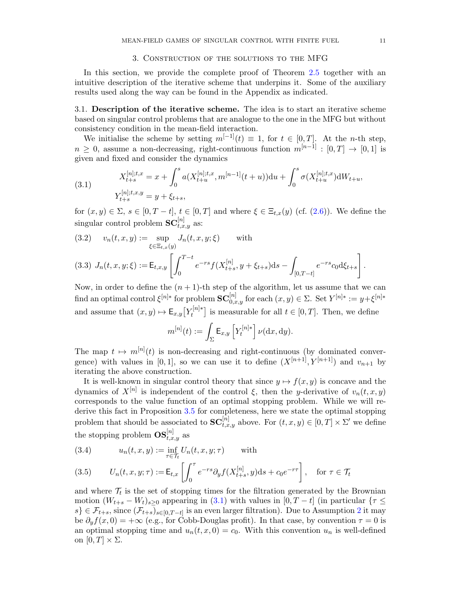#### 3. Construction of the solutions to the MFG

<span id="page-11-0"></span>In this section, we provide the complete proof of Theorem [2.5](#page-10-0) together with an intuitive description of the iterative scheme that underpins it. Some of the auxiliary results used along the way can be found in the Appendix as indicated.

3.1. Description of the iterative scheme. The idea is to start an iterative scheme based on singular control problems that are analogue to the one in the MFG but without consistency condition in the mean-field interaction.

We initialise the scheme by setting  $m^{[-1]}(t) \equiv 1$ , for  $t \in [0, T]$ . At the *n*-th step,  $n \geq 0$ , assume a non-decreasing, right-continuous function  $m^{[n-1]} : [0, T] \rightarrow [0, 1]$  is given and fixed and consider the dynamics

<span id="page-11-1"></span>(3.1) 
$$
X_{t+s}^{[n];t,x} = x + \int_0^s a(X_{t+u}^{[n];t,x}, m^{[n-1]}(t+u))du + \int_0^s \sigma(X_{t+u}^{[n];t,x})dW_{t+u},
$$

$$
Y_{t+s}^{[n];t,x,y} = y + \xi_{t+s},
$$

for  $(x, y) \in \Sigma$ ,  $s \in [0, T - t]$ ,  $t \in [0, T]$  and where  $\xi \in \Xi_{t,x}(y)$  (cf. [\(2.6\)](#page-7-2)). We define the singular control problem  $\mathbf{SC}_{t,x,y}^{[n]}$  as:

<span id="page-11-5"></span><span id="page-11-4"></span>(3.2) 
$$
v_n(t, x, y) := \sup_{\xi \in \Xi_{t,x}(y)} J_n(t, x, y; \xi)
$$
 with  
\n(3.3)  $J_n(t, x, y; \xi) := \mathsf{E}_{t,x,y} \left[ \int_0^{T-t} e^{-rs} f(X_{t+s}^{[n]}, y + \xi_{t+s}) ds - \int_{[0, T-t]} e^{-rs} c_0 d\xi_{t+s} \right].$ 

Now, in order to define the  $(n + 1)$ -th step of the algorithm, let us assume that we can find an optimal control  $\xi^{[n]*}$  for problem  $\mathbf{SC}_{0,x,y}^{[n]}$  for each  $(x,y) \in \Sigma$ . Set  $Y^{[n]*} := y + \xi^{[n]*}$ and assume that  $(x, y) \mapsto \mathsf{E}_{x,y}[Y_t^{[n]*}$  $t_t^{\lfloor n \rfloor *}$  is measurable for all  $t \in [0, T]$ . Then, we define

$$
m^{[n]}(t) := \int_{\Sigma} \mathsf{E}_{x,y} \left[ Y_t^{[n]*} \right] \nu(\mathrm{d}x,\mathrm{d}y).
$$

The map  $t \mapsto m^{[n]}(t)$  is non-decreasing and right-continuous (by dominated convergence) with values in [0, 1], so we can use it to define  $(X^{[n+1]}, Y^{[n+1]})$  and  $v_{n+1}$  by iterating the above construction.

It is well-known in singular control theory that since  $y \mapsto f(x, y)$  is concave and the dynamics of  $X^{[n]}$  is independent of the control  $\xi$ , then the y-derivative of  $v_n(t, x, y)$ corresponds to the value function of an optimal stopping problem. While we will rederive this fact in Proposition [3.5](#page-18-0) for completeness, here we state the optimal stopping problem that should be associated to  $SC_{t,x,y}^{[n]}$  above. For  $(t, x, y) \in [0, T] \times \Sigma'$  we define the stopping problem  $\text{OS}_{t,x,y}^{[n]}$  as

<span id="page-11-2"></span>(3.4) 
$$
u_n(t, x, y) := \inf_{\tau \in \mathcal{T}_t} U_n(t, x, y; \tau) \quad \text{with}
$$

<span id="page-11-3"></span>(3.5) 
$$
U_n(t, x, y; \tau) := \mathsf{E}_{t,x} \left[ \int_0^{\tau} e^{-rs} \partial_y f(X_{t+s}^{[n]}, y) ds + c_0 e^{-r\tau} \right], \text{ for } \tau \in \mathcal{T}_t
$$

and where  $\mathcal{T}_t$  is the set of stopping times for the filtration generated by the Brownian motion  $(W_{t+s} - W_t)_{s>0}$  appearing in [\(3.1\)](#page-11-1) with values in  $[0, T - t]$  (in particular  $\{\tau \leq$  $s\} \in \mathcal{F}_{t+s}$ , since  $(\mathcal{F}_{t+s})_{s\in[0,T-t]}$  is an even larger filtration). Due to Assumption [2](#page-10-1) it may be  $\partial_y f(x,0) = +\infty$  (e.g., for Cobb-Douglas profit). In that case, by convention  $\tau = 0$  is an optimal stopping time and  $u_n(t, x, 0) = c_0$ . With this convention  $u_n$  is well-defined on  $[0, T] \times \Sigma$ .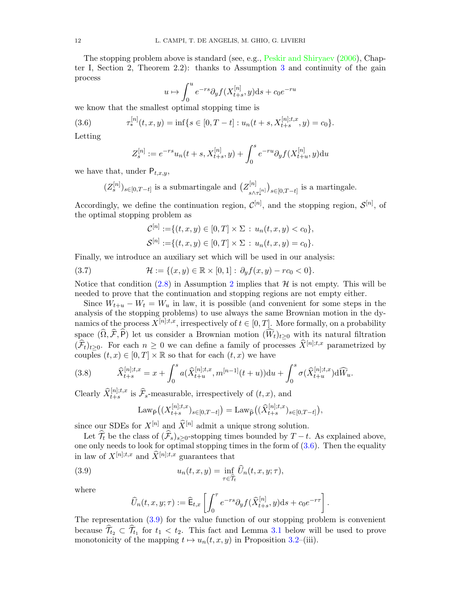The stopping problem above is standard (see, e.g., [Peskir and Shiryaev](#page-45-9) [\(2006\)](#page-45-9), Chapter I, Section 2, Theorem 2.2): thanks to Assumption [3](#page-10-4) and continuity of the gain process

$$
u \mapsto \int_0^u e^{-rs} \partial_y f(X_{t+s}^{[n]}, y) ds + c_0 e^{-ru}
$$

we know that the smallest optimal stopping time is

<span id="page-12-0"></span>(3.6) 
$$
\tau_*^{[n]}(t,x,y) = \inf\{s \in [0,T-t] : u_n(t+s,X_{t+s}^{[n];t,x},y) = c_0\}.
$$

Letting

$$
Z_s^{[n]} := e^{-rs}u_n(t+s, X_{t+s}^{[n]}, y) + \int_0^s e^{-ru} \partial_y f(X_{t+u}^{[n]}, y) \mathrm{d}u
$$

we have that, under  $P_{t,x,y}$ ,

$$
(Z_s^{[n]})_{s \in [0,T-t]}
$$
 is a submartingale and  $(Z_{s \wedge \tau_*^{[n]}}^{[n]})_{s \in [0,T-t]}$  is a martingale.

Accordingly, we define the continuation region,  $\mathcal{C}^{[n]}$ , and the stopping region,  $\mathcal{S}^{[n]}$ , of the optimal stopping problem as

$$
\mathcal{C}^{[n]} := \{ (t, x, y) \in [0, T] \times \Sigma : u_n(t, x, y) < c_0 \},
$$
\n
$$
\mathcal{S}^{[n]} := \{ (t, x, y) \in [0, T] \times \Sigma : u_n(t, x, y) = c_0 \}.
$$

Finally, we introduce an auxiliary set which will be used in our analysis:

<span id="page-12-3"></span>(3.7) 
$$
\mathcal{H} := \{(x, y) \in \mathbb{R} \times [0, 1] : \partial_y f(x, y) - r c_0 < 0\}.
$$

Notice that condition [\(2.8\)](#page-10-3) in Assumption [2](#page-10-1) implies that  $H$  is not empty. This will be needed to prove that the continuation and stopping regions are not empty either.

Since  $W_{t+u} - W_t = W_u$  in law, it is possible (and convenient for some steps in the analysis of the stopping problems) to use always the same Brownian motion in the dynamics of the process  $X^{[n];t,x}$ , irrespectively of  $t \in [0,T]$ . More formally, on a probability space  $(\widehat{\Omega}, \widehat{\mathcal{F}}, \widehat{P})$  let us consider a Brownian motion  $(\widehat{W}_t)_{t\geq0}$  with its natural filtration  $(\widehat{\mathcal{F}}_t)_{t>0}$ . For each  $n \geq 0$  we can define a family of processes  $\widehat{X}^{[n];t,x}$  parametrized by couples  $(t, x) \in [0, T] \times \mathbb{R}$  so that for each  $(t, x)$  we have

<span id="page-12-2"></span>(3.8) 
$$
\widehat{X}_{t+s}^{[n];t,x} = x + \int_0^s a(\widehat{X}_{t+u}^{[n];t,x}, m^{[n-1]}(t+u))du + \int_0^s \sigma(\widehat{X}_{t+u}^{[n];t,x})d\widehat{W}_u.
$$

Clearly  $\widehat{X}_{t+s}^{[n];t,x}$  is  $\widehat{\mathcal{F}}_s$ -measurable, irrespectively of  $(t, x)$ , and

$$
Law_{\bar{P}}((X_{t+s}^{[n];t,x})_{s\in[0,T-t]}) = Law_{\widehat{P}}((\widehat{X}_{t+s}^{[n];t,x})_{s\in[0,T-t]}),
$$

since our SDEs for  $X^{[n]}$  and  $\widehat{X}^{[n]}$  admit a unique strong solution.

Let  $\hat{\mathcal{T}}_t$  be the class of  $(\hat{\mathcal{F}}_s)_{s>0}$ -stopping times bounded by  $T-t$ . As explained above, one only needs to look for optimal stopping times in the form of  $(3.6)$ . Then the equality in law of  $X^{[n];t,x}$  and  $\widehat{X}^{[n];t,x}$  guarantees that

<span id="page-12-1"></span>(3.9) 
$$
u_n(t,x,y) = \inf_{\tau \in \widehat{\mathcal{T}}_t} \widehat{U}_n(t,x,y;\tau),
$$

where

$$
\widehat{U}_n(t,x,y;\tau) := \widehat{\mathsf{E}}_{t,x}\left[\int_0^{\tau} e^{-rs} \partial_y f(\widehat{X}_{t+s}^{[n]},y) \mathrm{d} s + c_0 e^{-r\tau}\right].
$$

The representation [\(3.9\)](#page-12-1) for the value function of our stopping problem is convenient because  $\mathcal{T}_{t_2} \subset \mathcal{T}_{t_1}$  for  $t_1 < t_2$ . This fact and Lemma [3.1](#page-13-1) below will be used to prove monotonicity of the mapping  $t \mapsto u_n(t, x, y)$  in Proposition [3.2–](#page-13-0)(iii).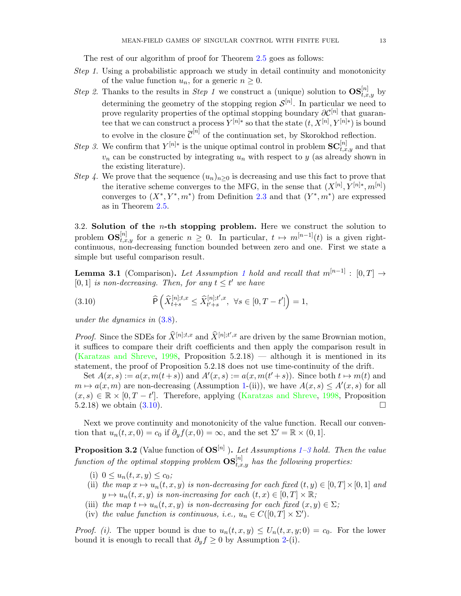The rest of our algorithm of proof for Theorem [2.5](#page-10-0) goes as follows:

- Step 1. Using a probabilistic approach we study in detail continuity and monotonicity of the value function  $u_n$ , for a generic  $n \geq 0$ .
- Step 2. Thanks to the results in Step 1 we construct a (unique) solution to  $\text{OS}_{t,x,y}^{[n]}$  by determining the geometry of the stopping region  $\mathcal{S}^{[n]}$ . In particular we need to prove regularity properties of the optimal stopping boundary  $\partial \mathcal{C}^{[n]}$  that guarantee that we can construct a process  $Y^{[n]*}$  so that the state  $(t, X^{[n]}, Y^{[n]*})$  is bound to evolve in the closure  $\overline{\mathcal{C}}^{[n]}$  of the continuation set, by Skorokhod reflection.
- Step 3. We confirm that  $Y^{[n]*}$  is the unique optimal control in problem  $SC^{[n]}_{t,x,y}$  and that  $v_n$  can be constructed by integrating  $u_n$  with respect to y (as already shown in the existing literature).
- Step 4. We prove that the sequence  $(u_n)_{n>0}$  is decreasing and use this fact to prove that the iterative scheme converges to the MFG, in the sense that  $(X^{[n]}, Y^{[n]*}, m^{[n]})$ converges to  $(X^*, Y^*, m^*)$  from Definition [2.3](#page-8-0) and that  $(Y^*, m^*)$  are expressed as in Theorem [2.5.](#page-10-0)

3.2. Solution of the  $n$ -th stopping problem. Here we construct the solution to problem  $\text{OS}_{t,x,y}^{[n]}$  for a generic  $n \geq 0$ . In particular,  $t \mapsto m^{[n-1]}(t)$  is a given rightcontinuous, non-decreasing function bounded between zero and one. First we state a simple but useful comparison result.

<span id="page-13-1"></span>**Lemma 3.[1](#page-9-0)** (Comparison). Let Assumption 1 hold and recall that  $m^{[n-1]} : [0, T] \rightarrow$ [0, 1] is non-decreasing. Then, for any  $t \leq t'$  we have

<span id="page-13-2"></span>(3.10) 
$$
\widehat{\mathsf{P}}\left(\widehat{X}_{t+s}^{[n];t,x} \leq \widehat{X}_{t'+s}^{[n];t',x}, \ \forall s \in [0,T-t']\right) = 1,
$$

under the dynamics in [\(3.8\)](#page-12-2).

*Proof.* Since the SDEs for  $\widehat{X}^{[n];t,x}$  and  $\widehat{X}^{[n];t',x}$  are driven by the same Brownian motion, it suffices to compare their drift coefficients and then apply the comparison result in [\(Karatzas and Shreve,](#page-45-8)  $1998$ , Proposition  $5.2.18$ ) — although it is mentioned in its statement, the proof of Proposition 5.2.18 does not use time-continuity of the drift.

Set  $A(x, s) := a(x, m(t + s))$  and  $A'(x, s) := a(x, m(t' + s))$ . Since both  $t \mapsto m(t)$  and  $m \mapsto a(x, m)$  are non-decreasing (Assumption [1-](#page-9-0)(ii)), we have  $A(x, s) \le A'(x, s)$  for all  $(x, s) \in \mathbb{R} \times [0, T - t']$ . Therefore, applying [\(Karatzas and Shreve,](#page-45-8) [1998,](#page-45-8) Proposition 5.2.18) we obtain  $(3.10)$ .

Next we prove continuity and monotonicity of the value function. Recall our convention that  $u_n(t, x, 0) = c_0$  if  $\partial_y f(x, 0) = \infty$ , and the set  $\Sigma' = \mathbb{R} \times (0, 1]$ .

<span id="page-13-0"></span>**Proposition [3](#page-10-4).2** (Value function of  $OS^{[n]}$  ). Let Assumptions [1–](#page-9-0)3 hold. Then the value function of the optimal stopping problem  $\mathbf{OS}_{t,x,y}^{[n]}$  has the following properties:

- (i)  $0 \leq u_n(t, x, y) \leq c_0$ ;
- (ii) the map  $x \mapsto u_n(t, x, y)$  is non-decreasing for each fixed  $(t, y) \in [0, T] \times [0, 1]$  and  $y \mapsto u_n(t, x, y)$  is non-increasing for each  $(t, x) \in [0, T] \times \mathbb{R}$ ;
- (iii) the map  $t \mapsto u_n(t, x, y)$  is non-decreasing for each fixed  $(x, y) \in \Sigma$ ;
- (iv) the value function is continuous, i.e.,  $u_n \in C([0, T] \times \Sigma')$ .

*Proof.* (i). The upper bound is due to  $u_n(t, x, y) \le U_n(t, x, y; 0) = c_0$ . For the lower bound it is enough to recall that  $\partial_y f \geq 0$  by Assumption [2-](#page-10-1)(i).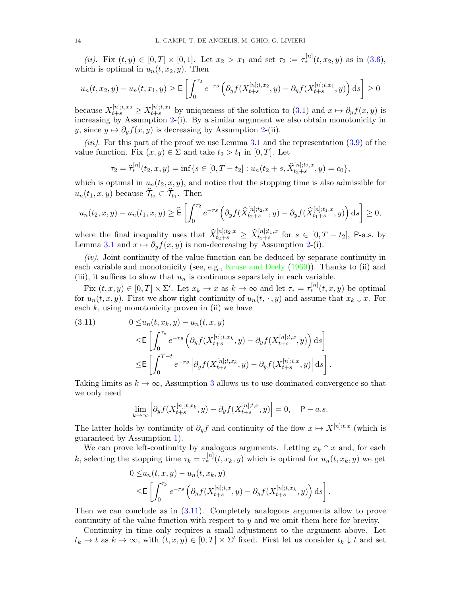(ii). Fix  $(t, y) \in [0, T] \times [0, 1]$ . Let  $x_2 > x_1$  and set  $\tau_2 := \tau_*^{[n]}(t, x_2, y)$  as in [\(3.6\)](#page-12-0), which is optimal in  $u_n(t, x_2, y)$ . Then

$$
u_n(t, x_2, y) - u_n(t, x_1, y) \ge \mathsf{E}\left[\int_0^{\tau_2} e^{-rs} \left(\partial_y f(X_{t+s}^{[n];t, x_2}, y) - \partial_y f(X_{t+s}^{[n];t, x_1}, y)\right) \mathrm{d}s\right] \ge 0
$$

because  $X_{t+s}^{[n];t,x_2} \ge X_{t+s}^{[n];t,x_1}$  by uniqueness of the solution to  $(3.1)$  and  $x \mapsto \partial_y f(x,y)$  is increasing by Assumption [2-](#page-10-1)(i). By a similar argument we also obtain monotonicity in y, since  $y \mapsto \partial_y f(x, y)$  is decreasing by Assumption [2-](#page-10-1)(ii).

*(iii).* For this part of the proof we use Lemma [3.1](#page-13-1) and the representation  $(3.9)$  of the value function. Fix  $(x, y) \in \Sigma$  and take  $t_2 > t_1$  in [0, T]. Let

$$
\tau_2 = \widehat{\tau}_*^{[n]}(t_2, x, y) = \inf\{s \in [0, T - t_2] : u_n(t_2 + s, \widehat{X}_{t_2 + s}^{[n]; t_2, x}, y) = c_0\},\
$$

which is optimal in  $u_n(t_2, x, y)$ , and notice that the stopping time is also admissible for  $u_n(t_1, x, y)$  because  $\mathcal{T}_{t_2} \subset \mathcal{T}_{t_1}$ . Then

$$
u_n(t_2, x, y) - u_n(t_1, x, y) \ge \widehat{\mathsf{E}} \left[ \int_0^{\tau_2} e^{-rs} \left( \partial_y f(\widehat{X}_{t_2+s}^{[n]; t_2, x}, y) - \partial_y f(\widehat{X}_{t_1+s}^{[n]; t_1, x}, y) \right) \mathrm{d}s \right] \ge 0,
$$

where the final inequality uses that  $\widehat{X}_{t_2+s}^{[n];t_2,x} \geq \widehat{X}_{t_1+s}^{[n];t_1,x}$  for  $s \in [0,T-t_2]$ , P-a.s. by Lemma [3.1](#page-13-1) and  $x \mapsto \partial_y f(x, y)$  is non-decreasing by Assumption [2-](#page-10-1)(i).

 $(iv)$ . Joint continuity of the value function can be deduced by separate continuity in each variable and monotonicity (see, e.g., [Kruse and Deely](#page-45-10) [\(1969\)](#page-45-10)). Thanks to (ii) and (iii), it suffices to show that  $u_n$  is continuous separately in each variable.

Fix  $(t, x, y) \in [0, T] \times \Sigma'$ . Let  $x_k \to x$  as  $k \to \infty$  and let  $\tau_* = \tau_*^{[n]}(t, x, y)$  be optimal for  $u_n(t, x, y)$ . First we show right-continuity of  $u_n(t, \cdot, y)$  and assume that  $x_k \downarrow x$ . For each  $k$ , using monotonicity proven in (ii) we have

<span id="page-14-0"></span>(3.11) 
$$
0 \leq u_n(t, x_k, y) - u_n(t, x, y)
$$

$$
\leq \mathbb{E}\left[\int_0^{\tau_*} e^{-rs} \left(\partial_y f(X_{t+s}^{[n];t,x_k}, y) - \partial_y f(X_{t+s}^{[n];t,x}, y)\right) ds\right]
$$

$$
\leq \mathbb{E}\left[\int_0^{T-t} e^{-rs} \left|\partial_y f(X_{t+s}^{[n];t,x_k}, y) - \partial_y f(X_{t+s}^{[n];t,x}, y)\right| ds\right].
$$

Taking limits as  $k \to \infty$ , Assumption [3](#page-10-4) allows us to use dominated convergence so that we only need

$$
\lim_{k \to \infty} \left| \partial_y f(X_{t+s}^{[n];t,x_k}, y) - \partial_y f(X_{t+s}^{[n];t,x}, y) \right| = 0, \quad \mathsf{P}-a.s.
$$

The latter holds by continuity of  $\partial_y f$  and continuity of the flow  $x \mapsto X^{[n];t,x}$  (which is guaranteed by Assumption [1\)](#page-9-0).

We can prove left-continuity by analogous arguments. Letting  $x_k \uparrow x$  and, for each k, selecting the stopping time  $\tau_k = \tau_*^{[n]}(t, x_k, y)$  which is optimal for  $u_n(t, x_k, y)$  we get

$$
0 \leq u_n(t, x, y) - u_n(t, x_k, y)
$$
  
\n
$$
\leq \mathbb{E}\left[\int_0^{\tau_k} e^{-rs} \left(\partial_y f(X_{t+s}^{[n];t,x}, y) - \partial_y f(X_{t+s}^{[n];t,x_k}, y)\right) ds\right].
$$

Then we can conclude as in [\(3.11\)](#page-14-0). Completely analogous arguments allow to prove continuity of the value function with respect to y and we omit them here for brevity.

Continuity in time only requires a small adjustment to the argument above. Let  $t_k \to t$  as  $k \to \infty$ , with  $(t, x, y) \in [0, T] \times \Sigma'$  fixed. First let us consider  $t_k \downarrow t$  and set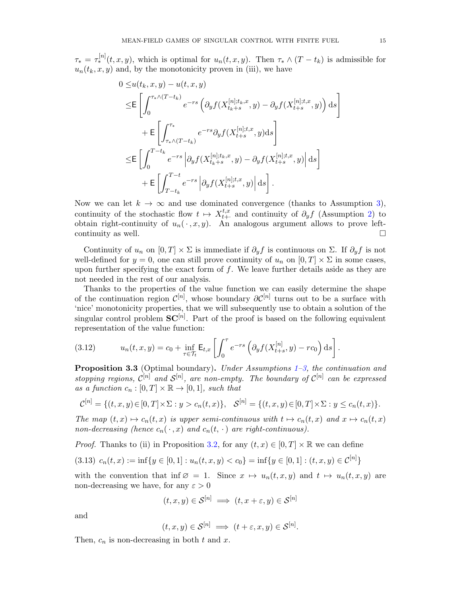$\tau_* = \tau_*^{[n]}(t, x, y)$ , which is optimal for  $u_n(t, x, y)$ . Then  $\tau_* \wedge (T - t_k)$  is admissible for  $u_n(t_k, x, y)$  and, by the monotonicity proven in (iii), we have

$$
0 \leq u(t_k, x, y) - u(t, x, y)
$$
  
\n
$$
\leq \mathbb{E}\left[\int_0^{\tau_* \wedge (T-t_k)} e^{-rs} \left(\partial_y f(X_{t_k+s}^{[n];t_k,x}, y) - \partial_y f(X_{t+s}^{[n];t,x}, y)\right) ds\right]
$$
  
\n
$$
+ \mathbb{E}\left[\int_{\tau_* \wedge (T-t_k)}^{\tau_*} e^{-rs} \partial_y f(X_{t+s}^{[n];t,x}, y) ds\right]
$$
  
\n
$$
\leq \mathbb{E}\left[\int_0^{T-t_k} e^{-rs} \left|\partial_y f(X_{t_k+s}^{[n];t_k,x}, y) - \partial_y f(X_{t+s}^{[n];t,x}, y)\right| ds\right]
$$
  
\n
$$
+ \mathbb{E}\left[\int_{T-t_k}^{T-t} e^{-rs} \left|\partial_y f(X_{t+s}^{[n];t,x}, y)\right| ds\right].
$$

Now we can let  $k \to \infty$  and use dominated convergence (thanks to Assumption [3\)](#page-10-4), continuity of the stochastic flow  $t \mapsto X_{t+1}^{t,x}$  $t^{t,x}_{t+}$  and continuity of  $\partial_y f$  (Assumption [2\)](#page-10-1) to obtain right-continuity of  $u_n(\cdot, x, y)$ . An analogous argument allows to prove leftcontinuity as well.  $\Box$ 

Continuity of  $u_n$  on  $[0, T] \times \Sigma$  is immediate if  $\partial_y f$  is continuous on  $\Sigma$ . If  $\partial_y f$  is not well-defined for  $y = 0$ , one can still prove continuity of  $u_n$  on  $[0, T] \times \Sigma$  in some cases, upon further specifying the exact form of  $f$ . We leave further details aside as they are not needed in the rest of our analysis.

Thanks to the properties of the value function we can easily determine the shape of the continuation region  $\mathcal{C}^{[n]}$ , whose boundary  $\partial \mathcal{C}^{[n]}$  turns out to be a surface with 'nice' monotonicity properties, that we will subsequently use to obtain a solution of the singular control problem  $SC^{[n]}$ . Part of the proof is based on the following equivalent representation of the value function:

<span id="page-15-0"></span>(3.12) 
$$
u_n(t, x, y) = c_0 + \inf_{\tau \in \mathcal{T}_t} \mathsf{E}_{t, x} \left[ \int_0^{\tau} e^{-rs} \left( \partial_y f(X_{t+s}^{[n]}, y) - r c_0 \right) ds \right].
$$

<span id="page-15-2"></span>**Proposition 3.3** (Optimal boundary). Under Assumptions  $1-\frac{3}{5}$  $1-\frac{3}{5}$ , the continuation and stopping regions,  $\mathcal{C}^{[n]}$  and  $\mathcal{S}^{[n]}$ , are non-empty. The boundary of  $\mathcal{C}^{[n]}$  can be expressed as a function  $c_n : [0, T] \times \mathbb{R} \to [0, 1]$ , such that

$$
\mathcal{C}^{[n]} = \{ (t, x, y) \in [0, T] \times \Sigma : y > c_n(t, x) \}, \quad \mathcal{S}^{[n]} = \{ (t, x, y) \in [0, T] \times \Sigma : y \le c_n(t, x) \}.
$$

The map  $(t, x) \mapsto c_n(t, x)$  is upper semi-continuous with  $t \mapsto c_n(t, x)$  and  $x \mapsto c_n(t, x)$ non-decreasing (hence  $c_n(\cdot, x)$  and  $c_n(t, \cdot)$  are right-continuous).

*Proof.* Thanks to (ii) in Proposition [3.2,](#page-13-0) for any  $(t, x) \in [0, T] \times \mathbb{R}$  we can define

<span id="page-15-1"></span>
$$
(3.13) \ c_n(t,x) := \inf\{y \in [0,1] : u_n(t,x,y) < c_0\} = \inf\{y \in [0,1] : (t,x,y) \in \mathcal{C}^{[n]}\}
$$

with the convention that inf  $\varnothing = 1$ . Since  $x \mapsto u_n(t, x, y)$  and  $t \mapsto u_n(t, x, y)$  are non-decreasing we have, for any  $\varepsilon > 0$ 

$$
(t, x, y) \in \mathcal{S}^{[n]} \implies (t, x + \varepsilon, y) \in \mathcal{S}^{[n]}
$$

and

$$
(t, x, y) \in \mathcal{S}^{[n]} \implies (t + \varepsilon, x, y) \in \mathcal{S}^{[n]}.
$$

Then,  $c_n$  is non-decreasing in both  $t$  and  $x$ .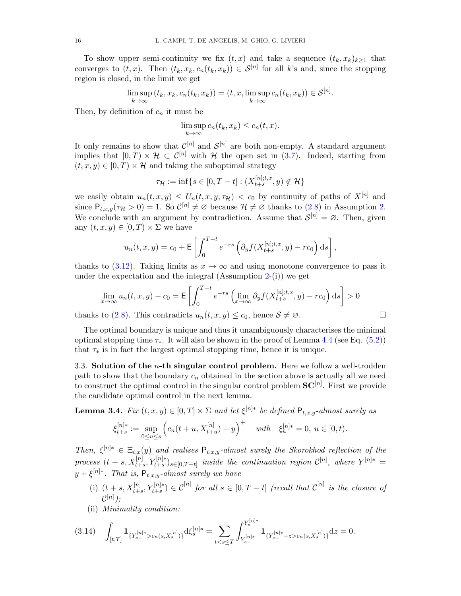To show upper semi-continuity we fix  $(t, x)$  and take a sequence  $(t_k, x_k)_{k>1}$  that converges to  $(t, x)$ . Then  $(t_k, x_k, c_n(t_k, x_k)) \in S^{[n]}$  for all k's and, since the stopping region is closed, in the limit we get

$$
\limsup_{k \to \infty} (t_k, x_k, c_n(t_k, x_k)) = (t, x, \limsup_{k \to \infty} c_n(t_k, x_k)) \in \mathcal{S}^{[n]}.
$$

Then, by definition of  $c_n$  it must be

$$
\limsup_{k \to \infty} c_n(t_k, x_k) \le c_n(t, x).
$$

It only remains to show that  $\mathcal{C}^{[n]}$  and  $\mathcal{S}^{[n]}$  are both non-empty. A standard argument implies that  $[0, T) \times H \subset C^{[n]}$  with H the open set in  $(3.7)$ . Indeed, starting from  $(t, x, y) \in [0, T] \times \mathcal{H}$  and taking the suboptimal strategy

$$
\tau_{\mathcal{H}} := \inf \{ s \in [0, T - t] : (X_{t+s}^{[n]; t, x}, y) \notin \mathcal{H} \}
$$

we easily obtain  $u_n(t, x, y) \le U_n(t, x, y; \tau_H) < c_0$  by continuity of paths of  $X^{[n]}$  and since  $P_{t,x,y}(\tau_H > 0) = 1$ . So  $\mathcal{C}^{[n]} \neq \emptyset$  because  $\mathcal{H} \neq \emptyset$  thanks to  $(2.8)$  in Assumption [2.](#page-10-1) We conclude with an argument by contradiction. Assume that  $\mathcal{S}^{[n]} = \emptyset$ . Then, given any  $(t, x, y) \in [0, T] \times \Sigma$  we have

$$
u_n(t, x, y) = c_0 + \mathsf{E}\left[\int_0^{T-t} e^{-rs} \left(\partial_y f(X_{t+s}^{[n];t,x}, y) - r c_0\right) \mathrm{d}s\right],
$$

thanks to [\(3.12\)](#page-15-0). Taking limits as  $x \to \infty$  and using monotone convergence to pass it under the expectation and the integral  $(Assumption 2-(i))$  $(Assumption 2-(i))$  $(Assumption 2-(i))$  we get

$$
\lim_{x \to \infty} u_n(t, x, y) - c_0 = \mathbb{E}\left[\int_0^{T-t} e^{-rs} \left(\lim_{x \to \infty} \partial_y f(X_{t+s}^{[n]; t, x}, y) - rc_0\right) ds\right] > 0
$$

thanks to [\(2.8\)](#page-10-3). This contradicts  $u_n(t, x, y) \le c_0$ , hence  $S \ne \emptyset$ .

The optimal boundary is unique and thus it unambiguously characterises the minimal optimal stopping time  $\tau_*$ . It will also be shown in the proof of Lemma [4.4](#page-32-0) (see Eq. [\(5.2\)](#page-40-0)) that  $\tau_*$  is in fact the largest optimal stopping time, hence it is unique.

3.3. Solution of the *n*-th singular control problem. Here we follow a well-trodden path to show that the boundary  $c_n$  obtained in the section above is actually all we need to construct the optimal control in the singular control problem  $SC^{[n]}$ . First we provide the candidate optimal control in the next lemma.

<span id="page-16-1"></span>**Lemma 3.4.** Fix  $(t, x, y) \in [0, T] \times \Sigma$  and let  $\xi^{[n]*}$  be defined  $\mathsf{P}_{t, x, y}$ -almost surely as

$$
\xi_{t+s}^{[n]*} := \sup_{0 \le u \le s} \left( c_n(t+u, X_{t+u}^{[n]}) - y \right)^+ \quad \text{with} \quad \xi_u^{[n]*} = 0, \ u \in [0, t).
$$

Then,  $\xi^{[n]*} \in \Xi_{t,x}(y)$  and realises  $P_{t,x,y}$ -almost surely the Skorokhod reflection of the process  $(t + s, X_{t+s}^{[n]}, Y_{t+s}^{[n]*})_{s \in [0,T-t]}$  inside the continuation region  $\mathcal{C}^{[n]}$ , where  $Y^{[n]*}$  =  $y + \xi^{[n]*}$ . That is,  $\mathsf{P}_{t,x,y}$ -almost surely we have

- (i)  $(t+s, X_{t+s}^{[n]}, Y_{t+s}^{[n]*}) \in \mathbb{C}^{[n]}$  for all  $s \in [0, T-t]$  (recall that  $\mathbb{C}^{[n]}$  is the closure of  ${\cal C}^{[n]});$
- (ii) Minimality condition:

<span id="page-16-0"></span>
$$
(3.14)\quad \int_{[t,T]}{\bf 1}_{\{Y^{[n]*}_{s-}>c_{n}(s,X^{[n]}_{s})\}}\mathrm{d}\xi^{[n]*}_{s}=\sum_{tc_{n}(s,X^{[n]}_{s})\}}\mathrm{d}z=0.
$$

$$
\mathbb{Z}^{\mathbb{Z}}
$$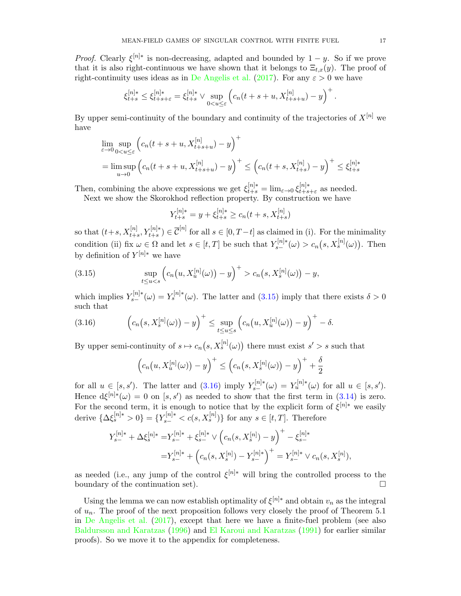*Proof.* Clearly  $\xi^{[n]*}$  is non-decreasing, adapted and bounded by  $1 - y$ . So if we prove that it is also right-continuous we have shown that it belongs to  $\Xi_{t,x}(y)$ . The proof of right-continuity uses ideas as in [De Angelis et al.](#page-44-18) [\(2017\)](#page-44-18). For any  $\varepsilon > 0$  we have

$$
\xi_{t+s}^{[n]*} \leq \xi_{t+s+\varepsilon}^{[n]*} = \xi_{t+s}^{[n]*} \vee \sup_{0
$$

By upper semi-continuity of the boundary and continuity of the trajectories of  $X^{[n]}$  we have

$$
\lim_{\varepsilon \to 0} \sup_{0 < u \le \varepsilon} \left( c_n(t + s + u, X_{t+s+u}^{[n]}) - y \right)^+ \n= \limsup_{u \to 0} \left( c_n(t + s + u, X_{t+s+u}^{[n]}) - y \right)^+ \le \left( c_n(t + s, X_{t+s}^{[n]}) - y \right)^+ \le \xi_{t+s}^{[n]*}
$$

Then, combining the above expressions we get  $\xi_{t+s}^{[n]*} = \lim_{\varepsilon \to 0} \xi_{t+s}^{[n]*}$  $\int_{t+s+\varepsilon}^{\lfloor n\rfloor^*}$  as needed. Next we show the Skorokhod reflection property. By construction we have

$$
Y_{t+s}^{[n]*} = y + \xi_{t+s}^{[n]*} \ge c_n(t+s, X_{t+s}^{[n]})
$$

so that  $(t+s, X_{t+s}^{[n]}, Y_{t+s}^{[n]*}) \in \overline{\mathcal{C}}^{[n]}$  for all  $s \in [0, T-t]$  as claimed in (i). For the minimality condition (ii) fix  $\omega \in \Omega$  and let  $s \in [t, T]$  be such that  $Y_{s-}^{[n]*}(\omega) > c_n(s, X_s^{[n]}(\omega))$ . Then by definition of  $Y^{[n]*}$  we have

<span id="page-17-0"></span>(3.15) 
$$
\sup_{t \le u < s} \left( c_n(u, X_u^{[n]}(\omega)) - y \right)^+ > c_n(s, X_s^{[n]}(\omega)) - y,
$$

which implies  $Y_{s-}^{[n]*}(\omega) = Y_s^{[n]*}(\omega)$ . The latter and [\(3.15\)](#page-17-0) imply that there exists  $\delta > 0$ such that

<span id="page-17-1"></span>(3.16) 
$$
\left(c_n(s,X_s^{[n]}(\omega))-y\right)^+\leq \sup_{t\leq u\leq s}\left(c_n(u,X_u^{[n]}(\omega))-y\right)^+ - \delta.
$$

By upper semi-continuity of  $s \mapsto c_n(s, X_s^{[n]}(\omega))$  there must exist  $s' > s$  such that

$$
\left(c_n(u, X_u^{[n]}(\omega)) - y\right)^+ \leq \left(c_n(s, X_s^{[n]}(\omega)) - y\right)^+ + \frac{\delta}{2}
$$

for all  $u \in [s, s']$ . The latter and  $(3.16)$  imply  $Y_{s-}^{[n]*}(\omega) = Y_u^{[n]*}(\omega)$  for all  $u \in [s, s']$ . Hence  $d\xi^{[n]*}(\omega) = 0$  on  $[s, s']$  as needed to show that the first term in [\(3.14\)](#page-16-0) is zero. For the second term, it is enough to notice that by the explicit form of  $\xi^{[n]*}$  we easily derive  $\{\Delta \xi_s^{[n]*} > 0\} = \{Y_{s-}^{[n]*} < c(s, X_s^{[n]})\}$  for any  $s \in [t, T]$ . Therefore

$$
Y_{s-}^{[n]*} + \Delta \xi_s^{[n]*} = Y_{s-}^{[n]*} + \xi_{s-}^{[n]*} \vee \left( c_n(s, X_s^{[n]}) - y \right)^+ - \xi_{s-}^{[n]*} = Y_{s-}^{[n]*} + \left( c_n(s, X_s^{[n]}) - Y_{s-}^{[n]*} \right)^+ = Y_{s-}^{[n]*} \vee c_n(s, X_s^{[n]}),
$$

as needed (i.e., any jump of the control  $\xi^{[n]*}$  will bring the controlled process to the boundary of the continuation set).

Using the lemma we can now establish optimality of  $\xi^{[n]*}$  and obtain  $v_n$  as the integral of  $u_n$ . The proof of the next proposition follows very closely the proof of Theorem 5.1 in [De Angelis et al.](#page-44-18) [\(2017\)](#page-44-18), except that here we have a finite-fuel problem (see also [Baldursson and Karatzas](#page-43-8) [\(1996\)](#page-43-8) and [El Karoui and Karatzas](#page-44-19) [\(1991\)](#page-44-19) for earlier similar proofs). So we move it to the appendix for completeness.

.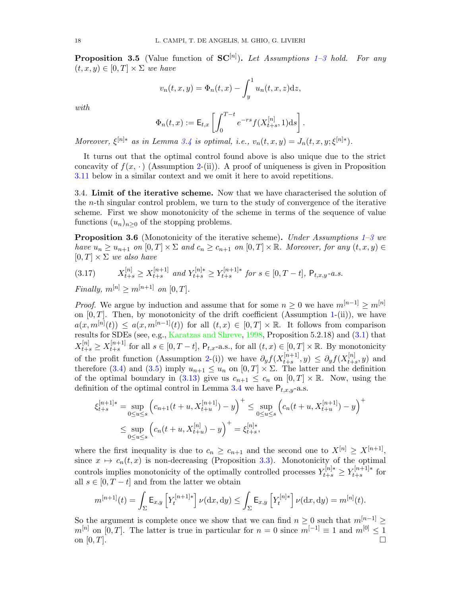<span id="page-18-0"></span>**Proposition [3](#page-10-4).5** (Value function of  $SC<sup>[n]</sup>$ ). Let Assumptions [1–](#page-9-0)3 hold. For any  $(t, x, y) \in [0, T] \times \Sigma$  we have

$$
v_n(t, x, y) = \Phi_n(t, x) - \int_y^1 u_n(t, x, z) \mathrm{d}z,
$$

with

$$
\Phi_n(t,x) := \mathsf{E}_{t,x} \left[ \int_0^{T-t} e^{-rs} f(X_{t+s}^{[n]}, 1) \mathrm{d} s \right].
$$

Moreover,  $\xi^{[n]*}$  as in Lemma [3.4](#page-16-1) is optimal, i.e.,  $v_n(t, x, y) = J_n(t, x, y; \xi^{[n]*})$ .

It turns out that the optimal control found above is also unique due to the strict concavity of  $f(x, \cdot)$  (Assumption [2-](#page-10-1)(ii)). A proof of uniqueness is given in Proposition [3.11](#page-22-0) below in a similar context and we omit it here to avoid repetitions.

3.4. Limit of the iterative scheme. Now that we have characterised the solution of the n-th singular control problem, we turn to the study of convergence of the iterative scheme. First we show monotonicity of the scheme in terms of the sequence of value functions  $(u_n)_{n\geq 0}$  of the stopping problems.

<span id="page-18-2"></span>**Proposition [3](#page-10-4).6** (Monotonicity of the iterative scheme). Under Assumptions [1–](#page-9-0)3 we have  $u_n \ge u_{n+1}$  on  $[0,T] \times \Sigma$  and  $c_n \ge c_{n+1}$  on  $[0,T] \times \mathbb{R}$ . Moreover, for any  $(t, x, y) \in$  $[0, T] \times \Sigma$  we also have

<span id="page-18-1"></span>
$$
(3.17) \tX_{t+s}^{[n]} \ge X_{t+s}^{[n+1]} \text{ and } Y_{t+s}^{[n]*} \ge Y_{t+s}^{[n+1]*} \text{ for } s \in [0, T-t], \ P_{t,x,y}\text{-}a.s.
$$

Finally,  $m^{[n]} \geq m^{[n+1]}$  on  $[0, T]$ .

*Proof.* We argue by induction and assume that for some  $n \geq 0$  we have  $m^{[n-1]} \geq m^{[n]}$ on  $[0, T]$ . Then, by monotonicity of the drift coefficient (Assumption [1-](#page-9-0)(ii)), we have  $a(x, m^{[n]}(t)) \le a(x, m^{[n-1]}(t))$  for all  $(t, x) \in [0, T] \times \mathbb{R}$ . It follows from comparison results for SDEs (see, e.g., [Karatzas and Shreve,](#page-45-8) [1998,](#page-45-8) Proposition 5.2.18) and [\(3.1\)](#page-11-1) that  $X_{t+s}^{[n]} \geq X_{t+s}^{[n+1]}$  $[t+1]$ <sup>[n+1]</sup> for all  $s \in [0, T - t]$ ,  $P_{t,x}$ -a.s., for all  $(t,x) \in [0,T] \times \mathbb{R}$ . By monotonicity of the profit function (Assumption [2-](#page-10-1)(i)) we have  $\partial_y f(X_{t+s}^{[n+1]})$  $\partial_{t+s}^{[n+1]}, y) \leq \partial_y f(X_{t+s}^{[n]})$  $t_{t+s}^{[n]}, y)$  and therefore [\(3.4\)](#page-11-2) and [\(3.5\)](#page-11-3) imply  $u_{n+1} \leq u_n$  on  $[0, T] \times \Sigma$ . The latter and the definition of the optimal boundary in [\(3.13\)](#page-15-1) give us  $c_{n+1} \leq c_n$  on  $[0, T] \times \mathbb{R}$ . Now, using the definition of the optimal control in Lemma [3.4](#page-16-1) we have  $P_{t,x,y}$ -a.s.

$$
\xi_{t+s}^{[n+1]*} = \sup_{0 \le u \le s} \left( c_{n+1}(t+u, X_{t+u}^{[n+1]}) - y \right)^+ \le \sup_{0 \le u \le s} \left( c_n(t+u, X_{t+u}^{[n+1]}) - y \right)^+ \le \sup_{0 \le u \le s} \left( c_n(t+u, X_{t+u}^{[n]}) - y \right)^+ = \xi_{t+s}^{[n]*},
$$

where the first inequality is due to  $c_n \geq c_{n+1}$  and the second one to  $X^{[n]} \geq X^{[n+1]}$ , since  $x \mapsto c_n(t, x)$  is non-decreasing (Proposition [3.3\)](#page-15-2). Monotonicity of the optimal controls implies monotonicity of the optimally controlled processes  $Y_{t+s}^{[n]*} \ge Y_{t+s}^{[n+1]*}$  $t+s$  for all  $s \in [0, T - t]$  and from the latter we obtain

$$
m^{[n+1]}(t) = \int_{\Sigma} \mathsf{E}_{x,y} \left[ Y_t^{[n+1]*} \right] \nu(\mathrm{d}x,\mathrm{d}y) \le \int_{\Sigma} \mathsf{E}_{x,y} \left[ Y_t^{[n]*} \right] \nu(\mathrm{d}x,\mathrm{d}y) = m^{[n]}(t).
$$

So the argument is complete once we show that we can find  $n \geq 0$  such that  $m^{[n-1]} \geq$  $m^{[n]}$  on  $[0, T]$ . The latter is true in particular for  $n = 0$  since  $m^{[-1]} \equiv 1$  and  $m^{[0]} \leq 1$ on  $[0, T]$ .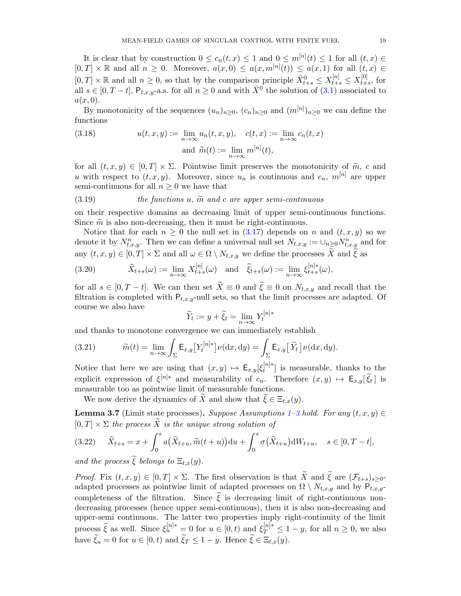It is clear that by construction  $0 \leq c_n(t,x) \leq 1$  and  $0 \leq m^{[n]}(t) \leq 1$  for all  $(t,x) \in$  $[0, T] \times \mathbb{R}$  and all  $n \geq 0$ . Moreover,  $a(x, 0) \leq a(x, m^{[n]}(t)) \leq a(x, 1)$  for all  $(t, x) \in$  $[0,T] \times \mathbb{R}$  and all  $n \geq 0$ , so that by the comparison principle  $\bar{X}_{t+s}^0 \leq X_{t+s}^{[n]} \leq X_{t+s}^{[0]}$  $t+s$ , for all  $s \in [0, T-t]$ ,  $P_{t,x,y}$ -a.s. for all  $n \geq 0$  and with  $\bar{X}^0$  the solution of  $(3.1)$  associated to  $a(x, 0)$ .

By monotonicity of the sequences  $(u_n)_{n\geq 0}$ ,  $(c_n)_{n\geq 0}$  and  $(m^{[n]})_{n\geq 0}$  we can define the functions

<span id="page-19-5"></span>(3.18) 
$$
u(t, x, y) := \lim_{n \to \infty} u_n(t, x, y), \quad c(t, x) := \lim_{n \to \infty} c_n(t, x)
$$

$$
\text{and } \widetilde{m}(t) := \lim_{n \to \infty} m^{[n]}(t),
$$

for all  $(t, x, y) \in [0, T] \times \Sigma$ . Pointwise limit preserves the monotonicity of  $\tilde{m}$ , c and u with respect to  $(t, x, y)$ . Moreover, since  $u_n$  is continuous and  $c_n$ ,  $m^{[n]}$  are upper semi-continuous for all  $n \geq 0$  we have that

#### <span id="page-19-1"></span> $(3.19)$  the functions u,  $\tilde{m}$  and c are upper semi-continuous

on their respective domains as decreasing limit of upper semi-continuous functions. Since  $\tilde{m}$  is also non-decreasing, then it must be right-continuous.

Notice that for each  $n \geq 0$  the null set in [\(3.17\)](#page-18-1) depends on n and  $(t, x, y)$  so we denote it by  $N_{t,x,y}^n$ . Then we can define a universal null set  $N_{t,x,y} := \bigcup_{n\geq 0} N_{t,x,y}^n$  and for any  $(t, x, y) \in [0, T] \times \Sigma$  and all  $\omega \in \Omega \setminus N_{t, x, y}$  we define the processes  $\widetilde{X}$  and  $\widetilde{\xi}$  as

<span id="page-19-4"></span>(3.20) 
$$
\widetilde{X}_{t+s}(\omega) := \lim_{n \to \infty} X_{t+s}^{[n]}(\omega) \text{ and } \widetilde{\xi}_{t+s}(\omega) := \lim_{n \to \infty} \xi_{t+s}^{[n]*}(\omega),
$$

for all  $s \in [0, T - t]$ . We can then set  $\widetilde{X} \equiv 0$  and  $\widetilde{\xi} \equiv 0$  on  $N_{t,x,y}$  and recall that the filtration is completed with  $P_{t,x,y}$ -null sets, so that the limit processes are adapted. Of course we also have

$$
\widetilde{Y}_t := y + \widetilde{\xi}_t = \lim_{n \to \infty} Y_t^{[n]*}
$$

and thanks to monotone convergence we can immediately establish

<span id="page-19-3"></span>(3.21) 
$$
\widetilde{m}(t) = \lim_{n \to \infty} \int_{\Sigma} \mathsf{E}_{x,y} \left[ Y_t^{[n]*} \right] \nu(\mathrm{d}x, \mathrm{d}y) = \int_{\Sigma} \mathsf{E}_{x,y} \left[ \widetilde{Y}_t \right] \nu(\mathrm{d}x, \mathrm{d}y).
$$

Notice that here we are using that  $(x, y) \mapsto \mathsf{E}_{x,y}[\xi_t^{[n]*}$  $t^{[n]*}$  is measurable, thanks to the explicit expression of  $\xi^{[n]*}$  and measurability of  $c_n$ . Therefore  $(x, y) \mapsto \mathsf{E}_{x,y}[\tilde{\xi}_t]$  is measurable too as pointwise limit of measurable functions.

We now derive the dynamics of X and show that  $\xi \in \Xi_{t,x}(y)$ .

<span id="page-19-2"></span>**Lemma [3](#page-10-4).7** (Limit state processes). Suppose Assumptions  $1-3$  hold. For any  $(t, x, y) \in$  $[0, T] \times \Sigma$  the process X is the unique strong solution of

<span id="page-19-0"></span>
$$
(3.22)\qquad \widetilde{X}_{t+s} = x + \int_0^s a(\widetilde{X}_{t+u}, \widetilde{m}(t+u))\mathrm{d}u + \int_0^s \sigma(\widetilde{X}_{t+u})\mathrm{d}W_{t+u}, \quad s \in [0, T-t],
$$

and the process  $\xi$  belongs to  $\Xi_{t,x}(y)$ .

Proof. Fix  $(t, x, y) \in [0, T] \times \Sigma$ . The first observation is that  $\widetilde{X}$  and  $\widetilde{\xi}$  are  $(\mathcal{F}_{t+s})_{s\geq 0}$ adapted processes as pointwise limit of adapted processes on  $\Omega \setminus N_{t,x,y}$  and by  $P_{t,x,y}$ completeness of the filtration. Since  $\tilde{\xi}$  is decreasing limit of right-continuous nondecreasing processes (hence upper semi-continuous), then it is also non-decreasing and upper-semi continuous. The latter two properties imply right-continuity of the limit process  $\tilde{\xi}$  as well. Since  $\xi_u^{[n]*} \equiv 0$  for  $u \in [0, t)$  and  $\xi_T^{[n]*} \leq 1 - y$ , for all  $n \geq 0$ , we also have  $\xi_u = 0$  for  $u \in [0, t)$  and  $\xi_T \leq 1 - y$ . Hence  $\xi \in \Xi_{t,x}(y)$ .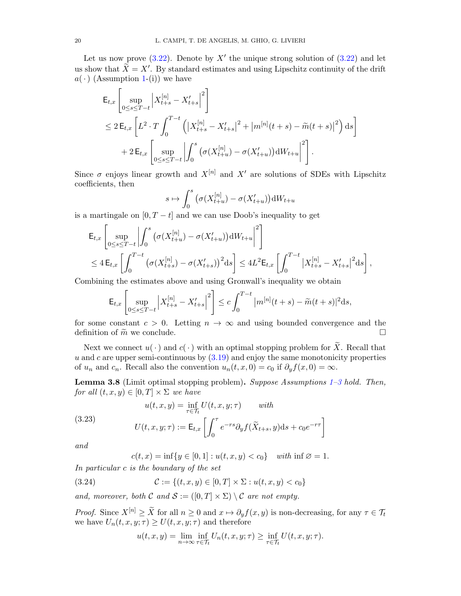Let us now prove  $(3.22)$ . Denote by X' the unique strong solution of  $(3.22)$  and let us show that  $\widetilde{X} = X'$ . By standard estimates and using Lipschitz continuity of the drift  $a(\cdot)$  (Assumption [1-](#page-9-0)(i)) we have

$$
\mathsf{E}_{t,x} \left[ \sup_{0 \le s \le T-t} \left| X_{t+s}^{[n]} - X_{t+s}' \right|^2 \right]
$$
\n
$$
\le 2 \, \mathsf{E}_{t,x} \left[ L^2 \cdot T \int_0^{T-t} \left( \left| X_{t+s}^{[n]} - X_{t+s}' \right|^2 + \left| m^{[n]}(t+s) - \tilde{m}(t+s) \right|^2 \right) \, \mathrm{d}s \right]
$$
\n
$$
+ 2 \, \mathsf{E}_{t,x} \left[ \sup_{0 \le s \le T-t} \left| \int_0^s \left( \sigma(X_{t+u}^{[n]}) - \sigma(X_{t+u}') \right) \mathrm{d}W_{t+u} \right|^2 \right].
$$

Since  $\sigma$  enjoys linear growth and  $X^{[n]}$  and  $X'$  are solutions of SDEs with Lipschitz coefficients, then

$$
s \mapsto \int_0^s \left( \sigma(X_{t+u}^{[n]}) - \sigma(X_{t+u}') \right) dW_{t+u}
$$

is a martingale on  $[0, T - t]$  and we can use Doob's inequality to get

$$
\mathsf{E}_{t,x} \left[ \sup_{0 \le s \le T-t} \left| \int_0^s \left( \sigma(X_{t+u}^{[n]}) - \sigma(X_{t+u}') \right) dW_{t+u} \right|^2 \right] \le 4 \, \mathsf{E}_{t,x} \left[ \int_0^{T-t} \left( \sigma(X_{t+s}^{[n]}) - \sigma(X_{t+s}') \right)^2 ds \right] \le 4L^2 \mathsf{E}_{t,x} \left[ \int_0^{T-t} \left| X_{t+s}^{[n]} - X_{t+s}' \right|^2 ds \right],
$$

Combining the estimates above and using Gronwall's inequality we obtain

$$
\mathsf{E}_{t,x} \left[ \sup_{0 \le s \le T-t} \left| X_{t+s}^{[n]} - X_{t+s}' \right|^2 \right] \le c \int_0^{T-t} |m^{[n]}(t+s) - \widetilde{m}(t+s)|^2 ds,
$$

for some constant  $c > 0$ . Letting  $n \to \infty$  and using bounded convergence and the definition of  $\widetilde{m}$  we conclude.  $\Box$ 

Next we connect  $u(\cdot)$  and  $c(\cdot)$  with an optimal stopping problem for  $\widetilde{X}$ . Recall that  $u$  and  $c$  are upper semi-continuous by  $(3.19)$  and enjoy the same monotonicity properties of  $u_n$  and  $c_n$ . Recall also the convention  $u_n(t, x, 0) = c_0$  if  $\partial_y f(x, 0) = \infty$ .

<span id="page-20-2"></span>**Lemma 3.8** (Limit optimal stopping problem). Suppose Assumptions  $1-3$  $1-3$  hold. Then, for all  $(t, x, y) \in [0, T] \times \Sigma$  we have

<span id="page-20-0"></span>(3.23)  

$$
u(t, x, y) = \inf_{\tau \in \mathcal{T}_t} U(t, x, y; \tau) \quad \text{with}
$$

$$
U(t, x, y; \tau) := \mathsf{E}_{t, x} \left[ \int_0^{\tau} e^{-rs} \partial_y f(\widetilde{X}_{t+s}, y) \mathrm{d} s + c_0 e^{-r\tau} \right]
$$

and

 $c(t, x) = \inf\{y \in [0, 1] : u(t, x, y) < c_0\}$  with  $\inf \emptyset = 1$ .

In particular c is the boundary of the set

<span id="page-20-1"></span>(3.24) 
$$
\mathcal{C} := \{(t, x, y) \in [0, T] \times \Sigma : u(t, x, y) < c_0\}
$$

and, moreover, both C and  $S := ([0, T] \times \Sigma) \setminus C$  are not empty.

*Proof.* Since  $X^{[n]} \geq \tilde{X}$  for all  $n \geq 0$  and  $x \mapsto \partial_y f(x, y)$  is non-decreasing, for any  $\tau \in \mathcal{T}_t$ we have  $U_n(t, x, y; \tau) \ge U(t, x, y; \tau)$  and therefore

$$
u(t,x,y) = \lim_{n \to \infty} \inf_{\tau \in \mathcal{T}_t} U_n(t,x,y;\tau) \ge \inf_{\tau \in \mathcal{T}_t} U(t,x,y;\tau).
$$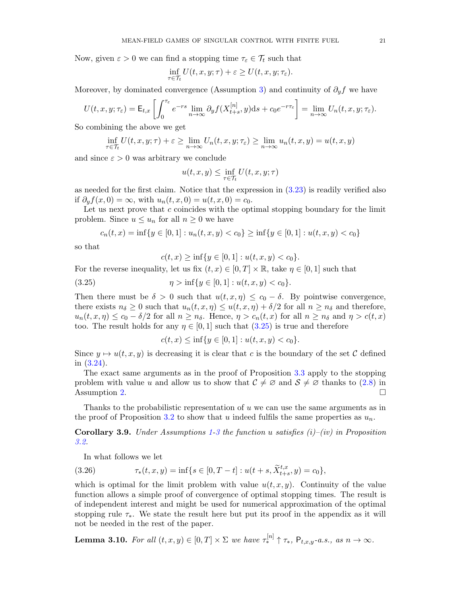Now, given  $\varepsilon > 0$  we can find a stopping time  $\tau_{\varepsilon} \in \mathcal{T}_t$  such that

$$
\inf_{\tau \in \mathcal{T}_t} U(t, x, y; \tau) + \varepsilon \ge U(t, x, y; \tau_{\varepsilon}).
$$

Moreover, by dominated convergence (Assumption [3\)](#page-10-4) and continuity of  $\partial_y f$  we have

$$
U(t, x, y; \tau_{\varepsilon}) = \mathsf{E}_{t, x} \left[ \int_0^{\tau_{\varepsilon}} e^{-rs} \lim_{n \to \infty} \partial_y f(X_{t+s}^{[n]}, y) ds + c_0 e^{-r\tau_{\varepsilon}} \right] = \lim_{n \to \infty} U_n(t, x, y; \tau_{\varepsilon}).
$$

So combining the above we get

$$
\inf_{\tau \in \mathcal{T}_t} U(t, x, y; \tau) + \varepsilon \ge \lim_{n \to \infty} U_n(t, x, y; \tau_{\varepsilon}) \ge \lim_{n \to \infty} u_n(t, x, y) = u(t, x, y)
$$

and since  $\varepsilon > 0$  was arbitrary we conclude

$$
u(t, x, y) \le \inf_{\tau \in \mathcal{T}_t} U(t, x, y; \tau)
$$

as needed for the first claim. Notice that the expression in  $(3.23)$  is readily verified also if  $\partial_u f(x, 0) = \infty$ , with  $u_n(t, x, 0) = u(t, x, 0) = c_0$ .

Let us next prove that c coincides with the optimal stopping boundary for the limit problem. Since  $u \leq u_n$  for all  $n \geq 0$  we have

$$
c_n(t, x) = \inf\{y \in [0, 1] : u_n(t, x, y) < c_0\} \ge \inf\{y \in [0, 1] : u(t, x, y) < c_0\}
$$

so that

 $c(t, x) \ge \inf\{y \in [0, 1] : u(t, x, y) < c_0\}.$ 

For the reverse inequality, let us fix  $(t, x) \in [0, T] \times \mathbb{R}$ , take  $\eta \in [0, 1]$  such that

<span id="page-21-0"></span>(3.25) 
$$
\eta > \inf \{ y \in [0,1] : u(t,x,y) < c_0 \}.
$$

Then there must be  $\delta > 0$  such that  $u(t, x, \eta) \leq c_0 - \delta$ . By pointwise convergence, there exists  $n_{\delta} \geq 0$  such that  $u_n(t, x, \eta) \leq u(t, x, \eta) + \delta/2$  for all  $n \geq n_{\delta}$  and therefore,  $u_n(t, x, \eta) \leq c_0 - \delta/2$  for all  $n \geq n_\delta$ . Hence,  $\eta > c_n(t, x)$  for all  $n \geq n_\delta$  and  $\eta > c(t, x)$ too. The result holds for any  $\eta \in [0, 1]$  such that  $(3.25)$  is true and therefore

$$
c(t, x) \le \inf\{y \in [0, 1] : u(t, x, y) < c_0\}.
$$

Since  $y \mapsto u(t, x, y)$  is decreasing it is clear that c is the boundary of the set C defined in [\(3.24\)](#page-20-1).

The exact same arguments as in the proof of Proposition [3.3](#page-15-2) apply to the stopping problem with value u and allow us to show that  $C \neq \emptyset$  and  $S \neq \emptyset$  thanks to  $(2.8)$  in Assumption [2.](#page-10-1)  $\Box$ 

Thanks to the probabilistic representation of  $u$  we can use the same arguments as in the proof of Proposition [3.2](#page-13-0) to show that u indeed fulfils the same properties as  $u_n$ .

<span id="page-21-2"></span>**Corollary 3.9.** Under Assumptions [1](#page-9-0)[-3](#page-10-4) the function u satisfies  $(i)$ – $(iv)$  in Proposition [3.2.](#page-13-0)

In what follows we let

<span id="page-21-1"></span>(3.26) 
$$
\tau_*(t,x,y) = \inf\{s \in [0,T-t] : u(t+s, \widetilde{X}^{t,x}_{t+s}, y) = c_0\},\,
$$

which is optimal for the limit problem with value  $u(t, x, y)$ . Continuity of the value function allows a simple proof of convergence of optimal stopping times. The result is of independent interest and might be used for numerical approximation of the optimal stopping rule  $\tau_*$ . We state the result here but put its proof in the appendix as it will not be needed in the rest of the paper.

<span id="page-21-3"></span>**Lemma 3.10.** For all  $(t, x, y) \in [0, T] \times \Sigma$  we have  $\tau_*^{[n]} \uparrow \tau_*$ ,  $\mathsf{P}_{t, x, y}$ -a.s., as  $n \to \infty$ .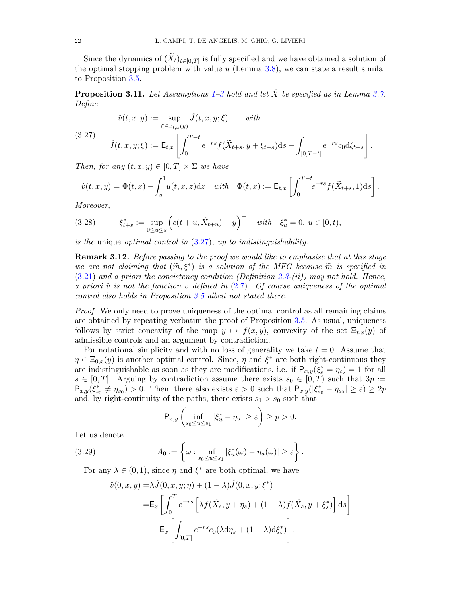Since the dynamics of  $(X_t)_{t\in[0,T]}$  is fully specified and we have obtained a solution of the optimal stopping problem with value  $u$  (Lemma [3.8\)](#page-20-2), we can state a result similar to Proposition [3.5.](#page-18-0)

<span id="page-22-0"></span>**Proposition [3](#page-10-4).11.** Let Assumptions [1–](#page-9-0)3 hold and let  $\widetilde{X}$  be specified as in Lemma [3.7.](#page-19-2) Define

> 1 .

<span id="page-22-1"></span>
$$
\hat{v}(t, x, y) := \sup_{\xi \in \Xi_{t, x}(y)} \hat{J}(t, x, y; \xi) \quad \text{with}
$$
\n
$$
(3.27)
$$
\n
$$
\hat{J}(t, x, y; \xi) := \mathsf{E}_{t, x} \left[ \int_0^{T-t} e^{-rs} f(\tilde{X}_{t+s}, y + \xi_{t+s}) \, \mathrm{d}s - \int_{[0, T-t]} e^{-rs} c_0 \, \mathrm{d}\xi_{t+s} \right]
$$

Then, for any  $(t, x, y) \in [0, T] \times \Sigma$  we have

$$
\hat{v}(t,x,y) = \Phi(t,x) - \int_y^1 u(t,x,z)dz \quad \text{with} \quad \Phi(t,x) := \mathsf{E}_{t,x} \left[ \int_0^{T-t} e^{-rs} f(\widetilde{X}_{t+s}, 1)ds \right].
$$

Moreover,

<span id="page-22-3"></span>
$$
(3.28) \t\t \xi_{t+s}^* := \sup_{0 \le u \le s} \left( c(t+u, \widetilde{X}_{t+u}) - y \right)^+ \t with \t \xi_u^* = 0, \ u \in [0, t),
$$

is the unique *optimal control in*  $(3.27)$ , up to *indistinguishability*.

**Remark 3.12.** Before passing to the proof we would like to emphasise that at this stage we are not claiming that  $(\widetilde{m}, \xi^*)$  is a solution of the MFG because  $\widetilde{m}$  is specified in<br>(3.3.1) and a priori the consistence condition (Definition 2.3.(ii)) may not hold. Hence  $(3.21)$  and a priori the consistency condition (Definition [2.3-](#page-8-0)(ii)) may not hold. Hence, a priori  $\hat{v}$  is not the function v defined in [\(2.7\)](#page-8-1). Of course uniqueness of the optimal control also holds in Proposition [3.5](#page-18-0) albeit not stated there.

Proof. We only need to prove uniqueness of the optimal control as all remaining claims are obtained by repeating verbatim the proof of Proposition [3.5.](#page-18-0) As usual, uniqueness follows by strict concavity of the map  $y \mapsto f(x, y)$ , convexity of the set  $\Xi_{t,x}(y)$  of admissible controls and an argument by contradiction.

For notational simplicity and with no loss of generality we take  $t = 0$ . Assume that  $\eta \in \Xi_{0,x}(y)$  is another optimal control. Since,  $\eta$  and  $\xi^*$  are both right-continuous they are indistinguishable as soon as they are modifications, i.e. if  $P_{x,y}(\xi_s^* = \eta_s) = 1$  for all  $s \in [0,T]$ . Arguing by contradiction assume there exists  $s_0 \in [0,T)$  such that  $3p :=$  $\mathsf{P}_{x,y}(\xi_{s_0}^* \neq \eta_{s_0}) > 0$ . Then, there also exists  $\varepsilon > 0$  such that  $\mathsf{P}_{x,y}(|\xi_{s_0}^* - \eta_{s_0}| \geq \varepsilon) \geq 2p$ and, by right-continuity of the paths, there exists  $s_1 > s_0$  such that

$$
\mathsf{P}_{x,y}\left(\inf_{s_0\leq u\leq s_1}|\xi_u^*-\eta_u|\geq \varepsilon\right)\geq p>0.
$$

Let us denote

<span id="page-22-2"></span>(3.29) 
$$
A_0 := \left\{ \omega : \inf_{s_0 \le u \le s_1} |\xi_u^*(\omega) - \eta_u(\omega)| \ge \varepsilon \right\}.
$$

For any  $\lambda \in (0, 1)$ , since  $\eta$  and  $\xi^*$  are both optimal, we have

$$
\hat{v}(0, x, y) = \lambda \hat{J}(0, x, y; \eta) + (1 - \lambda) \hat{J}(0, x, y; \xi^*)
$$
  
\n
$$
= \mathsf{E}_{x} \left[ \int_{0}^{T} e^{-rs} \left[ \lambda f(\tilde{X}_{s}, y + \eta_{s}) + (1 - \lambda) f(\tilde{X}_{s}, y + \xi_{s}^*) \right] ds \right]
$$
  
\n
$$
- \mathsf{E}_{x} \left[ \int_{[0, T]} e^{-rs} c_{0} (\lambda d\eta_{s} + (1 - \lambda) d\xi_{s}^{*}) \right].
$$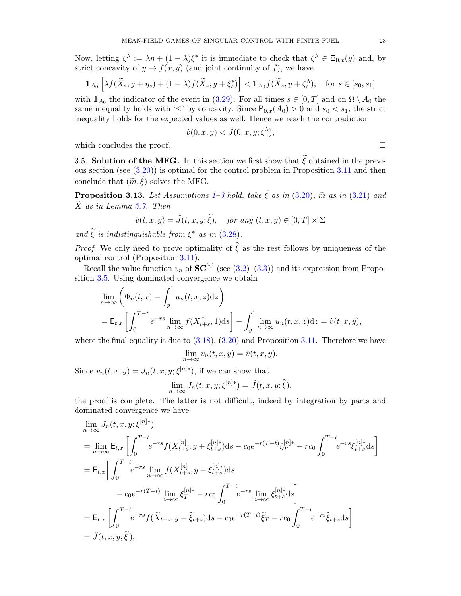Now, letting  $\zeta^{\lambda} := \lambda \eta + (1 - \lambda)\xi^*$  it is immediate to check that  $\zeta^{\lambda} \in \Xi_{0,x}(y)$  and, by strict concavity of  $y \mapsto f(x, y)$  (and joint continuity of f), we have

$$
\mathbb{1}_{A_0} \left[ \lambda f(\widetilde{X}_s, y + \eta_s) + (1 - \lambda) f(\widetilde{X}_s, y + \xi_s^*) \right] < \mathbb{1}_{A_0} f(\widetilde{X}_s, y + \zeta_s^{\lambda}), \quad \text{for } s \in [s_0, s_1]
$$

with  $\mathbb{1}_{A_0}$  the indicator of the event in [\(3.29\)](#page-22-2). For all times  $s \in [0, T]$  and on  $\Omega \setminus A_0$  the same inequality holds with ' $\leq$ ' by concavity. Since  $P_{0,x}(A_0) > 0$  and  $s_0 < s_1$ , the strict inequality holds for the expected values as well. Hence we reach the contradiction

$$
\hat{v}(0, x, y) < \hat{J}(0, x, y; \zeta^{\lambda}),
$$

which concludes the proof.  $\Box$ 

3.5. Solution of the MFG. In this section we first show that  $\tilde{\xi}$  obtained in the previous section (see [\(3.20\)](#page-19-4)) is optimal for the control problem in Proposition [3.11](#page-22-0) and then conclude that  $(\widetilde{m}, \xi)$  solves the MFG.

**Proposition [3](#page-10-4).13.** Let Assumptions [1–](#page-9-0)3 hold, take  $\tilde{\xi}$  as in [\(3.20\)](#page-19-4),  $\tilde{m}$  as in [\(3.21\)](#page-19-3) and  $X$  as in Lemma [3.7.](#page-19-2) Then

$$
\hat{v}(t,x,y) = \hat{J}(t,x,y;\tilde{\xi}), \quad \text{for any } (t,x,y) \in [0,T] \times \Sigma
$$

and  $\tilde{\xi}$  is indistinguishable from  $\xi^*$  as in [\(3.28\)](#page-22-3).

*Proof.* We only need to prove optimality of  $\tilde{\xi}$  as the rest follows by uniqueness of the optimal control (Proposition [3.11\)](#page-22-0).

Recall the value function  $v_n$  of  $SC^{[n]}$  (see [\(3.2\)](#page-11-4)–[\(3.3\)](#page-11-5)) and its expression from Proposition [3.5.](#page-18-0) Using dominated convergence we obtain

$$
\lim_{n \to \infty} \left( \Phi_n(t, x) - \int_y^1 u_n(t, x, z) dz \right)
$$
  
=  $\mathsf{E}_{t,x} \left[ \int_0^{T-t} e^{-rs} \lim_{n \to \infty} f(X_{t+s}^{[n]}, 1) ds \right] - \int_y^1 \lim_{n \to \infty} u_n(t, x, z) dz = \hat{v}(t, x, y),$ 

where the final equality is due to  $(3.18)$ ,  $(3.20)$  and Proposition [3.11.](#page-22-0) Therefore we have

$$
\lim_{n \to \infty} v_n(t, x, y) = \hat{v}(t, x, y).
$$

Since  $v_n(t, x, y) = J_n(t, x, y; \xi^{[n]*})$ , if we can show that

$$
\lim_{n \to \infty} J_n(t, x, y; \xi^{[n]*}) = \hat{J}(t, x, y; \tilde{\xi}),
$$

the proof is complete. The latter is not difficult, indeed by integration by parts and dominated convergence we have

$$
\lim_{n \to \infty} J_n(t, x, y; \xi^{[n]*})
$$
\n
$$
= \lim_{n \to \infty} \mathsf{E}_{t,x} \left[ \int_0^{T-t} e^{-rs} f(X_{t+s}^{[n]}, y + \xi_{t+s}^{[n]*}) \mathrm{d}s - c_0 e^{-r(T-t)} \xi_T^{[n]*} - rc_0 \int_0^{T-t} e^{-rs} \xi_{t+s}^{[n]*} \mathrm{d}s \right]
$$
\n
$$
= \mathsf{E}_{t,x} \left[ \int_0^{T-t} e^{-rs} \lim_{n \to \infty} f(X_{t+s}^{[n]}, y + \xi_{t+s}^{[n]*}) \mathrm{d}s
$$
\n
$$
- c_0 e^{-r(T-t)} \lim_{n \to \infty} \xi_T^{[n]*} - rc_0 \int_0^{T-t} e^{-rs} \lim_{n \to \infty} \xi_{t+s}^{[n]*} \mathrm{d}s \right]
$$
\n
$$
= \mathsf{E}_{t,x} \left[ \int_0^{T-t} e^{-rs} f(\tilde{X}_{t+s}, y + \tilde{\xi}_{t+s}) \mathrm{d}s - c_0 e^{-r(T-t)} \tilde{\xi}_T - rc_0 \int_0^{T-t} e^{-rs} \tilde{\xi}_{t+s} \mathrm{d}s \right]
$$
\n
$$
= \hat{J}(t, x, y; \tilde{\xi}),
$$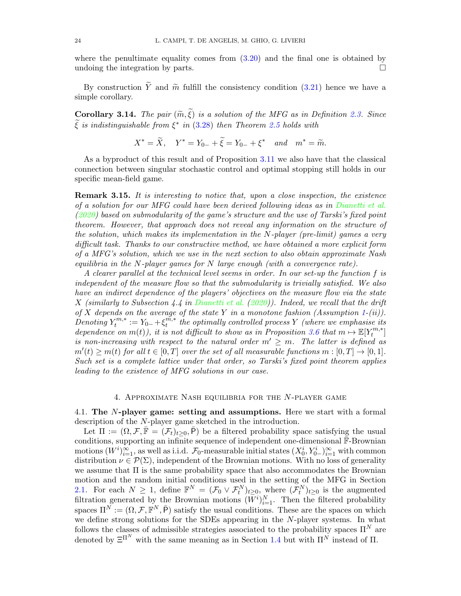where the penultimate equality comes from [\(3.20\)](#page-19-4) and the final one is obtained by undoing the integration by parts.  $\Box$ 

By construction  $\widetilde{Y}$  and  $\widetilde{m}$  fulfill the consistency condition [\(3.21\)](#page-19-3) hence we have a simple corollary.

Corollary 3.14. The pair  $(\widetilde{m}, \widetilde{\xi})$  is a solution of the MFG as in Definition [2.3.](#page-8-0) Since  $\widetilde{\xi}$  is indistinguishable from  $\xi^*$  in [\(3.28\)](#page-22-3) then Theorem [2.5](#page-10-0) holds with

$$
X^* = \widetilde{X}, \quad Y^* = Y_{0-} + \widetilde{\xi} = Y_{0-} + \xi^* \quad and \quad m^* = \widetilde{m}.
$$

As a byproduct of this result and of Proposition [3.11](#page-22-0) we also have that the classical connection between singular stochastic control and optimal stopping still holds in our specific mean-field game.

Remark 3.15. It is interesting to notice that, upon a close inspection, the existence of a solution for our MFG could have been derived following ideas as in [Dianetti et al.](#page-44-16) [\(2020\)](#page-44-16) based on submodularity of the game's structure and the use of Tarski's fixed point theorem. However, that approach does not reveal any information on the structure of the solution, which makes its implementation in the N-player (pre-limit) games a very difficult task. Thanks to our constructive method, we have obtained a more explicit form of a MFG's solution, which we use in the next section to also obtain approximate Nash equilibria in the N-player games for N large enough (with a convergence rate).

A clearer parallel at the technical level seems in order. In our set-up the function f is independent of the measure flow so that the submodularity is trivially satisfied. We also have an indirect dependence of the players' objectives on the measure flow via the state X (similarly to Subsection 4.4 in [Dianetti et al.](#page-44-16)  $(2020)$ ). Indeed, we recall that the drift of X depends on the average of the state Y in a monotone fashion (Assumption [1-](#page-9-0)(ii)).  $\stackrel{\cdot}{Denoting} Y^{m,*}_t$  $t^{m,*} := Y_{0-} + \xi_t^{\tilde{m,*}}$  $t^{m,*}$  the optimally controlled process Y (where we emphasise its dependence on  $m(t)$ , it is not difficult to show as in Proposition [3.6](#page-18-2) that  $m \mapsto \mathbb{E}[Y_t^{m,*}]$  $_{t}^{m,*}]$ is non-increasing with respect to the natural order  $m' \geq m$ . The latter is defined as  $m'(t) \geq m(t)$  for all  $t \in [0,T]$  over the set of all measurable functions  $m : [0,T] \to [0,1]$ . Such set is a complete lattice under that order, so Tarski's fixed point theorem applies leading to the existence of MFG solutions in our case.

#### 4. Approximate Nash equilibria for the N-player game

<span id="page-24-1"></span><span id="page-24-0"></span>4.1. The N-player game: setting and assumptions. Here we start with a formal description of the N-player game sketched in the introduction.

Let  $\Pi := (\Omega, \mathcal{F}, \overline{\mathbb{F}} = (\mathcal{F}_t)_{t \geq 0}, \overline{P})$  be a filtered probability space satisfying the usual conditions, supporting an infinite sequence of independent one-dimensional  $\bar{F}$ -Brownian motions  $(W^i)_{i=1}^{\infty}$ , as well as i.i.d.  $\mathcal{F}_0$ -measurable initial states  $(X_0^i, Y_{0-}^i)_{i=1}^{\infty}$  with common distribution  $\nu \in \mathcal{P}(\Sigma)$ , independent of the Brownian motions. With no loss of generality we assume that  $\Pi$  is the same probability space that also accommodates the Brownian motion and the random initial conditions used in the setting of the MFG in Section [2.1.](#page-6-5) For each  $N \geq 1$ , define  $\mathbb{F}^N = (\mathcal{F}_0 \vee \mathcal{F}_t^N)_{t \geq 0}$ , where  $(\mathcal{F}_t^N)_{t \geq 0}$  is the augmented filtration generated by the Brownian motions  $(W^i)_{i=1}^N$ . Then the filtered probability spaces  $\Pi^N := (\Omega, \mathcal{F}, \mathbb{F}^N, \bar{P})$  satisfy the usual conditions. These are the spaces on which we define strong solutions for the SDEs appearing in the N-player systems. In what follows the classes of admissible strategies associated to the probability spaces  $\Pi^N$  are denoted by  $\Xi^{\Pi^N}$  with the same meaning as in Section [1.4](#page-5-0) but with  $\Pi^N$  instead of  $\Pi$ .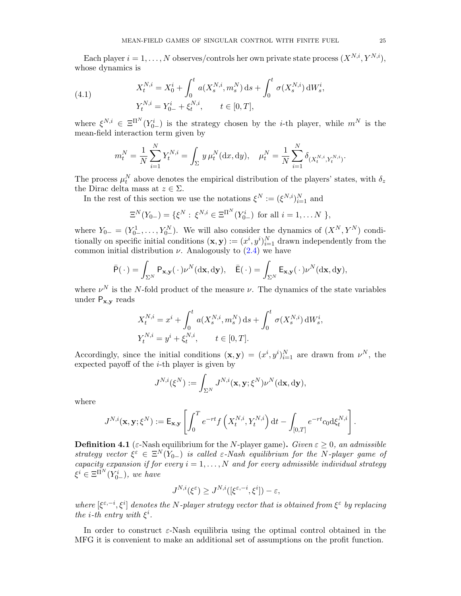Each player  $i = 1, ..., N$  observes/controls her own private state process  $(X^{N,i}, Y^{N,i}),$ whose dynamics is

<span id="page-25-0"></span>(4.1) 
$$
X_t^{N,i} = X_0^i + \int_0^t a(X_s^{N,i}, m_s^N) ds + \int_0^t \sigma(X_s^{N,i}) dW_s^i,
$$

$$
Y_t^{N,i} = Y_{0-}^i + \xi_t^{N,i}, \qquad t \in [0, T],
$$

where  $\xi^{N,i} \in \Xi^{\Pi^N}(Y^i_{0-})$  is the strategy chosen by the *i*-th player, while  $m^N$  is the mean-field interaction term given by

$$
m_t^N = \frac{1}{N} \sum_{i=1}^N Y_t^{N,i} = \int_{\Sigma} y \,\mu_t^N(\mathrm{d}x, \mathrm{d}y), \quad \mu_t^N = \frac{1}{N} \sum_{i=1}^N \delta_{(X_t^{N,i}, Y_t^{N,i})}.
$$

The process  $\mu_t^N$  above denotes the empirical distribution of the players' states, with  $\delta_z$ the Dirac delta mass at  $z \in \Sigma$ .

In the rest of this section we use the notations  $\xi^N := (\xi^{N,i})_{i=1}^N$  and

$$
\Xi^N(Y_{0-}) = \{ \xi^N : \xi^{N,i} \in \Xi^{\Pi^N}(Y_{0-}^i) \text{ for all } i = 1, \dots N \},
$$

where  $Y_{0-} = (Y_{0-}^1, \ldots, Y_{0-}^N)$ . We will also consider the dynamics of  $(X^N, Y^N)$  conditionally on specific initial conditions  $(\mathbf{x}, \mathbf{y}) := (x^i, y^i)_{i=1}^N$  drawn independently from the common initial distribution  $\nu$ . Analogously to [\(2.4\)](#page-7-1) we have

$$
\bar{\mathsf{P}}(\,\cdot\,) = \int_{\Sigma^N} \mathsf{P}_{\mathbf{x},\mathbf{y}}(\,\cdot\,)\nu^N(\mathrm{d}\mathbf{x},\mathrm{d}\mathbf{y}), \quad \bar{\mathsf{E}}(\,\cdot\,) = \int_{\Sigma^N} \mathsf{E}_{\mathbf{x},\mathbf{y}}(\,\cdot\,)\nu^N(\mathrm{d}\mathbf{x},\mathrm{d}\mathbf{y}),
$$

where  $\nu^N$  is the N-fold product of the measure  $\nu$ . The dynamics of the state variables under  $P_{x,y}$  reads

$$
X_t^{N,i} = x^i + \int_0^t a(X_s^{N,i}, m_s^N) ds + \int_0^t \sigma(X_s^{N,i}) dW_s^i,
$$
  

$$
Y_t^{N,i} = y^i + \xi_t^{N,i}, \qquad t \in [0, T].
$$

Accordingly, since the initial conditions  $(\mathbf{x}, \mathbf{y}) = (x^i, y^i)_{i=1}^N$  are drawn from  $\nu^N$ , the expected payoff of the  $i$ -th player is given by

$$
J^{N,i}(\xi^N):=\int_{\Sigma^N}J^{N,i}(\mathbf{x},\mathbf{y};\xi^N)\nu^N(\mathrm{d}\mathbf{x},\mathrm{d}\mathbf{y}),
$$

where

$$
J^{N,i}(\mathbf{x}, \mathbf{y}; \xi^N) := \mathsf{E}_{\mathbf{x}, \mathbf{y}} \left[ \int_0^T e^{-rt} f\left(X_t^{N,i}, Y_t^{N,i}\right) dt - \int_{[0,T]} e^{-rt} c_0 d\xi_t^{N,i} \right].
$$

<span id="page-25-1"></span>**Definition 4.1** (ε-Nash equilibrium for the N-player game). Given  $\varepsilon > 0$ , an admissible strategy vector  $\xi^{\varepsilon} \in \Xi^N(Y_{0-})$  is called  $\varepsilon$ -Nash equilibrium for the N-player game of capacity expansion if for every  $i = 1, ..., N$  and for every admissible individual strategy  $\xi^i \in \Xi^{\Pi^N}(Y^i_{0-}),$  we have

$$
J^{N,i}(\xi^{\varepsilon}) \ge J^{N,i}([\xi^{\varepsilon,-i},\xi^i]) - \varepsilon,
$$

where  $[\xi^{\varepsilon,-i},\xi^i]$  denotes the N-player strategy vector that is obtained from  $\xi^{\varepsilon}$  by replacing the *i*-th entry with  $\xi^i$ .

In order to construct  $\varepsilon$ -Nash equilibria using the optimal control obtained in the MFG it is convenient to make an additional set of assumptions on the profit function.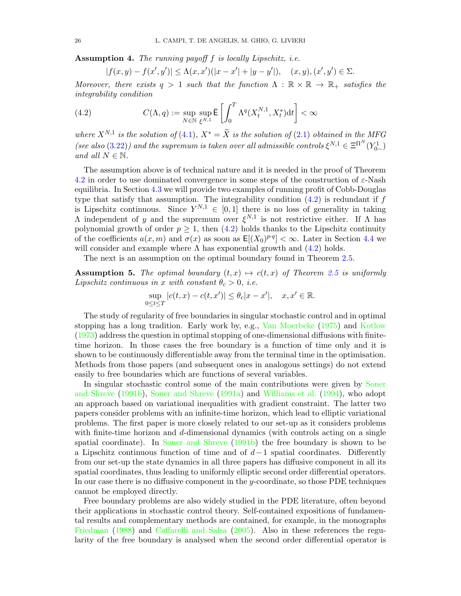<span id="page-26-2"></span>Assumption 4. The running payoff f is locally Lipschitz, i.e.

$$
|f(x,y) - f(x',y')| \le \Lambda(x,x')(|x - x'| + |y - y'|), \quad (x,y), (x',y') \in \Sigma.
$$

Moreover, there exists  $q > 1$  such that the function  $\Lambda : \mathbb{R} \times \mathbb{R} \to \mathbb{R}_+$  satisfies the integrability condition

<span id="page-26-0"></span>(4.2) 
$$
C(\Lambda, q) := \sup_{N \in \mathbb{N}} \sup_{\xi^{N,1}} \overline{E} \left[ \int_0^T \Lambda^q(X_t^{N,1}, X_t^*) dt \right] < \infty
$$

where  $X^{N,1}$  is the solution of [\(4.1\)](#page-25-0),  $X^* = \tilde{X}$  is the solution of [\(2.1\)](#page-6-2) obtained in the MFG (see also [\(3.22\)](#page-19-0)) and the supremum is taken over all admissible controls  $\xi^{N,1} \in \Xi^{\Pi^N}(Y_{0-}^1)$ and all  $N \in \mathbb{N}$ .

The assumption above is of technical nature and it is needed in the proof of Theorem [4.2](#page-27-0) in order to use dominated convergence in some steps of the construction of  $\varepsilon$ -Nash equilibria. In Section [4.3](#page-31-0) we will provide two examples of running profit of Cobb-Douglas type that satisfy that assumption. The integrability condition  $(4.2)$  is redundant if f is Lipschitz continuous. Since  $Y^{N,1} \in [0,1]$  there is no loss of generality in taking  $Λ$  independent of y and the supremum over  $ξ<sup>N,1</sup>$  is not restrictive either. If  $Λ$  has polynomial growth of order  $p \geq 1$ , then [\(4.2\)](#page-26-0) holds thanks to the Lipschitz continuity of the coefficients  $a(x, m)$  and  $\sigma(x)$  as soon as  $\mathsf{E}[(X_0)^{p \cdot q}] < \infty$ . Later in Section [4.4](#page-36-0) we will consider and example where  $\Lambda$  has exponential growth and  $(4.2)$  holds.

The next is an assumption on the optimal boundary found in Theorem [2.5.](#page-10-0)

<span id="page-26-1"></span>**Assumption 5.** The optimal boundary  $(t, x) \mapsto c(t, x)$  of Theorem [2.5](#page-10-0) is uniformly Lipschitz continuous in x with constant  $\theta_c > 0$ , i.e.

$$
\sup_{0\leq t\leq T}|c(t,x)-c(t,x')|\leq \theta_c|x-x'|,\quad x,x'\in\mathbb{R}.
$$

The study of regularity of free boundaries in singular stochastic control and in optimal stopping has a long tradition. Early work by, e.g., [Van Moerbeke](#page-45-11) [\(1975\)](#page-45-11) and [Kotlow](#page-45-12) [\(1973\)](#page-45-12) address the question in optimal stopping of one-dimensional diffusions with finitetime horizon. In those cases the free boundary is a function of time only and it is shown to be continuously differentiable away from the terminal time in the optimisation. Methods from those papers (and subsequent ones in analogous settings) do not extend easily to free boundaries which are functions of several variables.

In singular stochastic control some of the main contributions were given by [Soner](#page-45-13) [and Shreve](#page-45-13) [\(1991b\)](#page-45-13), [Soner and Shreve](#page-45-14) [\(1991a\)](#page-45-14) and [Williams et al.](#page-45-15) [\(1994\)](#page-45-15), who adopt an approach based on variational inequalities with gradient constraint. The latter two papers consider problems with an infinite-time horizon, which lead to elliptic variational problems. The first paper is more closely related to our set-up as it considers problems with finite-time horizon and d-dimensional dynamics (with controls acting on a single spatial coordinate). In [Soner and Shreve](#page-45-13) [\(1991b\)](#page-45-13) the free boundary is shown to be a Lipschitz continuous function of time and of  $d-1$  spatial coordinates. Differently from our set-up the state dynamics in all three papers has diffusive component in all its spatial coordinates, thus leading to uniformly elliptic second order differential operators. In our case there is no diffusive component in the y-coordinate, so those PDE techniques cannot be employed directly.

Free boundary problems are also widely studied in the PDE literature, often beyond their applications in stochastic control theory. Self-contained expositions of fundamental results and complementary methods are contained, for example, in the monographs [Friedman](#page-44-20) [\(1988\)](#page-44-20) and [Caffarelli and Salsa](#page-43-10) [\(2005\)](#page-43-10). Also in these references the regularity of the free boundary is analysed when the second order differential operator is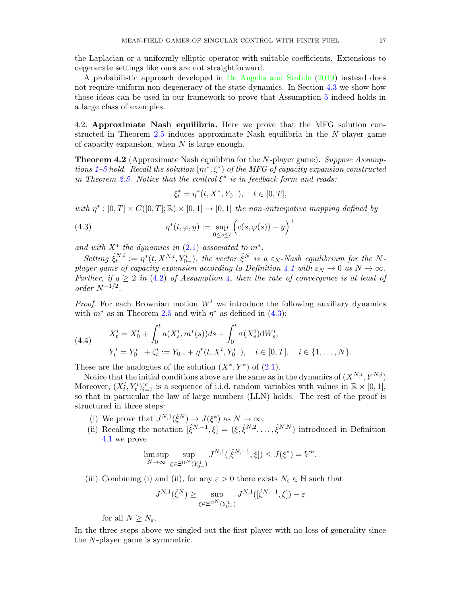the Laplacian or a uniformly elliptic operator with suitable coefficients. Extensions to degenerate settings like ours are not straightforward.

A probabilistic approach developed in [De Angelis and Stabile](#page-44-21) [\(2019\)](#page-44-21) instead does not require uniform non-degeneracy of the state dynamics. In Section [4.3](#page-31-0) we show how those ideas can be used in our framework to prove that Assumption [5](#page-26-1) indeed holds in a large class of examples.

4.2. Approximate Nash equilibria. Here we prove that the MFG solution constructed in Theorem [2.5](#page-10-0) induces approximate Nash equilibria in the N-player game of capacity expansion, when  $N$  is large enough.

<span id="page-27-0"></span>**Theorem 4.2** (Approximate Nash equilibria for the N-player game). Suppose Assump-tions [1](#page-9-0)[–5](#page-26-1) hold. Recall the solution  $(m^*, \xi^*)$  of the MFG of capacity expansion constructed in Theorem [2.5.](#page-10-0) Notice that the control  $\xi^*$  is in feedback form and reads:

$$
\xi_t^* = \eta^*(t, X^*, Y_{0-}), \quad t \in [0, T],
$$

with  $\eta^*: [0,T] \times C([0,T];\mathbb{R}) \times [0,1] \to [0,1]$  the non-anticipative mapping defined by

<span id="page-27-1"></span>(4.3) 
$$
\eta^*(t,\varphi,y) := \sup_{0 \le s \le t} \left( c(s,\varphi(s)) - y \right)^+
$$

and with  $X^*$  the dynamics in  $(2.1)$  associated to  $m^*$ .

Setting  $\hat{\xi}_t^{N,i}$  $t^{N,i}_t := \eta^*(t, X^{N,i}, Y^i_{0-}),$  the vector  $\hat{\xi}^N$  is a  $\varepsilon_N$ -Nash equilibrium for the N-player game of capacity expansion according to Definition [4.1](#page-25-1) with  $\varepsilon_N \to 0$  as  $N \to \infty$ . Further, if  $q \ge 2$  in [\(4.2\)](#page-26-0) of Assumption [4,](#page-26-2) then the rate of convergence is at least of order  $N^{-1/2}$ .

*Proof.* For each Brownian motion  $W<sup>i</sup>$  we introduce the following auxiliary dynamics with  $m^*$  as in Theorem [2.5](#page-10-0) and with  $\eta^*$  as defined in [\(4.3\)](#page-27-1):

<span id="page-27-2"></span>(4.4) 
$$
X_t^i = X_0^i + \int_0^t a(X_s^i, m^*(s))ds + \int_0^t \sigma(X_s^i) dW_s^i,
$$

$$
Y_t^i = Y_{0-}^i + \zeta_t^i := Y_{0-} + \eta^*(t, X^i, Y_{0-}^i), \quad t \in [0, T], \quad i \in \{1, \dots, N\}.
$$

These are the analogues of the solution  $(X^*, Y^*)$  of  $(2.1)$ .

Notice that the initial conditions above are the same as in the dynamics of  $(X^{N,i}, Y^{N,i})$ . Moreover,  $(X_t^i, Y_t^i)_{i=1}^{\infty}$  is a sequence of i.i.d. random variables with values in  $\mathbb{R} \times [0,1]$ , so that in particular the law of large numbers (LLN) holds. The rest of the proof is structured in three steps:

- (i) We prove that  $J^{N,1}(\hat{\xi}^N) \to J(\xi^*)$  as  $N \to \infty$ .
- (ii) Recalling the notation  $[\hat{\xi}^{N,-1}, \xi] = (\xi, \hat{\xi}^{N,2}, \dots, \hat{\xi}^{N,N})$  introduced in Definition [4.1](#page-25-1) we prove

$$
\limsup_{N \to \infty} \sup_{\xi \in \Xi^{\Pi^N}(Y^1_{0-})} J^{N,1}([\hat{\xi}^{N,-1}, \xi]) \le J(\xi^*) = V^{\nu}.
$$

(iii) Combining (i) and (ii), for any  $\varepsilon > 0$  there exists  $N_{\varepsilon} \in \mathbb{N}$  such that

$$
J^{N,1}(\hat{\xi}^N) \geq \sup_{\xi \in \Xi^{\Pi^N}(Y^1_{0-})} J^{N,1}([\hat{\xi}^{N,-1},\xi]) - \varepsilon
$$

for all  $N \geq N_{\varepsilon}$ .

In the three steps above we singled out the first player with no loss of generality since the N-player game is symmetric.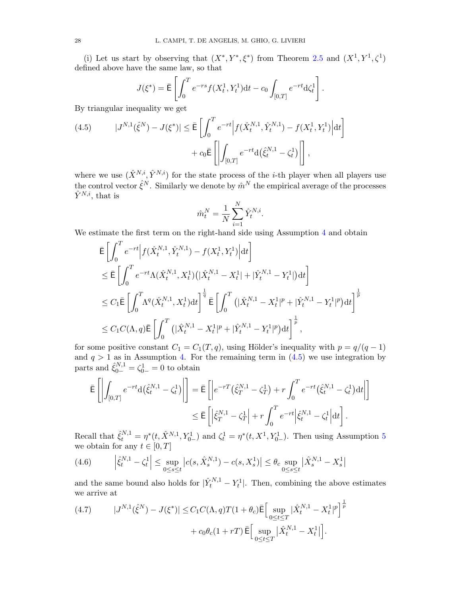(i) Let us start by observing that  $(X^*, Y^*, \xi^*)$  from Theorem [2.5](#page-10-0) and  $(X^1, Y^1, \zeta^1)$ defined above have the same law, so that

$$
J(\xi^*) = \bar{\mathsf{E}} \left[ \int_0^T e^{-rs} f(X_t^1, Y_t^1) \mathrm{d}t - c_0 \int_{[0,T]} e^{-rt} \mathrm{d}\zeta_t^1 \right].
$$

By triangular inequality we get

<span id="page-28-0"></span>(4.5) 
$$
|J^{N,1}(\hat{\xi}^N) - J(\xi^*)| \leq \bar{E} \left[ \int_0^T e^{-rt} \left| f(\hat{X}_t^{N,1}, \hat{Y}_t^{N,1}) - f(X_t^1, Y_t^1) \right| dt \right] + c_0 \bar{E} \left[ \left| \int_{[0,T]} e^{-rt} d(\hat{\xi}_t^{N,1} - \zeta_t^1) \right| \right],
$$

where we use  $(\hat{X}^{N,i}, \hat{Y}^{N,i})$  for the state process of the *i*-th player when all players use the control vector  $\hat{\xi}^N$ . Similarly we denote by  $\hat{m}^N$  the empirical average of the processes  $\hat{Y}^{N,i}$ , that is

$$
\hat{m}_t^N = \frac{1}{N} \sum_{i=1}^N \hat{Y}_t^{N,i}.
$$

We estimate the first term on the right-hand side using Assumption [4](#page-26-2) and obtain

$$
\begin{split}\n&\bar{\mathsf{E}}\left[\int_{0}^{T}e^{-rt}\Big|f(\hat{X}_{t}^{N,1},\hat{Y}_{t}^{N,1})-f(X_{t}^{1},Y_{t}^{1})\Big|\mathrm{d}t\right] \\
&\leq \bar{\mathsf{E}}\left[\int_{0}^{T}e^{-rt}\Lambda(\hat{X}_{t}^{N,1},X_{t}^{1})(|\hat{X}_{t}^{N,1}-X_{t}^{1}|+|\hat{Y}_{t}^{N,1}-Y_{t}^{1}|)\mathrm{d}t\right] \\
&\leq C_{1}\bar{\mathsf{E}}\left[\int_{0}^{T}\Lambda^{q}(\hat{X}_{t}^{N,1},X_{t}^{1})\mathrm{d}t\right]^{\frac{1}{q}}\bar{\mathsf{E}}\left[\int_{0}^{T}\left(|\hat{X}_{t}^{N,1}-X_{t}^{1}|^{p}+|\hat{Y}_{t}^{N,1}-Y_{t}^{1}|^{p}\right)\mathrm{d}t\right]^{\frac{1}{p}} \\
&\leq C_{1}C(\Lambda,q)\bar{\mathsf{E}}\left[\int_{0}^{T}\left(|\hat{X}_{t}^{N,1}-X_{t}^{1}|^{p}+|\hat{Y}_{t}^{N,1}-Y_{t}^{1}|^{p}\right)\mathrm{d}t\right]^{\frac{1}{p}},\n\end{split}
$$

for some positive constant  $C_1 = C_1(T, q)$ , using Hölder's inequality with  $p = q/(q - 1)$ and  $q > 1$  as in Assumption [4.](#page-26-2) For the remaining term in  $(4.5)$  we use integration by parts and  $\hat{\xi}_{0-}^{N,1} = \zeta_{0-}^1 = 0$  to obtain

$$
\begin{aligned} \bar{\mathsf{E}}\left[\left|\int_{[0,T]}e^{-rt}\mathrm{d}\left(\hat{\xi}^{N,1}_t-\zeta^1_t\right)\right|\right] &= \bar{\mathsf{E}}\left[\left|e^{-rT}\left(\hat{\xi}^{N,1}_T-\zeta^1_T\right)+r\int_0^Te^{-rt}\left(\hat{\xi}^{N,1}_t-\zeta^1_t\right)\mathrm{d}t\right|\right] \\ &\leq \bar{\mathsf{E}}\left[\left|\hat{\xi}^{N,1}_T-\zeta^1_T\right|+r\int_0^Te^{-rt}\left|\hat{\xi}^{N,1}_t-\zeta^1_t\right|\mathrm{d}t\right]. \end{aligned}
$$

Recall that  $\hat{\xi}_t^{N,1} = \eta^*(t, \hat{X}^{N,1}, Y_{0-}^1)$  and  $\zeta_t^1 = \eta^*(t, X^1, Y_{0-}^1)$ . Then using Assumption [5](#page-26-1) we obtain for any  $t \in [0, T]$ 

<span id="page-28-1"></span>
$$
(4.6) \qquad \left| \hat{\xi}_t^{N,1} - \zeta_t^1 \right| \le \sup_{0 \le s \le t} \left| c(s, \hat{X}_s^{N,1}) - c(s, X_s^1) \right| \le \theta_c \sup_{0 \le s \le t} \left| \hat{X}_s^{N,1} - X_s^1 \right|
$$

and the same bound also holds for  $|\hat{Y}_t^{N,1} - Y_t^1|$ . Then, combining the above estimates we arrive at

<span id="page-28-2"></span>(4.7) 
$$
|J^{N,1}(\hat{\xi}^{N}) - J(\xi^{*})| \leq C_{1}C(\Lambda, q)T(1 + \theta_{c})\bar{\mathbb{E}}\Big[\sup_{0 \leq t \leq T} |\hat{X}_{t}^{N,1} - X_{t}^{1}|^{p}\Big]^{\frac{1}{p}} + c_{0}\theta_{c}(1 + rT)\bar{\mathbb{E}}\Big[\sup_{0 \leq t \leq T} |\hat{X}_{t}^{N,1} - X_{t}^{1}|\Big].
$$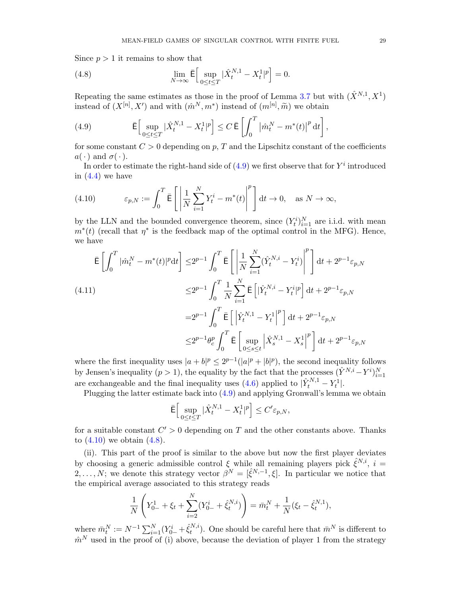Since  $p > 1$  it remains to show that

<span id="page-29-2"></span>(4.8) 
$$
\lim_{N \to \infty} \bar{E} \Big[ \sup_{0 \le t \le T} |\hat{X}_t^{N,1} - X_t^1|^p \Big] = 0.
$$

Repeating the same estimates as those in the proof of Lemma [3.7](#page-19-2) but with  $(\hat{X}^{N,1}, X^1)$ instead of  $(X^{[n]}, X')$  and with  $(\hat{m}^N, m^*)$  instead of  $(m^{[n]}, \widetilde{m})$  we obtain

<span id="page-29-0"></span>(4.9) 
$$
\overline{\mathsf{E}}\Big[\sup_{0\leq t\leq T}|\hat{X}_t^{N,1}-X_t^1|^p\Big]\leq C\,\overline{\mathsf{E}}\left[\int_0^T\big|\hat{m}_t^N-m^*(t)\big|^p\,\mathrm{d}t\right],
$$

for some constant  $C > 0$  depending on p, T and the Lipschitz constant of the coefficients  $a(\cdot)$  and  $\sigma(\cdot)$ .

In order to estimate the right-hand side of  $(4.9)$  we first observe that for  $Y^i$  introduced in  $(4.4)$  we have

<span id="page-29-1"></span>(4.10) 
$$
\varepsilon_{p,N} := \int_0^T \bar{\mathbf{E}} \left[ \left| \frac{1}{N} \sum_{i=1}^N Y_t^i - m^*(t) \right|^p \right] dt \to 0, \text{ as } N \to \infty,
$$

by the LLN and the bounded convergence theorem, since  $(Y_t^i)_{i=1}^N$  are i.i.d. with mean  $m^*(t)$  (recall that  $\eta^*$  is the feedback map of the optimal control in the MFG). Hence, we have

<span id="page-29-3"></span>
$$
\begin{split} \bar{\mathsf{E}}\left[\int_{0}^{T}|\hat{m}_{t}^{N}-m^{*}(t)|^{p}\mathrm{d}t\right] \leq & 2^{p-1}\int_{0}^{T}\bar{\mathsf{E}}\left[\left|\frac{1}{N}\sum_{i=1}^{N}(\hat{Y}_{t}^{N,i}-Y_{t}^{i})\right|^{p}\right]\mathrm{d}t + 2^{p-1}\varepsilon_{p,N} \\ \leq & 2^{p-1}\int_{0}^{T}\frac{1}{N}\sum_{i=1}^{N}\bar{\mathsf{E}}\left[|\hat{Y}_{t}^{N,i}-Y_{t}^{i}|^{p}\right]\mathrm{d}t + 2^{p-1}\varepsilon_{p,N} \\ =& 2^{p-1}\int_{0}^{T}\bar{\mathsf{E}}\left[\left|\hat{Y}_{t}^{N,1}-Y_{t}^{1}\right|^{p}\right]\mathrm{d}t + 2^{p-1}\varepsilon_{p,N} \\ \leq & 2^{p-1}\theta_{c}^{p}\int_{0}^{T}\bar{\mathsf{E}}\left[\left|\sup_{0\leq s\leq t}\left|\hat{X}_{s}^{N,1}-X_{s}^{1}\right|^{p}\right]\mathrm{d}t + 2^{p-1}\varepsilon_{p,N} \end{split}
$$

where the first inequality uses  $|a+b|^p \leq 2^{p-1}(|a|^p + |b|^p)$ , the second inequality follows by Jensen's inequality  $(p > 1)$ , the equality by the fact that the processes  $(\hat{Y}^{N,i} - Y^i)_{i=1}^N$ are exchangeable and the final inequality uses [\(4.6\)](#page-28-1) applied to  $|\hat{Y}_t^{N,1} - Y_t^1|$ .

Plugging the latter estimate back into [\(4.9\)](#page-29-0) and applying Gronwall's lemma we obtain

$$
\bar{\mathsf{E}}\Big[\sup_{0\leq t\leq T}|\hat{X}^{N,1}_{t}-X^{1}_{t}|^{p}\Big]\leq C'\varepsilon_{p,N},
$$

for a suitable constant  $C' > 0$  depending on T and the other constants above. Thanks to  $(4.10)$  we obtain  $(4.8)$ .

(ii). This part of the proof is similar to the above but now the first player deviates by choosing a generic admissible control  $\xi$  while all remaining players pick  $\hat{\xi}^{N,i}$ ,  $i =$ 2, ..., N; we denote this strategy vector  $\beta^{N} = [\hat{\xi}^{N,-1}, \xi]$ . In particular we notice that the empirical average associated to this strategy reads

$$
\frac{1}{N} \left( Y_{0-}^1 + \xi_t + \sum_{i=2}^N (Y_{0-}^i + \hat{\xi}_t^{N,i}) \right) = \bar{m}_t^N + \frac{1}{N} (\xi_t - \hat{\xi}_t^{N,1}),
$$

where  $\bar{m}_t^N := N^{-1} \sum_{i=1}^N (Y_{0-}^i + \hat{\xi}_t^{N,i})$  $t^{N,i}$ ). One should be careful here that  $\bar{m}^N$  is different to  $\hat{m}^N$  used in the proof of (i) above, because the deviation of player 1 from the strategy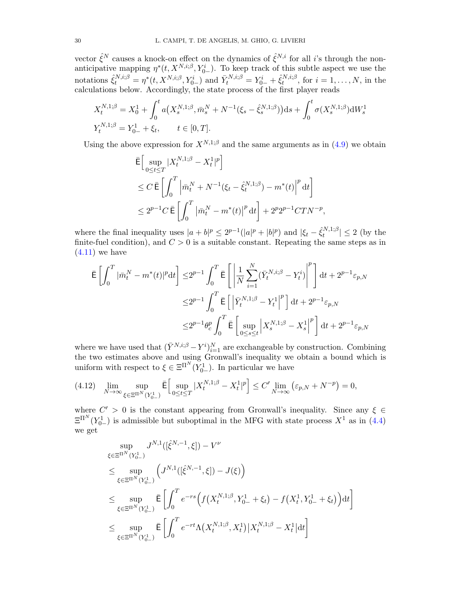vector  $\hat{\xi}^N$  causes a knock-on effect on the dynamics of  $\hat{\xi}^{N,i}$  for all *i*'s through the nonanticipative mapping  $\eta^*(t, X^{N,i;\beta}, Y^i_{0-})$ . To keep track of this subtle aspect we use the notations  $\hat{\xi}_t^{N,i;\beta} = \eta^*(t, X^{N,i;\beta}, Y_{0-}^i)$  and  $\bar{Y}_t^{N,i;\beta} = Y_{0-}^i + \hat{\xi}_t^{N,i;\beta}$  $t^{N,i;\beta}_{t}$ , for  $i=1,\ldots,N$ , in the calculations below. Accordingly, the state process of the first player reads

$$
X_t^{N,1;\beta} = X_0^1 + \int_0^t a(X_s^{N,1;\beta}, \bar{m}_s^N + N^{-1}(\xi_s - \hat{\xi}_s^{N,1;\beta})) ds + \int_0^t \sigma(X_s^{N,1;\beta}) dW_s^1
$$
  

$$
Y_t^{N,1;\beta} = Y_{0-}^1 + \xi_t, \qquad t \in [0,T].
$$

Using the above expression for  $X^{N,1;\beta}$  and the same arguments as in [\(4.9\)](#page-29-0) we obtain

$$
\begin{aligned} &\bar{\mathsf{E}} \Big[ \sup_{0 \le t \le T} |X_t^{N,1;\beta} - X_t^1|^p \Big] \\ &\le C \, \bar{\mathsf{E}} \left[ \int_0^T \Big| \bar{m}_t^N + N^{-1} (\xi_t - \hat{\xi}_t^{N,1;\beta}) - m^*(t) \Big|^p \, \mathrm{d} t \right] \\ &\le 2^{p-1} C \, \bar{\mathsf{E}} \left[ \int_0^T \big| \bar{m}_t^N - m^*(t) \big|^p \, \mathrm{d} t \right] + 2^p 2^{p-1} C T N^{-p}, \end{aligned}
$$

where the final inequality uses  $|a+b|^p \leq 2^{p-1}(|a|^p + |b|^p)$  and  $|\xi_t - \hat{\xi}_t^{N,1;\beta}|$  $|t^{N,1;\rho}| \leq 2$  (by the finite-fuel condition), and  $C > 0$  is a suitable constant. Repeating the same steps as in  $(4.11)$  we have

$$
\begin{aligned} \bar{\mathsf{E}}\left[\int_0^T|\bar{m}^N_t-m^*(t)|^p\mathrm{d} t\right] \leq& 2^{p-1}\int_0^T\bar{\mathsf{E}}\left[\left|\frac{1}{N}\sum_{i=1}^N(\bar{Y}^{N,i;\beta}_t-Y^i_t)\right|^p\right]\mathrm{d} t + 2^{p-1}\varepsilon_{p,N}\\ \leq& 2^{p-1}\int_0^T\bar{\mathsf{E}}\left[\left|\bar{Y}^{N,1;\beta}_t-Y^1_t\right|^p\right]\mathrm{d} t + 2^{p-1}\varepsilon_{p,N}\\ \leq& 2^{p-1}\theta^p_c\int_0^T\bar{\mathsf{E}}\left[\left|\sup_{0\leq s\leq t}\left|X^{N,1;\beta}_s-X^1_s\right|^p\right]\mathrm{d} t + 2^{p-1}\varepsilon_{p,N} \end{aligned}
$$

where we have used that  $(\bar{Y}^{N,i;\beta} - Y^i)_{i=1}^N$  are exchangeable by construction. Combining the two estimates above and using Gronwall's inequality we obtain a bound which is uniform with respect to  $\xi \in \Xi^{\Pi^N}(Y_{0-}^1)$ . In particular we have

<span id="page-30-0"></span>
$$
(4.12) \quad \lim_{N \to \infty} \sup_{\xi \in \Xi^{\Pi^N}(Y^1_{0-})} \bar{E} \Big[ \sup_{0 \le t \le T} |X_t^{N,1;\beta} - X_t^1|^p \Big] \le C' \lim_{N \to \infty} \left( \varepsilon_{p,N} + N^{-p} \right) = 0,
$$

where  $C' > 0$  is the constant appearing from Gronwall's inequality. Since any  $\xi \in$  $\Xi^{\Pi^{N}}(Y_{0-}^1)$  is admissible but suboptimal in the MFG with state process  $X^1$  as in [\(4.4\)](#page-27-2) we get

$$
\sup_{\xi \in \Xi^{\Pi^N}(Y_{0-}^1)} J^{N,1}([\hat{\xi}^{N,-1},\xi]) - V^{\nu}
$$
\n
$$
\leq \sup_{\xi \in \Xi^{\Pi^N}(Y_{0-}^1)} \left( J^{N,1}([\hat{\xi}^{N,-1},\xi]) - J(\xi) \right)
$$
\n
$$
\leq \sup_{\xi \in \Xi^{\Pi^N}(Y_{0-}^1)} \bar{E} \left[ \int_0^T e^{-rs} \left( f(X_t^{N,1;\beta}, Y_{0-}^1 + \xi_t) - f(X_t^1, Y_{0-}^1 + \xi_t) \right) dt \right]
$$
\n
$$
\leq \sup_{\xi \in \Xi^{\Pi^N}(Y_{0-}^1)} \bar{E} \left[ \int_0^T e^{-rt} \Lambda(X_t^{N,1;\beta}, X_t^1) |X_t^{N,1;\beta} - X_t^1| dt \right]
$$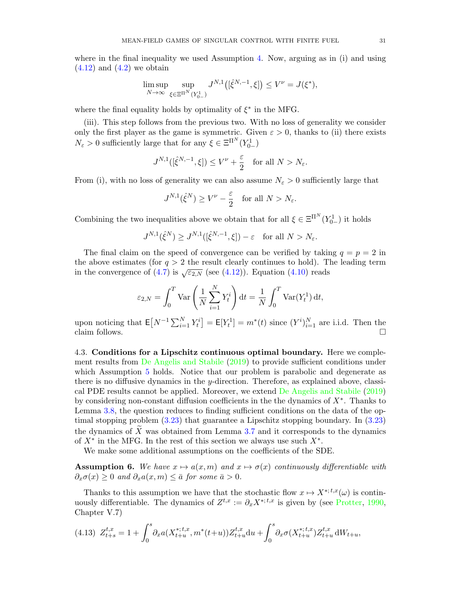where in the final inequality we used Assumption [4.](#page-26-2) Now, arguing as in (i) and using  $(4.12)$  and  $(4.2)$  we obtain

$$
\limsup_{N \to \infty} \sup_{\xi \in \Xi^{\Pi^N}(Y^1_{0-})} J^{N,1}([\hat{\xi}^{N,-1}, \xi]) \le V^{\nu} = J(\xi^*),
$$

where the final equality holds by optimality of  $\xi^*$  in the MFG.

(iii). This step follows from the previous two. With no loss of generality we consider only the first player as the game is symmetric. Given  $\varepsilon > 0$ , thanks to (ii) there exists  $N_{\varepsilon} > 0$  sufficiently large that for any  $\xi \in \Xi^{\Pi^N}(Y_{0-}^1)$ 

$$
J^{N,1}([\hat{\xi}^{N,-1},\xi]) \le V^{\nu} + \frac{\varepsilon}{2} \quad \text{for all } N > N_{\varepsilon}.
$$

From (i), with no loss of generality we can also assume  $N_{\varepsilon} > 0$  sufficiently large that

$$
J^{N,1}(\hat{\xi}^N) \ge V^{\nu} - \frac{\varepsilon}{2} \quad \text{for all } N > N_{\varepsilon}.
$$

Combining the two inequalities above we obtain that for all  $\xi \in \Xi^{\Pi^N}(Y^1_{0-})$  it holds

$$
J^{N,1}(\hat{\xi}^N) \ge J^{N,1}([\hat{\xi}^{N,-1},\xi]) - \varepsilon \quad \text{for all } N > N_{\varepsilon}.
$$

The final claim on the speed of convergence can be verified by taking  $q = p = 2$  in the above estimates (for  $q > 2$  the result clearly continues to hold). The leading term in the convergence of [\(4.7\)](#page-28-2) is  $\sqrt{\varepsilon_{2,N}}$  (see [\(4.12\)](#page-30-0)). Equation [\(4.10\)](#page-29-1) reads

$$
\varepsilon_{2,N} = \int_0^T \text{Var}\left(\frac{1}{N}\sum_{i=1}^N Y_t^i\right) dt = \frac{1}{N} \int_0^T \text{Var}(Y_t^1) dt,
$$

upon noticing that  $\mathsf{E}[N^{-1}\sum_{i=1}^N Y_t^i] = \mathsf{E}[Y_t^1] = m^*(t)$  since  $(Y^i)_{i=1}^N$  are i.i.d. Then the claim follows.  $\square$ 

<span id="page-31-0"></span>4.3. Conditions for a Lipschitz continuous optimal boundary. Here we complement results from [De Angelis and Stabile](#page-44-21) [\(2019\)](#page-44-21) to provide sufficient conditions under which Assumption [5](#page-26-1) holds. Notice that our problem is parabolic and degenerate as there is no diffusive dynamics in the y-direction. Therefore, as explained above, classical PDE results cannot be applied. Moreover, we extend [De Angelis and Stabile](#page-44-21) [\(2019\)](#page-44-21) by considering non-constant diffusion coefficients in the the dynamics of  $X^*$ . Thanks to Lemma [3.8,](#page-20-2) the question reduces to finding sufficient conditions on the data of the optimal stopping problem [\(3.23\)](#page-20-0) that guarantee a Lipschitz stopping boundary. In [\(3.23\)](#page-20-0) the dynamics of  $\widetilde{X}$  was obtained from Lemma [3.7](#page-19-2) and it corresponds to the dynamics of  $X^*$  in the MFG. In the rest of this section we always use such  $X^*$ .

We make some additional assumptions on the coefficients of the SDE.

<span id="page-31-2"></span>**Assumption 6.** We have  $x \mapsto a(x, m)$  and  $x \mapsto \sigma(x)$  continuously differentiable with  $\partial_{x}\sigma(x) \geq 0$  and  $\partial_{x}a(x,m) \leq \bar{a}$  for some  $\bar{a} > 0$ .

Thanks to this assumption we have that the stochastic flow  $x \mapsto X^{*,t,x}(\omega)$  is continuously differentiable. The dynamics of  $Z^{t,x} := \partial_x X^{*,t,x}$  is given by (see [Protter,](#page-45-16) [1990,](#page-45-16) Chapter V.7)

<span id="page-31-1"></span>
$$
(4.13)\ \ Z_{t+s}^{t,x} = 1 + \int_0^s \partial_x a(X_{t+u}^{*,t,x}, m^*(t+u)) Z_{t+u}^{t,x} \mathrm{d}u + \int_0^s \partial_x \sigma(X_{t+u}^{*,t,x}) Z_{t+u}^{t,x} \, \mathrm{d}W_{t+u},
$$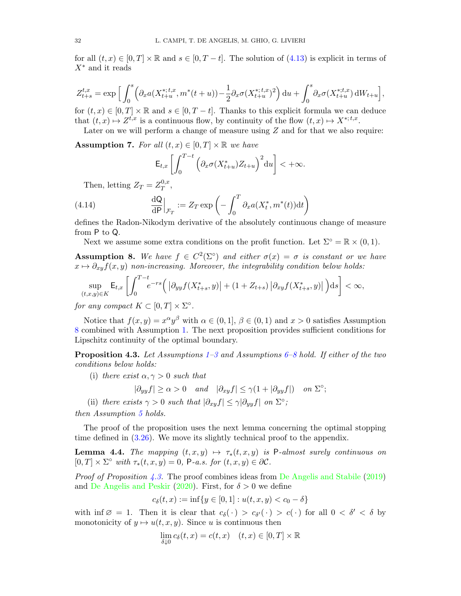for all  $(t, x) \in [0, T] \times \mathbb{R}$  and  $s \in [0, T - t]$ . The solution of  $(4.13)$  is explicit in terms of  $X^*$  and it reads

$$
Z_{t+s}^{t,x} = \exp\Big[\int_0^s \Big(\partial_x a(X_{t+u}^{*,t,x}, m^*(t+u)) - \frac{1}{2}\partial_x \sigma(X_{t+u}^{*,t,x})^2\Big) du + \int_0^s \partial_x \sigma(X_{t+u}^{*,t,x}) dW_{t+u}\Big],
$$

for  $(t, x) \in [0, T] \times \mathbb{R}$  and  $s \in [0, T - t]$ . Thanks to this explicit formula we can deduce that  $(t, x) \mapsto Z^{t, x}$  is a continuous flow, by continuity of the flow  $(t, x) \mapsto X^{*, t, x}$ .

Later on we will perform a change of measure using  $Z$  and for that we also require:

<span id="page-32-4"></span>**Assumption 7.** For all  $(t, x) \in [0, T] \times \mathbb{R}$  we have

$$
\mathsf{E}_{t,x}\left[\int_0^{T-t}\Big(\partial_x\sigma(X^*_{t+u})Z_{t+u}\Big)^2{\rm d}u\right]<+\infty.
$$

Then, letting  $Z_T = Z_T^{0,x}$  $T^{\,0,x},$ 

<span id="page-32-3"></span>(4.14) 
$$
\frac{\mathrm{d}\mathsf{Q}}{\mathrm{d}\mathsf{P}}\Big|_{\mathcal{F}_T} := Z_T \exp\left(-\int_0^T \partial_x a(X_t^*, m^*(t)) \mathrm{d}t\right)
$$

defines the Radon-Nikodym derivative of the absolutely continuous change of measure from P to Q.

Next we assume some extra conditions on the profit function. Let  $\Sigma^{\circ} = \mathbb{R} \times (0, 1)$ .

<span id="page-32-1"></span>**Assumption 8.** We have  $f \in C^2(\Sigma^{\circ})$  and either  $\sigma(x) = \sigma$  is constant or we have  $x \mapsto \partial_{xy}f(x, y)$  non-increasing. Moreover, the integrability condition below holds:

$$
\sup_{(t,x,y)\in K} \mathsf{E}_{t,x}\left[\int_0^{T-t} e^{-rs}\Big(\left|\partial_{yy}f(X^*_{t+s},y)\right|+(1+Z_{t+s})\left|\partial_{xy}f(X^*_{t+s},y)\right|\Big)\mathrm{d}s\right]<\infty,
$$

for any compact  $K \subset [0,T] \times \Sigma^{\circ}$ .

Notice that  $f(x, y) = x^{\alpha}y^{\beta}$  with  $\alpha \in (0, 1], \beta \in (0, 1)$  and  $x > 0$  satisfies Assumption [8](#page-32-1) combined with Assumption [1.](#page-9-0) The next proposition provides sufficient conditions for Lipschitz continuity of the optimal boundary.

<span id="page-32-2"></span>**Proposition 4.[3](#page-10-4).** Let Assumptions  $1-3$  and Assumptions  $6-8$  $6-8$  hold. If either of the two conditions below holds:

(i) there exist  $\alpha, \gamma > 0$  such that

$$
|\partial_{yy} f| \ge \alpha > 0 \quad and \quad |\partial_{xy} f| \le \gamma (1 + |\partial_{yy} f|) \quad on \ \Sigma^{\circ};
$$

(ii) there exists  $\gamma > 0$  such that  $|\partial_{xy} f| \leq \gamma |\partial_{yy} f|$  on  $\Sigma^{\circ}$ ;

then Assumption [5](#page-26-1) holds.

The proof of the proposition uses the next lemma concerning the optimal stopping time defined in [\(3.26\)](#page-21-1). We move its slightly technical proof to the appendix.

<span id="page-32-0"></span>**Lemma 4.4.** The mapping  $(t, x, y) \mapsto \tau_*(t, x, y)$  is P-almost surely continuous on  $[0, T] \times \Sigma^{\circ}$  with  $\tau_*(t, x, y) = 0$ , P-a.s. for  $(t, x, y) \in \partial \mathcal{C}$ .

*Proof of Proposition [4.3.](#page-32-2)* The proof combines ideas from [De Angelis and Stabile](#page-44-21) [\(2019\)](#page-44-21) and [De Angelis and Peskir](#page-44-22) [\(2020\)](#page-44-22). First, for  $\delta > 0$  we define

$$
c_{\delta}(t, x) := \inf\{y \in [0, 1] : u(t, x, y) < c_0 - \delta\}
$$

with inf  $\emptyset = 1$ . Then it is clear that  $c_{\delta}(\cdot) > c_{\delta}(\cdot) > c(\cdot)$  for all  $0 < \delta' < \delta$  by monotonicity of  $y \mapsto u(t, x, y)$ . Since u is continuous then

$$
\lim_{\delta \downarrow 0} c_{\delta}(t, x) = c(t, x) \quad (t, x) \in [0, T] \times \mathbb{R}
$$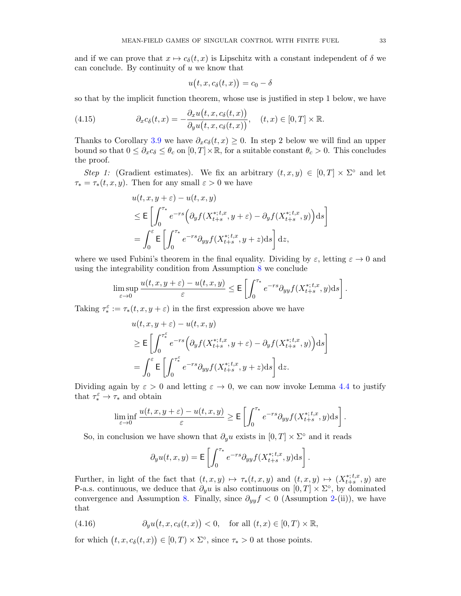and if we can prove that  $x \mapsto c_\delta(t, x)$  is Lipschitz with a constant independent of  $\delta$  we can conclude. By continuity of  $u$  we know that

$$
u(t, x, c_{\delta}(t, x)) = c_0 - \delta
$$

so that by the implicit function theorem, whose use is justified in step 1 below, we have

<span id="page-33-1"></span>(4.15) 
$$
\partial_x c_{\delta}(t,x) = -\frac{\partial_x u(t,x,c_{\delta}(t,x))}{\partial_y u(t,x,c_{\delta}(t,x))}, \quad (t,x) \in [0,T] \times \mathbb{R}.
$$

Thanks to Corollary [3.9](#page-21-2) we have  $\partial_x c_\delta(t, x) \geq 0$ . In step 2 below we will find an upper bound so that  $0 \leq \partial_x c_\delta \leq \theta_c$  on  $[0, T] \times \mathbb{R}$ , for a suitable constant  $\theta_c > 0$ . This concludes the proof.

Step 1: (Gradient estimates). We fix an arbitrary  $(t, x, y) \in [0, T] \times \Sigma^{\circ}$  and let  $\tau_* = \tau_*(t, x, y)$ . Then for any small  $\varepsilon > 0$  we have

$$
u(t, x, y + \varepsilon) - u(t, x, y)
$$
  
\n
$$
\leq \mathsf{E}\left[\int_0^{\tau_*} e^{-rs} \left(\partial_y f(X_{t+s}^{*,t,x}, y + \varepsilon) - \partial_y f(X_{t+s}^{*,t,x}, y)\right) ds\right]
$$
  
\n
$$
= \int_0^{\varepsilon} \mathsf{E}\left[\int_0^{\tau_*} e^{-rs} \partial_{yy} f(X_{t+s}^{*,t,x}, y + z) ds\right] dz,
$$

where we used Fubini's theorem in the final equality. Dividing by  $\varepsilon$ , letting  $\varepsilon \to 0$  and using the integrability condition from Assumption [8](#page-32-1) we conclude

$$
\limsup_{\varepsilon\to 0}\frac{u(t,x,y+\varepsilon)-u(t,x,y)}{\varepsilon}\leq \mathsf E\left[\int_0^{\tau_*}e^{-rs}\partial_{yy}f(X^{*,t,x}_{t+s},y)\mathrm d s\right].
$$

Taking  $\tau_*^{\varepsilon} := \tau_*(t, x, y + \varepsilon)$  in the first expression above we have

$$
u(t, x, y + \varepsilon) - u(t, x, y)
$$
  
\n
$$
\geq \mathsf{E}\left[\int_0^{\tau_*^{\varepsilon}} e^{-rs} \Big(\partial_y f(X_{t+s}^{*,t,x}, y + \varepsilon) - \partial_y f(X_{t+s}^{*,t,x}, y)\Big) ds\right]
$$
  
\n
$$
= \int_0^{\varepsilon} \mathsf{E}\left[\int_0^{\tau_*^{\varepsilon}} e^{-rs} \partial_{yy} f(X_{t+s}^{*,t,x}, y + z) ds\right] dz.
$$

Dividing again by  $\varepsilon > 0$  and letting  $\varepsilon \to 0$ , we can now invoke Lemma [4.4](#page-32-0) to justify that  $\tau_*^{\varepsilon} \to \tau_*$  and obtain

$$
\liminf_{\varepsilon \to 0} \frac{u(t, x, y + \varepsilon) - u(t, x, y)}{\varepsilon} \ge \mathsf{E}\left[\int_0^{\tau_*} e^{-rs} \partial_{yy} f(X^{*,t,x}_{t+s}, y) \mathrm{d} s\right].
$$

So, in conclusion we have shown that  $\partial_y u$  exists in  $[0,T] \times \Sigma^{\circ}$  and it reads

$$
\partial_y u(t, x, y) = \mathsf{E}\left[\int_0^{\tau_*} e^{-rs} \partial_{yy} f(X_{t+s}^{*,t,x}, y) \mathrm{d} s\right].
$$

Further, in light of the fact that  $(t, x, y) \mapsto \tau_*(t, x, y)$  and  $(t, x, y) \mapsto (X^{*,t,x}_{t+s})$  $_{t+s}^{*,t,x}$ , y) are P-a.s. continuous, we deduce that  $\partial_y u$  is also continuous on  $[0,T] \times \Sigma^{\circ}$ , by dominated convergence and Assumption [8.](#page-32-1) Finally, since  $\partial_{yy} f < 0$  (Assumption [2-](#page-10-1)(ii)), we have that

<span id="page-33-0"></span>(4.16) 
$$
\partial_y u(t, x, c_\delta(t, x)) < 0, \text{ for all } (t, x) \in [0, T) \times \mathbb{R},
$$

for which  $(t, x, c_\delta(t, x)) \in [0, T) \times \Sigma^\circ$ , since  $\tau_* > 0$  at those points.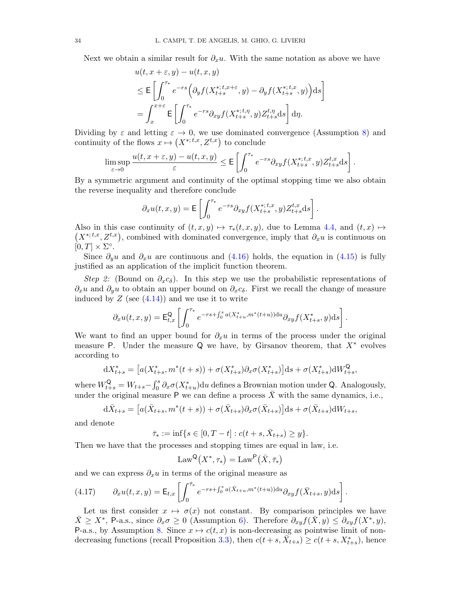Next we obtain a similar result for  $\partial_x u$ . With the same notation as above we have

$$
u(t, x + \varepsilon, y) - u(t, x, y)
$$
  
\n
$$
\leq \mathsf{E}\left[\int_0^{\tau_*} e^{-rs} \Big(\partial_y f(X_{t+s}^{*,t,x+\varepsilon}, y) - \partial_y f(X_{t+s}^{*,t,x}, y)\Big) ds\right]
$$
  
\n
$$
= \int_x^{x+\varepsilon} \mathsf{E}\left[\int_0^{\tau_*} e^{-rs} \partial_{xy} f(X_{t+s}^{*,t,\eta}, y) Z_{t+s}^{t,\eta} ds\right] d\eta.
$$

Dividing by  $\varepsilon$  and letting  $\varepsilon \to 0$ , we use dominated convergence (Assumption [8\)](#page-32-1) and continuity of the flows  $x \mapsto (X^{*,t,x}, Z^{t,x})$  to conclude

$$
\limsup_{\varepsilon\to 0}\frac{u(t,x+\varepsilon,y)-u(t,x,y)}{\varepsilon}\leq \mathsf E\left[\int_0^{\tau_*}e^{-rs}\partial_{xy}f(X^{*,t,x}_{t+s},y)Z^{t,x}_{t+s}{\mathord{{\rm d}}} s\right].
$$

By a symmetric argument and continuity of the optimal stopping time we also obtain the reverse inequality and therefore conclude

$$
\partial_x u(t, x, y) = \mathsf{E}\left[\int_0^{\tau_*} e^{-rs} \partial_{xy} f(X_{t+s}^{*,t,x}, y) Z_{t+s}^{t,x} \mathrm{d} s\right].
$$

Also in this case continuity of  $(t, x, y) \mapsto \tau_*(t, x, y)$ , due to Lemma [4.4,](#page-32-0) and  $(t, x) \mapsto$  $(X^{*,t,x}, Z^{t,x})$ , combined with dominated convergence, imply that  $\partial_x u$  is continuous on  $[0, T] \times \Sigma^{\circ}.$ 

Since  $\partial_{\theta}u$  and  $\partial_{x}u$  are continuous and [\(4.16\)](#page-33-0) holds, the equation in [\(4.15\)](#page-33-1) is fully justified as an application of the implicit function theorem.

Step 2: (Bound on  $\partial_x c_{\delta}$ ). In this step we use the probabilistic representations of  $\partial_x u$  and  $\partial_y u$  to obtain an upper bound on  $\partial_x c_{\delta}$ . First we recall the change of measure induced by  $Z$  (see  $(4.14)$ ) and we use it to write

$$
\partial_x u(t,x,y) = \mathsf{E}^{\mathsf{Q}}_{t,x} \left[ \int_0^{\tau_*} e^{-rs + \int_0^s a(X^*_{t+u}, m^*(t+u)) \mathrm{d}u} \partial_{xy} f(X^*_{t+s}, y) \mathrm{d}s \right].
$$

We want to find an upper bound for  $\partial_x u$  in terms of the process under the original measure P. Under the measure Q we have, by Girsanov theorem, that  $X^*$  evolves according to

$$
dX_{t+s}^* = [a(X_{t+s}^*, m^*(t+s)) + \sigma(X_{t+s}^*)\partial_x \sigma(X_{t+s}^*)]ds + \sigma(X_{t+s}^*)dW_{t+s}^{\mathbb{Q}},
$$

where  $W_{t+s}^{\mathsf{Q}} = W_{t+s} - \int_0^s \partial_x \sigma(X_{t+u}^*) \, \mathrm{d}u$  defines a Brownian motion under Q. Analogously, under the original measure P we can define a process  $\overline{X}$  with the same dynamics, i.e.,

$$
d\bar{X}_{t+s} = [a(\bar{X}_{t+s}, m^*(t+s)) + \sigma(\bar{X}_{t+s})\partial_x \sigma(\bar{X}_{t+s})]ds + \sigma(\bar{X}_{t+s})dW_{t+s},
$$

and denote

 $\bar{\tau}_* := \inf \{ s \in [0, T - t] : c(t + s, \bar{X}_{t+s}) \geq y \}.$ 

Then we have that the processes and stopping times are equal in law, i.e.

$$
\mathrm{Law}^\mathsf{Q}\big(X^*,\tau_*\big)=\mathrm{Law}^\mathsf{P}\big(\bar{X},\bar{\tau}_*\big)
$$

and we can express  $\partial_x u$  in terms of the original measure as

<span id="page-34-0"></span>(4.17) 
$$
\partial_x u(t,x,y) = \mathsf{E}_{t,x} \left[ \int_0^{\bar{\tau}_*} e^{-rs + \int_0^s a(\bar{X}_{t+u}, m^*(t+u)) \mathrm{d}u} \partial_{xy} f(\bar{X}_{t+s}, y) \mathrm{d}s \right].
$$

Let us first consider  $x \mapsto \sigma(x)$  not constant. By comparison principles we have  $\bar{X} \geq X^*$ , P-a.s., since  $\partial_x \sigma \geq 0$  (Assumption [6\)](#page-31-2). Therefore  $\partial_{xy} f(\bar{X}, y) \leq \partial_{xy} f(X^*, y)$ , P-a.s., by Assumption [8.](#page-32-1) Since  $x \mapsto c(t, x)$  is non-decreasing as pointwise limit of non-decreasing functions (recall Proposition [3.3\)](#page-15-2), then  $c(t+s, \bar{X}_{t+s}) \geq c(t+s, X^*_{t+s})$ , hence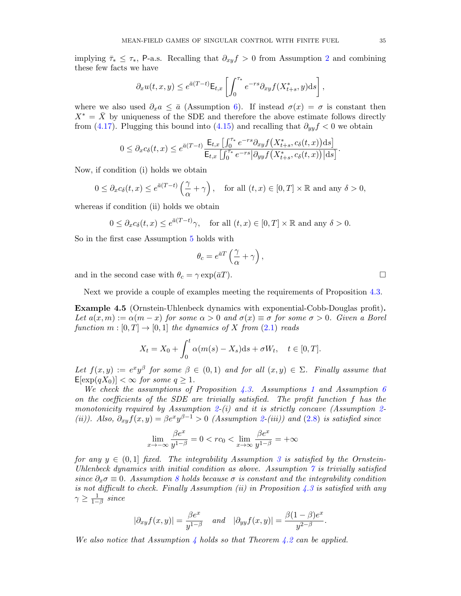implying  $\bar{\tau}_* \leq \tau_*$ , P-a.s. Recalling that  $\partial_{xy} f > 0$  from Assumption [2](#page-10-1) and combining these few facts we have

$$
\partial_x u(t, x, y) \le e^{\bar{a}(T-t)} \mathsf{E}_{t,x} \left[ \int_0^{\tau_*} e^{-rs} \partial_{xy} f(X^*_{t+s}, y) \mathrm{d} s \right],
$$

where we also used  $\partial_x a \leq \bar{a}$  (Assumption [6\)](#page-31-2). If instead  $\sigma(x) = \sigma$  is constant then  $X^* = \overline{X}$  by uniqueness of the SDE and therefore the above estimate follows directly from [\(4.17\)](#page-34-0). Plugging this bound into [\(4.15\)](#page-33-1) and recalling that  $\partial_{yy} f < 0$  we obtain

$$
0 \leq \partial_x c_\delta(t,x) \leq e^{\bar{a}(T-t)} \frac{\mathsf{E}_{t,x} \left[ \int_0^{\tau_*} e^{-rs} \partial_{xy} f\left(X^*_{t+s}, c_\delta(t,x)\right) \mathrm{d}s \right]}{\mathsf{E}_{t,x} \left[ \int_0^{\tau_*} e^{-rs} \left| \partial_{yy} f\left(X^*_{t+s}, c_\delta(t,x)\right) \right| \mathrm{d}s \right]}.
$$

Now, if condition (i) holds we obtain

$$
0\leq \partial_x c_\delta(t,x)\leq e^{\bar{a}(T-t)}\left(\frac{\gamma}{\alpha}+\gamma\right),\quad \text{for all } (t,x)\in [0,T]\times \mathbb{R}\text{ and any }\delta>0,
$$

whereas if condition (ii) holds we obtain

$$
0 \le \partial_x c_\delta(t, x) \le e^{\bar{a}(T-t)}\gamma, \quad \text{for all } (t, x) \in [0, T] \times \mathbb{R} \text{ and any } \delta > 0.
$$

So in the first case Assumption [5](#page-26-1) holds with

$$
\theta_c = e^{\bar{a}T} \left( \frac{\gamma}{\alpha} + \gamma \right),
$$

and in the second case with  $\theta_c = \gamma \exp(\bar{a}T)$ .

Next we provide a couple of examples meeting the requirements of Proposition [4.3.](#page-32-2)

Example 4.5 (Ornstein-Uhlenbeck dynamics with exponential-Cobb-Douglas profit). Let  $a(x, m) := \alpha(m - x)$  for some  $\alpha > 0$  and  $\sigma(x) \equiv \sigma$  for some  $\sigma > 0$ . Given a Borel function  $m : [0, T] \rightarrow [0, 1]$  the dynamics of X from  $(2.1)$  reads

$$
X_t = X_0 + \int_0^t \alpha(m(s) - X_s)ds + \sigma W_t, \quad t \in [0, T].
$$

Let  $f(x,y) := e^x y^\beta$  for some  $\beta \in (0,1)$  and for all  $(x,y) \in \Sigma$ . Finally assume that  $E[\exp(qX_0)] < \infty$  for some  $q \geq 1$ .

We check the assumptions of Proposition [4.3.](#page-32-2) Assumptions [1](#page-9-0) and Assumption [6](#page-31-2) on the coefficients of the SDE are trivially satisfied. The profit function f has the monotonicity required by Assumption [2-](#page-10-1)(i) and it is strictly concave (Assumption 2-(ii)). Also,  $\partial_{xy}f(x,y) = \beta e^x y^{\beta-1} > 0$  (Assumption [2-](#page-10-1)(iii)) and [\(2.8\)](#page-10-3) is satisfied since

$$
\lim_{x \to -\infty} \frac{\beta e^x}{y^{1-\beta}} = 0 < rc_0 < \lim_{x \to \infty} \frac{\beta e^x}{y^{1-\beta}} = +\infty
$$

for any  $y \in (0,1]$  fixed. The integrability Assumption [3](#page-10-4) is satisfied by the Ornstein-Uhlenbeck dynamics with initial condition as above. Assumption  $\gamma$  is trivially satisfied since  $\partial_x \sigma \equiv 0$ . Assumption [8](#page-32-1) holds because  $\sigma$  is constant and the integrability condition is not difficult to check. Finally Assumption (ii) in Proposition  $4.3$  is satisfied with any  $\gamma \geq \frac{1}{1-\beta}$  since

$$
|\partial_{xy} f(x, y)| = \frac{\beta e^x}{y^{1-\beta}}
$$
 and  $|\partial_{yy} f(x, y)| = \frac{\beta(1-\beta)e^x}{y^{2-\beta}}$ 

.

We also notice that Assumption [4](#page-26-2) holds so that Theorem [4.2](#page-27-0) can be applied.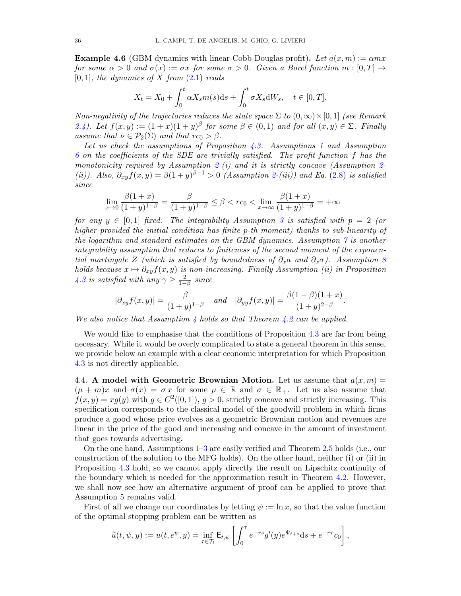**Example 4.6** (GBM dynamics with linear-Cobb-Douglas profit). Let  $a(x, m) := \alpha mx$ for some  $\alpha > 0$  and  $\sigma(x) := \sigma x$  for some  $\sigma > 0$ . Given a Borel function  $m : [0, T] \rightarrow$  $[0, 1]$ , the dynamics of X from  $(2.1)$  reads

$$
X_t = X_0 + \int_0^t \alpha X_s m(s) \mathrm{d}s + \int_0^t \sigma X_s \mathrm{d}W_s, \quad t \in [0, T].
$$

Non-negativity of the trajectories reduces the state space  $\Sigma$  to  $(0,\infty)\times[0,1]$  (see Remark [2.4\)](#page-10-2). Let  $f(x, y) := (1 + x)(1 + y)^{\beta}$  for some  $\beta \in (0, 1)$  and for all  $(x, y) \in \Sigma$ . Finally assume that  $\nu \in \mathcal{P}_2(\Sigma)$  and that  $rc_0 > \beta$ .

Let us check the assumptions of Proposition [4.3.](#page-32-2) Assumptions [1](#page-9-0) and Assumption [6](#page-31-2) on the coefficients of the SDE are trivially satisfied. The profit function f has the monotonicity required by Assumption [2-](#page-10-1)(i) and it is strictly concave (Assumption 2-(ii)). Also,  $\partial_{xy}f(x,y) = \beta(1+y)^{\beta-1} > 0$  (Assumption [2-](#page-10-1)(iii)) and Eq. [\(2.8\)](#page-10-3) is satisfied since

$$
\lim_{x \to 0} \frac{\beta(1+x)}{(1+y)^{1-\beta}} = \frac{\beta}{(1+y)^{1-\beta}} \le \beta < rc_0 < \lim_{x \to \infty} \frac{\beta(1+x)}{(1+y)^{1-\beta}} = +\infty
$$

for any  $y \in [0,1]$  fixed. The integrability Assumption [3](#page-10-4) is satisfied with  $p = 2$  (or higher provided the initial condition has finite p-th moment) thanks to sub-linearity of the logarithm and standard estimates on the GBM dynamics. Assumption [7](#page-32-4) is another integrability assumption that reduces to finiteness of the second moment of the exponential martingale Z (which is satisfied by boundedness of  $\partial_x a$  and  $\partial_x \sigma$ ). Assumption [8](#page-32-1) holds because  $x \mapsto \partial_{xy}f(x, y)$  is non-increasing. Finally Assumption (ii) in Proposition [4.3](#page-32-2) is satisfied with any  $\gamma \geq \frac{2}{1-\beta}$  since

$$
|\partial_{xy} f(x,y)| = \frac{\beta}{(1+y)^{1-\beta}}
$$
 and  $|\partial_{yy} f(x,y)| = \frac{\beta(1-\beta)(1+x)}{(1+y)^{2-\beta}}$ .

We also notice that Assumption [4](#page-26-2) holds so that Theorem [4.2](#page-27-0) can be applied.

We would like to emphasise that the conditions of Proposition [4.3](#page-32-2) are far from being necessary. While it would be overly complicated to state a general theorem in this sense, we provide below an example with a clear economic interpretation for which Proposition [4.3](#page-32-2) is not directly applicable.

<span id="page-36-0"></span>4.4. A model with Geometric Brownian Motion. Let us assume that  $a(x, m) =$  $(\mu + m)x$  and  $\sigma(x) = \sigma x$  for some  $\mu \in \mathbb{R}$  and  $\sigma \in \mathbb{R}_{+}$ . Let us also assume that  $f(x, y) = xg(y)$  with  $g \in C^2([0, 1]), g > 0$ , strictly concave and strictly increasing. This specification corresponds to the classical model of the goodwill problem in which firms produce a good whose price evolves as a geometric Brownian motion and revenues are linear in the price of the good and increasing and concave in the amount of investment that goes towards advertising.

On the one hand, Assumptions [1–](#page-9-0)[3](#page-10-4) are easily verified and Theorem [2.5](#page-10-0) holds (i.e., our construction of the solution to the MFG holds). On the other hand, neither (i) or (ii) in Proposition [4.3](#page-32-2) hold, so we cannot apply directly the result on Lipschitz continuity of the boundary which is needed for the approximation result in Theorem [4.2.](#page-27-0) However, we shall now see how an alternative argument of proof can be applied to prove that Assumption [5](#page-26-1) remains valid.

First of all we change our coordinates by letting  $\psi := \ln x$ , so that the value function of the optimal stopping problem can be written as

$$
\widetilde{u}(t,\psi,y) := u(t,e^{\psi},y) = \inf_{\tau \in \mathcal{T}_t} \mathsf{E}_{t,\psi} \left[ \int_0^{\tau} e^{-rs} g'(y) e^{\Psi_{t+s}} ds + e^{-r\tau} c_0 \right],
$$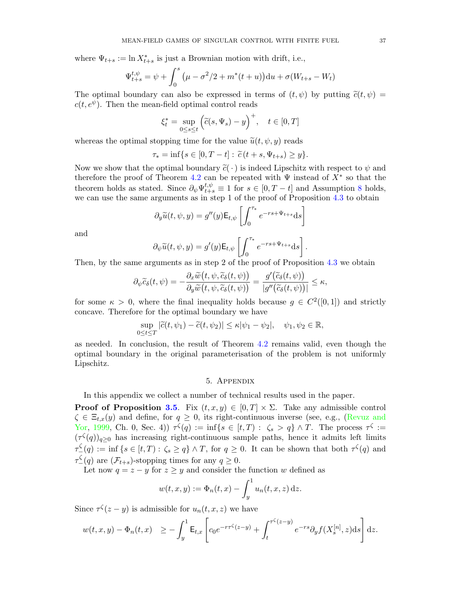where  $\Psi_{t+s} := \ln X^*_{t+s}$  is just a Brownian motion with drift, i.e.,

$$
\Psi_{t+s}^{t,\psi} = \psi + \int_0^s (\mu - \sigma^2/2 + m^*(t+u)) \, du + \sigma(W_{t+s} - W_t)
$$

The optimal boundary can also be expressed in terms of  $(t, \psi)$  by putting  $\tilde{c}(t, \psi)$  $c(t, e^{\psi})$ . Then the mean-field optimal control reads

$$
\xi_t^* = \sup_{0 \le s \le t} \left( \tilde{c}(s, \Psi_s) - y \right)^+, \quad t \in [0, T]
$$

whereas the optimal stopping time for the value  $\tilde{u}(t, \psi, y)$  reads

$$
\tau_* = \inf\{s \in [0, T - t] : \tilde{c}(t + s, \Psi_{t+s}) \ge y\}.
$$

Now we show that the optimal boundary  $\tilde{c}(\cdot)$  is indeed Lipschitz with respect to  $\psi$  and therefore the proof of Theorem [4.2](#page-27-0) can be repeated with  $\Psi$  instead of  $X^*$  so that the theorem holds as stated. Since  $\partial_{\psi} \Psi_{t+s}^{t,\psi} \equiv 1$  for  $s \in [0, T - t]$  and Assumption [8](#page-32-1) holds, we can use the same arguments as in step 1 of the proof of Proposition [4.3](#page-32-2) to obtain

$$
\partial_y \widetilde{u}(t, \psi, y) = g''(y) \mathsf{E}_{t, \psi} \left[ \int_0^{\tau_*} e^{-rs + \Psi_{t+s}} \mathrm{d} s \right]
$$

and

$$
\partial_{\psi}\widetilde{u}(t,\psi,y) = g'(y)\mathsf{E}_{t,\psi}\left[\int_0^{\tau_*} e^{-rs+\Psi_{t+s}}\mathrm{d} s\right]
$$

.

Then, by the same arguments as in step 2 of the proof of Proposition [4.3](#page-32-2) we obtain

$$
\partial_{\psi}\widetilde{c}_{\delta}(t,\psi)=-\frac{\partial_{x}\widetilde{w}\big(t,\psi,\widetilde{c}_{\delta}(t,\psi)\big)}{\partial_{y}\widetilde{w}\big(t,\psi,\widetilde{c}_{\delta}(t,\psi)\big)}=\frac{g'\big(\widetilde{c}_{\delta}(t,\psi)\big)}{|g''\big(\widetilde{c}_{\delta}(t,\psi)\big)|}\leq \kappa,
$$

for some  $\kappa > 0$ , where the final inequality holds because  $g \in C^2([0,1])$  and strictly concave. Therefore for the optimal boundary we have

$$
\sup_{0 \le t \le T} |\widetilde{c}(t, \psi_1) - \widetilde{c}(t, \psi_2)| \le \kappa |\psi_1 - \psi_2|, \quad \psi_1, \psi_2 \in \mathbb{R},
$$

as needed. In conclusion, the result of Theorem [4.2](#page-27-0) remains valid, even though the optimal boundary in the original parameterisation of the problem is not uniformly Lipschitz.

#### 5. Appendix

In this appendix we collect a number of technical results used in the paper.

**Proof of Proposition [3.5](#page-18-0).** Fix  $(t, x, y) \in [0, T] \times \Sigma$ . Take any admissible control  $\zeta \in \Xi_{t,x}(y)$  and define, for  $q \geq 0$ , its right-continuous inverse (see, e.g., [\(Revuz and](#page-45-17) [Yor,](#page-45-17) [1999,](#page-45-17) Ch. 0, Sec. 4))  $\tau^{\zeta}(q) := \inf\{s \in [t,T) : \zeta_s > q\} \wedge T$ . The process  $\tau^{\zeta} :=$  $(\tau^{\zeta}(q))_{q\geq 0}$  has increasing right-continuous sample paths, hence it admits left limits  $\tau_-^{\zeta}(q) := \inf \{ s \in [t,T) : \zeta_s \ge q \} \wedge T$ , for  $q \ge 0$ . It can be shown that both  $\tau^{\zeta}(q)$  and  $\tau_-^{\zeta}(q)$  are  $(\mathcal{F}_{t+s})$ -stopping times for any  $q \geq 0$ .

Let now  $q = z - y$  for  $z \ge y$  and consider the function w defined as

$$
w(t, x, y) := \Phi_n(t, x) - \int_y^1 u_n(t, x, z) dz.
$$

Since  $\tau^{\zeta}(z-y)$  is admissible for  $u_n(t, x, z)$  we have

$$
w(t,x,y) - \Phi_n(t,x) \ge -\int_y^1 \mathsf{E}_{t,x} \left[ c_0 e^{-r\tau^{\zeta}(z-y)} + \int_t^{\tau^{\zeta}(z-y)} e^{-rs} \partial_y f(X_s^{[n]},z) \mathrm{d}s \right] \mathrm{d}z.
$$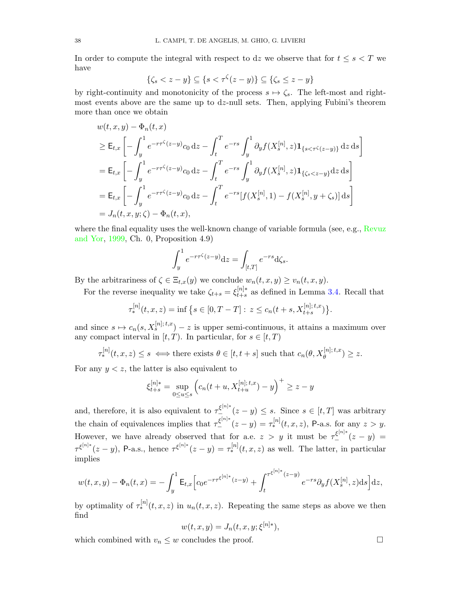In order to compute the integral with respect to dz we observe that for  $t \leq s < T$  we have

$$
\{\zeta_s < z - y\} \subseteq \{s < \tau^{\zeta}(z - y)\} \subseteq \{\zeta_s \le z - y\}
$$

by right-continuity and monotonicity of the process  $s \mapsto \zeta_s$ . The left-most and rightmost events above are the same up to  $dz$ -null sets. Then, applying Fubini's theorem more than once we obtain

$$
w(t, x, y) - \Phi_n(t, x)
$$
  
\n
$$
\geq \mathsf{E}_{t,x} \left[ -\int_y^1 e^{-r\tau^{\zeta}(z-y)} c_0 \,dz - \int_t^T e^{-rs} \int_y^1 \partial_y f(X_s^{[n]}, z) \mathbf{1}_{\{s < \tau^{\zeta}(z-y)\}} \,dz \,ds \right]
$$
  
\n
$$
= \mathsf{E}_{t,x} \left[ -\int_y^1 e^{-r\tau^{\zeta}(z-y)} c_0 \,dz - \int_t^T e^{-rs} \int_y^1 \partial_y f(X_s^{[n]}, z) \mathbf{1}_{\{\zeta_s < z-y\}} \,dz \,ds \right]
$$
  
\n
$$
= \mathsf{E}_{t,x} \left[ -\int_y^1 e^{-r\tau^{\zeta}(z-y)} c_0 \,dz - \int_t^T e^{-rs} [f(X_s^{[n]}, 1) - f(X_s^{[n]}, y + \zeta_s)] \,ds \right]
$$
  
\n
$$
= J_n(t, x, y; \zeta) - \Phi_n(t, x),
$$

where the final equality uses the well-known change of variable formula (see, e.g., [Revuz](#page-45-17) [and Yor,](#page-45-17) [1999,](#page-45-17) Ch. 0, Proposition 4.9)

$$
\int_{y}^{1} e^{-r\tau^{\zeta}(z-y)} dz = \int_{[t,T]} e^{-rs} d\zeta_{s}.
$$

By the arbitrariness of  $\zeta \in \Xi_{t,x}(y)$  we conclude  $w_n(t,x,y) \ge v_n(t,x,y)$ .

For the reverse inequality we take  $\zeta_{t+s} = \xi_{t+s}^{[n]*}$  $t+s$  as defined in Lemma [3.4.](#page-16-1) Recall that

$$
\tau_*^{[n]}(t, x, z) = \inf \left\{ s \in [0, T - T] : z \le c_n(t + s, X_{t + s}^{[n]; t, x}) \right\}.
$$

and since  $s \mapsto c_n(s, X_s^{[n]; t, x}) - z$  is upper semi-continuous, it attains a maximum over any compact interval in  $[t, T)$ . In particular, for  $s \in [t, T)$ 

$$
\tau_*^{[n]}(t, x, z) \le s \iff \text{there exists } \theta \in [t, t+s] \text{ such that } c_n(\theta, X_{\theta}^{[n]; t, x}) \ge z.
$$

For any  $y \leq z$ , the latter is also equivalent to

$$
\xi_{t+s}^{[n]*} = \sup_{0 \le u \le s} \left( c_n(t+u, X_{t+u}^{[n]; t, x}) - y \right)^+ \ge z - y
$$

and, therefore, it is also equivalent to  $\tau_{-}^{\xi^{[n]*}}(z-y) \leq s$ . Since  $s \in [t, T]$  was arbitrary the chain of equivalences implies that  $\tau_{-}^{\xi^{[n]*}}(z-y) = \tau_{*}^{[n]}(t, x, z)$ , P-a.s. for any  $z > y$ . However, we have already observed that for a.e.  $z > y$  it must be  $\tau_{-}^{\xi^{[n]*}}(z - y) =$  $\tau^{\xi^{[n]*}}(z-y)$ , P-a.s., hence  $\tau^{\xi^{[n]*}}(z-y) = \tau_*^{[n]}(t,x,z)$  as well. The latter, in particular implies

$$
w(t,x,y) - \Phi_n(t,x) = -\int_y^1 \mathsf{E}_{t,x} \Big[ c_0 e^{-r\tau^{\xi^{[n]*}}(z-y)} + \int_t^{\tau^{\xi^{[n]*}}(z-y)} e^{-rs} \partial_y f(X_s^{[n]},z) \mathrm{d} s \Big] \mathrm{d} z,
$$

by optimality of  $\tau_*^{[n]}(t, x, z)$  in  $u_n(t, x, z)$ . Repeating the same steps as above we then find

$$
w(t, x, y) = J_n(t, x, y; \xi^{[n]*}),
$$

which combined with  $v_n \leq w$  concludes the proof.

$$
\Box
$$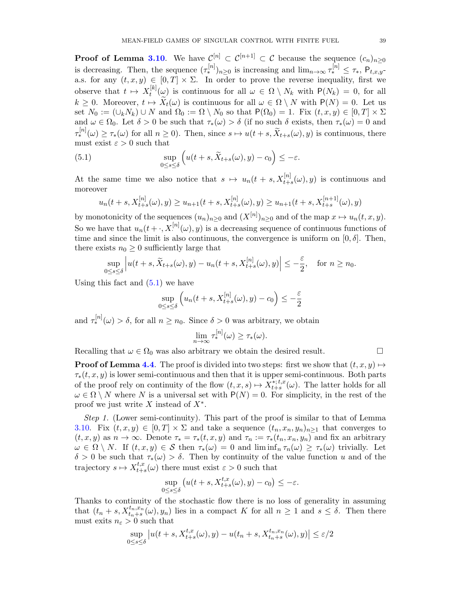**Proof of Lemma [3.10](#page-21-3)**. We have  $\mathcal{C}^{[n]} \subset \mathcal{C}^{[n+1]} \subset \mathcal{C}$  because the sequence  $(c_n)_{n\geq 0}$ is decreasing. Then, the sequence  $({\tau_*^{[n]}})_{n\geq 0}$  is increasing and  $\lim_{n\to\infty}{\tau_*^{[n]}} \leq {\tau_*}$ ,  $P_{t,x,y}$ a.s. for any  $(t, x, y) \in [0, T] \times \Sigma$ . In order to prove the reverse inequality, first we observe that  $t \mapsto X_t^{[k]}$  $t_k^{[\kappa]}(\omega)$  is continuous for all  $\omega \in \Omega \setminus N_k$  with  $P(N_k) = 0$ , for all  $k \geq 0$ . Moreover,  $t \mapsto X_t(\omega)$  is continuous for all  $\omega \in \Omega \setminus N$  with  $P(N) = 0$ . Let us set  $N_0 := (\cup_k N_k) \cup N$  and  $\Omega_0 := \Omega \setminus N_0$  so that  $P(\Omega_0) = 1$ . Fix  $(t, x, y) \in [0, T] \times \Sigma$ and  $\omega \in \Omega_0$ . Let  $\delta > 0$  be such that  $\tau_*(\omega) > \delta$  (if no such  $\delta$  exists, then  $\tau_*(\omega) = 0$  and  $\tau_*^{[n]}(\omega) \ge \tau_*(\omega)$  for all  $n \ge 0$ ). Then, since  $s \mapsto u(t+s, \widetilde{X}_{t+s}(\omega), y)$  is continuous, there must exist  $\varepsilon > 0$  such that

<span id="page-39-0"></span>(5.1) 
$$
\sup_{0\leq s\leq \delta}\left(u(t+s,\widetilde{X}_{t+s}(\omega),y)-c_0\right)\leq -\varepsilon.
$$

At the same time we also notice that  $s \mapsto u_n(t + s, X_{t+s}^{[n]}(\omega), y)$  is continuous and moreover

$$
u_n(t+s,X_{t+s}^{[n]}(\omega),y) \ge u_{n+1}(t+s,X_{t+s}^{[n]}(\omega),y) \ge u_{n+1}(t+s,X_{t+s}^{[n+1]}(\omega),y)
$$

by monotonicity of the sequences  $(u_n)_{n\geq 0}$  and  $(X^{[n]})_{n\geq 0}$  and of the map  $x \mapsto u_n(t, x, y)$ . So we have that  $u_n(t+\cdot,X^{[n]}(\omega),y)$  is a decreasing sequence of continuous functions of time and since the limit is also continuous, the convergence is uniform on  $[0, \delta]$ . Then, there exists  $n_0 \geq 0$  sufficiently large that

$$
\sup_{0\le s\le\delta}\Big|u(t+s,\widetilde X_{t+s}(\omega),y)-u_n(t+s,X^{[n]}_{t+s}(\omega),y)\Big|\le -\frac{\varepsilon}{2},\quad\text{for }n\ge n_0.
$$

Using this fact and  $(5.1)$  we have

$$
\sup_{0 \le s \le \delta} \left( u_n(t+s, X_{t+s}^{[n]}(\omega), y) - c_0 \right) \le -\frac{\varepsilon}{2}
$$

and  $\tau_*^{[n]}(\omega) > \delta$ , for all  $n \geq n_0$ . Since  $\delta > 0$  was arbitrary, we obtain

$$
\lim_{n\to\infty}\tau_*^{[n]}(\omega)\geq\tau_*(\omega).
$$

Recalling that  $\omega \in \Omega_0$  was also arbitrary we obtain the desired result.  $\Box$ 

**Proof of Lemma [4.4](#page-32-0).** The proof is divided into two steps: first we show that  $(t, x, y) \mapsto$  $\tau_*(t, x, y)$  is lower semi-continuous and then that it is upper semi-continuous. Both parts of the proof rely on continuity of the flow  $(t, x, s) \mapsto X_{t+s}^{*,t,x}$ <sup>\*\*; t,x</sup>( $\omega$ ). The latter holds for all  $\omega \in \Omega \setminus N$  where N is a universal set with  $P(N) = 0$ . For simplicity, in the rest of the proof we just write  $X$  instead of  $X^*$ .

Step 1. (Lower semi-continuity). This part of the proof is similar to that of Lemma [3.10.](#page-21-3) Fix  $(t, x, y) \in [0, T] \times \Sigma$  and take a sequence  $(t_n, x_n, y_n)_{n \geq 1}$  that converges to  $(t, x, y)$  as  $n \to \infty$ . Denote  $\tau_* = \tau_*(t, x, y)$  and  $\tau_n := \tau_*(t_n, x_n, y_n)$  and fix an arbitrary  $\omega \in \Omega \setminus N$ . If  $(t, x, y) \in S$  then  $\tau_*(\omega) = 0$  and  $\liminf_n \tau_n(\omega) \geq \tau_*(\omega)$  trivially. Let δ > 0 be such that τ∗(ω) > δ. Then by continuity of the value function u and of the trajectory  $s \mapsto X_{t+1}^{t,x}$  $t,x_{t+s}(\omega)$  there must exist  $\varepsilon > 0$  such that

$$
\sup_{0\leq s\leq \delta} \left( u(t+s,X^{t,x}_{t+s}(\omega),y)-c_0\right)\leq -\varepsilon.
$$

Thanks to continuity of the stochastic flow there is no loss of generality in assuming that  $(t_n + s, X_{t_n+s}^{t_n,x_n}(\omega), y_n)$  lies in a compact K for all  $n \geq 1$  and  $s \leq \delta$ . Then there must exits  $n_{\varepsilon} > 0$  such that

$$
\sup_{0 \le s \le \delta} \left| u(t+s, X_{t+s}^{t,x}(\omega), y) - u(t_n+s, X_{t_n+s}^{t_n,x_n}(\omega), y) \right| \le \varepsilon/2
$$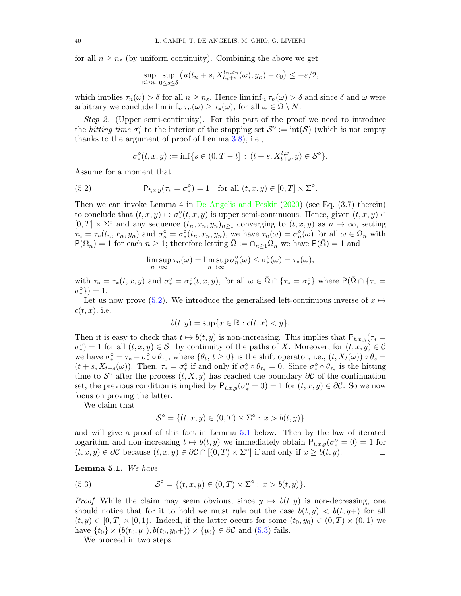for all  $n \geq n_{\varepsilon}$  (by uniform continuity). Combining the above we get

$$
\sup_{n\geq n_{\varepsilon}}\sup_{0\leq s\leq\delta}\left(u(t_n+s,X^{t_n,x_n}_{t_n+s}(\omega),y_n)-c_0\right)\leq-\varepsilon/2,
$$

which implies  $\tau_n(\omega) > \delta$  for all  $n \geq n_{\varepsilon}$ . Hence  $\liminf_{n} \tau_n(\omega) > \delta$  and since  $\delta$  and  $\omega$  were arbitrary we conclude  $\liminf_n \tau_n(\omega) \geq \tau_*(\omega)$ , for all  $\omega \in \Omega \setminus N$ .

Step 2. (Upper semi-continuity). For this part of the proof we need to introduce the *hitting time*  $\sigma_*^{\circ}$  to the interior of the stopping set  $\mathcal{S}^{\circ} := \text{int}(\mathcal{S})$  (which is not empty thanks to the argument of proof of Lemma [3.8\)](#page-20-2), i.e.,

$$
\sigma_*^{\circ}(t,x,y) := \inf \{ s \in (0,T-t] \, : \, (t+s, X^{t,x}_{t+s}, y) \in \mathcal{S}^{\circ} \}.
$$

Assume for a moment that

<span id="page-40-0"></span>(5.2) 
$$
\mathsf{P}_{t,x,y}(\tau_* = \sigma_*^{\circ}) = 1 \text{ for all } (t,x,y) \in [0,T] \times \Sigma^{\circ}.
$$

Then we can invoke Lemma 4 in [De Angelis and Peskir](#page-44-22) [\(2020\)](#page-44-22) (see Eq. (3.7) therein) to conclude that  $(t, x, y) \mapsto \sigma^{\circ}(t, x, y)$  is upper semi-continuous. Hence, given  $(t, x, y) \in$  $[0,T] \times \Sigma^{\circ}$  and any sequence  $(t_n, x_n, y_n)_{n \geq 1}$  converging to  $(t, x, y)$  as  $n \to \infty$ , setting  $\tau_n = \tau_*(t_n, x_n, y_n)$  and  $\sigma_n^{\circ} = \sigma_*^{\circ}(t_n, x_n, y_n)$ , we have  $\tau_n(\omega) = \sigma_n^{\circ}(\omega)$  for all  $\omega \in \Omega_n$  with  $P(\Omega_n) = 1$  for each  $n \geq 1$ ; therefore letting  $\overline{\Omega} := \cap_{n \geq 1} \Omega_n$  we have  $P(\overline{\Omega}) = 1$  and

$$
\limsup_{n \to \infty} \tau_n(\omega) = \limsup_{n \to \infty} \sigma_n^{\circ}(\omega) \le \sigma_*^{\circ}(\omega) = \tau_*(\omega),
$$

with  $\tau_* = \tau_*(t, x, y)$  and  $\sigma_*^{\circ} = \sigma_*^{\circ}(t, x, y)$ , for all  $\omega \in \overline{\Omega} \cap {\tau_*} = \sigma_*^{\circ}$  where  $P(\overline{\Omega} \cap {\tau_*} = \tau_*$  $\sigma_*^{\circ}$ }) = 1.

Let us now prove [\(5.2\)](#page-40-0). We introduce the generalised left-continuous inverse of  $x \mapsto$  $c(t, x)$ , i.e.

$$
b(t, y) = \sup\{x \in \mathbb{R} : c(t, x) < y\}.
$$

Then it is easy to check that  $t \mapsto b(t, y)$  is non-increasing. This implies that  $P_{t,x,y}(\tau_*)$  $\sigma_*^{\circ}$ ) = 1 for all  $(t, x, y) \in S^{\circ}$  by continuity of the paths of X. Moreover, for  $(t, x, y) \in C$ we have  $\sigma_*^{\circ} = \tau_* + \sigma_*^{\circ} \circ \theta_{\tau_*}$ , where  $\{\theta_t, t \geq 0\}$  is the shift operator, i.e.,  $(t, X_t(\omega)) \circ \theta_s =$  $(t + s, X_{t+s}(\omega))$ . Then,  $\tau_* = \sigma_*^{\circ}$  if and only if  $\sigma_*^{\circ} \circ \theta_{\tau_*} = 0$ . Since  $\sigma_*^{\circ} \circ \theta_{\tau_*}$  is the hitting time to  $\mathcal{S}^{\circ}$  after the process  $(t, X, y)$  has reached the boundary  $\partial \mathcal{C}$  of the continuation set, the previous condition is implied by  $P_{t,x,y}(\sigma^{\circ}_{*}=0)=1$  for  $(t,x,y)\in\partial\mathcal{C}$ . So we now focus on proving the latter.

We claim that

$$
\mathcal{S}^{\circ} = \{(t, x, y) \in (0, T) \times \Sigma^{\circ} : x > b(t, y)\}
$$

and will give a proof of this fact in Lemma [5.1](#page-40-1) below. Then by the law of iterated logarithm and non-increasing  $t \mapsto b(t, y)$  we immediately obtain  $P_{t,x,y}(\sigma^{\circ}_*) = 0 = 1$  for  $(t, x, y) \in \partial \mathcal{C}$  because  $(t, x, y) \in \partial \mathcal{C} \cap [(0, T) \times \Sigma^{\circ}]$  if and only if  $x \geq b(t, y)$ .

#### <span id="page-40-1"></span>Lemma 5.1. We have

<span id="page-40-2"></span>(5.3) 
$$
S^{\circ} = \{(t, x, y) \in (0, T) \times \Sigma^{\circ} : x > b(t, y)\}.
$$

*Proof.* While the claim may seem obvious, since  $y \mapsto b(t, y)$  is non-decreasing, one should notice that for it to hold we must rule out the case  $b(t, y) < b(t, y+)$  for all  $(t, y) \in [0, T] \times [0, 1)$ . Indeed, if the latter occurs for some  $(t_0, y_0) \in (0, T] \times (0, 1)$  we have  $\{t_0\} \times (b(t_0, y_0), b(t_0, y_0+)) \times \{y_0\} \in \partial \mathcal{C}$  and  $(5.3)$  fails.

We proceed in two steps.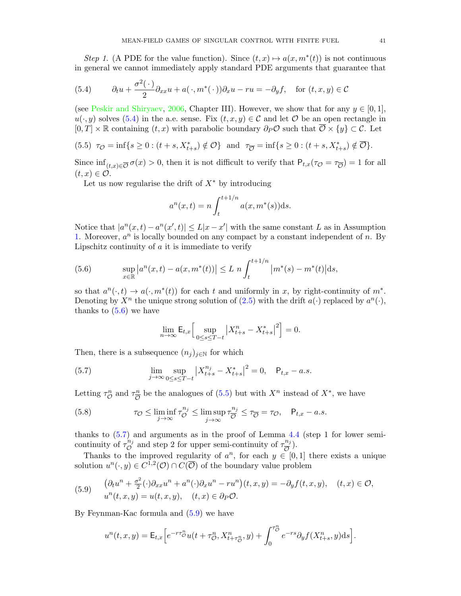Step 1. (A PDE for the value function). Since  $(t, x) \mapsto a(x, m^*(t))$  is not continuous in general we cannot immediately apply standard PDE arguments that guarantee that

<span id="page-41-0"></span>(5.4) 
$$
\partial_t u + \frac{\sigma^2(\cdot)}{2} \partial_{xx} u + a(\cdot, m^*(\cdot)) \partial_x u - ru = -\partial_y f, \text{ for } (t, x, y) \in \mathcal{C}
$$

(see [Peskir and Shiryaev,](#page-45-9) [2006,](#page-45-9) Chapter III). However, we show that for any  $y \in [0, 1]$ ,  $u(\cdot, y)$  solves [\(5.4\)](#page-41-0) in the a.e. sense. Fix  $(t, x, y) \in \mathcal{C}$  and let  $\mathcal{O}$  be an open rectangle in  $[0, T] \times \mathbb{R}$  containing  $(t, x)$  with parabolic boundary  $\partial_P \mathcal{O}$  such that  $\overline{\mathcal{O}} \times \{y\} \subset \mathcal{C}$ . Let

<span id="page-41-2"></span>(5.5) 
$$
\tau_{\mathcal{O}} = \inf\{s \ge 0 : (t + s, X_{t+s}^*) \notin \mathcal{O}\}\
$$
 and  $\tau_{\overline{\mathcal{O}}} = \inf\{s \ge 0 : (t + s, X_{t+s}^*) \notin \overline{\mathcal{O}}\}.$ 

Since  $\inf_{(t,x)\in\overline{\mathcal{O}}} \sigma(x) > 0$ , then it is not difficult to verify that  $P_{t,x}(\tau_{\mathcal{O}} = \tau_{\overline{\mathcal{O}}}) = 1$  for all  $(t, x) \in \mathcal{O}.$ 

Let us now regularise the drift of  $X^*$  by introducing

$$
a^{n}(x,t) = n \int_{t}^{t+1/n} a(x, m^{*}(s)) \mathrm{d}s.
$$

Notice that  $|a^n(x,t) - a^n(x',t)| \leq L|x-x'|$  with the same constant L as in Assumption [1.](#page-9-0) Moreover,  $a^n$  is locally bounded on any compact by a constant independent of n. By Lipschitz continuity of  $\alpha$  it is immediate to verify

<span id="page-41-1"></span>(5.6) 
$$
\sup_{x \in \mathbb{R}} \left| a^n(x,t) - a(x, m^*(t)) \right| \le L \ n \int_t^{t+1/n} \left| m^*(s) - m^*(t) \right| ds,
$$

so that  $a^n(\cdot, t) \to a(\cdot, m^*(t))$  for each t and uniformly in x, by right-continuity of  $m^*$ . Denoting by  $X^n$  the unique strong solution of [\(2.5\)](#page-7-0) with the drift  $a(\cdot)$  replaced by  $a^n(\cdot)$ , thanks to  $(5.6)$  we have

$$
\lim_{n \to \infty} \mathsf{E}_{t,x} \Big[ \sup_{0 \le s \le T-t} |X_{t+s}^n - X_{t+s}^*|^2 \Big] = 0.
$$

Then, there is a subsequence  $(n_i)_{i\in\mathbb{N}}$  for which

<span id="page-41-3"></span>(5.7) 
$$
\lim_{j \to \infty} \sup_{0 \le s \le T-t} |X_{t+s}^{n_j} - X_{t+s}^*|^2 = 0, \quad \mathsf{P}_{t,x} - a.s.
$$

Letting  $\tau_{\mathcal{O}}^n$  and  $\tau_{\overline{\mathcal{O}}}^n$  $\frac{n}{\mathcal{O}}$  be the analogues of [\(5.5\)](#page-41-2) but with  $X^n$  instead of  $X^*$ , we have

<span id="page-41-5"></span>(5.8) 
$$
\tau_{\mathcal{O}} \leq \liminf_{j \to \infty} \tau_{\mathcal{O}}^{n_j} \leq \limsup_{j \to \infty} \tau_{\overline{\mathcal{O}}}^{n_j} \leq \tau_{\overline{\mathcal{O}}} = \tau_{\mathcal{O}}, \quad \mathsf{P}_{t,x} - a.s.
$$

thanks to [\(5.7\)](#page-41-3) and arguments as in the proof of Lemma [4.4](#page-32-0) (step 1 for lower semicontinuity of  $\tau_{\mathcal{O}}^{n_j}$  $\overline{\mathcal{O}}^{n_j}$  and step 2 for upper semi-continuity of  $\tau_{\overline{\mathcal{O}}}^{n_j}$  $\frac{n_j}{\overline{O}}$ ).

Thanks to the improved regularity of  $a^n$ , for each  $y \in [0,1]$  there exists a unique solution  $u^n(\cdot, y) \in C^{1,2}(\mathcal{O}) \cap C(\overline{\mathcal{O}})$  of the boundary value problem

<span id="page-41-4"></span>(5.9) 
$$
\begin{aligned}\n(\partial_t u^n + \frac{\sigma^2}{2}(\cdot)\partial_{xx} u^n + a^n(\cdot)\partial_x u^n - ru^n)(t, x, y) &= -\partial_y f(t, x, y), \quad (t, x) \in \mathcal{O},\\
u^n(t, x, y) &= u(t, x, y), \quad (t, x) \in \partial_P \mathcal{O}.\n\end{aligned}
$$

By Feynman-Kac formula and [\(5.9\)](#page-41-4) we have

$$
u^{n}(t,x,y) = \mathsf{E}_{t,x}\Big[e^{-r\tau_{\mathcal{O}}^{n}}u(t+\tau_{\mathcal{O}}^{n},X_{t+\tau_{\mathcal{O}}^{n}}^{n},y) + \int_{0}^{\tau_{\mathcal{O}}^{n}}e^{-rs}\partial_{y}f(X_{t+s}^{n},y)\mathrm{d}s\Big].
$$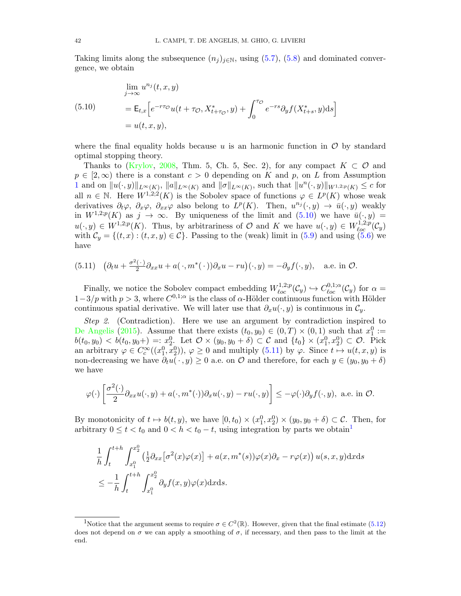Taking limits along the subsequence  $(n_i)_{i\in\mathbb{N}}$ , using [\(5.7\)](#page-41-3), [\(5.8\)](#page-41-5) and dominated convergence, we obtain

<span id="page-42-0"></span>(5.10)  
\n
$$
\lim_{j \to \infty} u^{n_j}(t, x, y)
$$
\n
$$
= \mathsf{E}_{t,x} \Big[ e^{-r\tau \phi} u(t + \tau \phi, X_{t + \tau \phi}^*, y) + \int_0^{\tau \phi} e^{-rs} \partial_y f(X_{t+s}^*, y) \mathrm{d}s \Big]
$$
\n
$$
= u(t, x, y),
$$

where the final equality holds because u is an harmonic function in  $\mathcal O$  by standard optimal stopping theory.

Thanks to [\(Krylov,](#page-45-18) [2008,](#page-45-18) Thm. 5, Ch. 5, Sec. 2), for any compact  $K \subset \mathcal{O}$  and  $p \in [2,\infty)$  there is a constant  $c > 0$  depending on K and p, on L from Assumption [1](#page-9-0) and on  $||u(\cdot,y)||_{L^{\infty}(K)}$ ,  $||a||_{L^{\infty}(K)}$  and  $||\sigma||_{L^{\infty}(K)}$ , such that  $||u^{n}(\cdot,y)||_{W^{1,2;p}(K)} \leq c$  for all  $n \in \mathbb{N}$ . Here  $W^{1,2,2}(K)$  is the Sobolev space of functions  $\varphi \in L^p(K)$  whose weak derivatives  $\partial_t \varphi$ ,  $\partial_x \varphi$ ,  $\partial_x \varphi$  also belong to  $L^p(K)$ . Then,  $u^{n_j}(\cdot, y) \to \bar{u}(\cdot, y)$  weakly in  $W^{1,2,p}(K)$  as  $j \to \infty$ . By uniqueness of the limit and  $(5.10)$  we have  $\bar{u}(\cdot,y)$  $u(\cdot,y) \in W^{1,2,p}(K)$ . Thus, by arbitrariness of  $\mathcal O$  and  $K$  we have  $u(\cdot,y) \in W^{1,2,p}_{loc}(\mathcal{C}_y)$ with  $\mathcal{C}_y = \{(t, x) : (t, x, y) \in \mathcal{C}\}\.$  Passing to the (weak) limit in [\(5.9\)](#page-41-4) and using [\(5.6\)](#page-41-1) we have

<span id="page-42-1"></span>(5.11) 
$$
(\partial_t u + \frac{\sigma^2(\cdot)}{2} \partial_{xx} u + a(\cdot, m^*(\cdot)) \partial_x u - ru)(\cdot, y) = -\partial_y f(\cdot, y)
$$
, a.e. in  $\mathcal{O}$ .

Finally, we notice the Sobolev compact embedding  $W_{loc}^{1,2;p}(\mathcal{C}_y) \hookrightarrow C_{loc}^{0,1;\alpha}(\mathcal{C}_y)$  for  $\alpha =$  $1-3/p$  with  $p > 3$ , where  $C^{0,1;\alpha}$  is the class of  $\alpha$ -Hölder continuous function with Hölder continuous spatial derivative. We will later use that  $\partial_x u(\cdot, y)$  is continuous in  $\mathcal{C}_y$ .

Step 2. (Contradiction). Here we use an argument by contradiction inspired to [De Angelis](#page-44-23) [\(2015\)](#page-44-23). Assume that there exists  $(t_0, y_0) \in (0, T) \times (0, 1)$  such that  $x_1^0 :=$  $b(t_0, y_0) < b(t_0, y_0+) =: x_2^0$ . Let  $\mathcal{O} \times (y_0, y_0 + \delta) \subset \mathcal{C}$  and  $\{t_0\} \times (x_1^0, x_2^0) \subset \mathcal{O}$ . Pick an arbitrary  $\varphi \in C_c^{\infty}((x_1^0, x_2^0)), \varphi \ge 0$  and multiply  $(5.11)$  by  $\varphi$ . Since  $t \mapsto u(t, x, y)$  is non-decreasing we have  $\partial_t u(\cdot, y) \geq 0$  a.e. on  $\mathcal O$  and therefore, for each  $y \in (y_0, y_0 + \delta)$ we have

$$
\varphi(\cdot)\left[\frac{\sigma^2(\cdot)}{2}\partial_{xx}u(\cdot,y) + a(\cdot,m^*(\cdot))\partial_xu(\cdot,y) - ru(\cdot,y)\right] \le -\varphi(\cdot)\partial_yf(\cdot,y), \text{ a.e. in } \mathcal{O}.
$$

By monotonicity of  $t \mapsto b(t, y)$ , we have  $[0, t_0) \times (x_1^0, x_2^0) \times (y_0, y_0 + \delta) \subset \mathcal{C}$ . Then, for arbitrary  $0 \le t < t_0$  and  $0 < h < t_0 - t$ , using integration by parts we obtain<sup>[1](#page-42-2)</sup>

$$
\frac{1}{h} \int_{t}^{t+h} \int_{x_1^0}^{x_2^0} \left(\frac{1}{2} \partial_{xx} \left[\sigma^2(x)\varphi(x)\right] + a(x, m^*(s))\varphi(x)\partial_x - r\varphi(x)\right) u(s, x, y) \, dx \, ds
$$
\n
$$
\leq -\frac{1}{h} \int_{t}^{t+h} \int_{x_1^0}^{x_2^0} \partial_y f(x, y)\varphi(x) \, dx \, ds.
$$

<span id="page-42-2"></span><sup>&</sup>lt;sup>1</sup>Notice that the argument seems to require  $\sigma \in C^2(\mathbb{R})$ . However, given that the final estimate [\(5.12\)](#page-43-11) does not depend on  $\sigma$  we can apply a smoothing of  $\sigma$ , if necessary, and then pass to the limit at the end.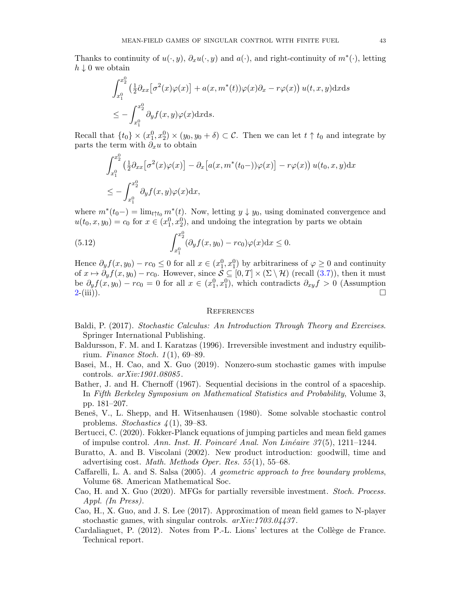Thanks to continuity of  $u(\cdot, y)$ ,  $\partial_x u(\cdot, y)$  and  $a(\cdot)$ , and right-continuity of  $m^*(\cdot)$ , letting  $h \downarrow 0$  we obtain

$$
\int_{x_1^0}^{x_2^0} \left(\frac{1}{2}\partial_{xx}\left[\sigma^2(x)\varphi(x)\right] + a(x, m^*(t))\varphi(x)\partial_x - r\varphi(x)\right)u(t, x, y) \, dx \, ds
$$
\n
$$
\leq -\int_{x_1^0}^{x_2^0} \partial_y f(x, y)\varphi(x) \, dx \, ds.
$$

Recall that  $\{t_0\} \times (x_1^0, x_2^0) \times (y_0, y_0 + \delta) \subset \mathcal{C}$ . Then we can let  $t \uparrow t_0$  and integrate by parts the term with  $\partial_x u$  to obtain

$$
\int_{x_1^0}^{x_2^0} \left(\frac{1}{2}\partial_{xx}\left[\sigma^2(x)\varphi(x)\right] - \partial_x\left[a(x, m^*(t_0-))\varphi(x)\right] - r\varphi(x)\right)u(t_0, x, y)\mathrm{d}x
$$
  
\n
$$
\leq -\int_{x_1^0}^{x_2^0} \partial_y f(x, y)\varphi(x)\mathrm{d}x,
$$

where  $m^*(t_0-) = \lim_{t \uparrow t_0} m^*(t)$ . Now, letting  $y \downarrow y_0$ , using dominated convergence and  $u(t_0, x, y_0) = c_0$  for  $x \in (x_1^0, x_2^0)$ , and undoing the integration by parts we obtain

<span id="page-43-11"></span>(5.12) 
$$
\int_{x_1^0}^{x_2^0} (\partial_y f(x, y_0) - r c_0) \varphi(x) dx \le 0.
$$

Hence  $\partial_y f(x, y_0) - r c_0 \leq 0$  for all  $x \in (x_1^0, x_1^0)$  by arbitrariness of  $\varphi \geq 0$  and continuity of  $x \mapsto \partial_y f(x, y_0) - r c_0$ . However, since  $S \subseteq [0, T] \times (\Sigma \setminus \mathcal{H})$  (recall  $(3.7)$ ), then it must be  $\partial_y f(x, y_0) - r c_0 = 0$  for all  $x \in (x_1^0, x_1^0)$ , which contradicts  $\partial_{xy} f > 0$  (Assumption  $2-(iii)$  $2-(iii)$ .

#### **REFERENCES**

- <span id="page-43-9"></span>Baldi, P. (2017). Stochastic Calculus: An Introduction Through Theory and Exercises. Springer International Publishing.
- <span id="page-43-8"></span>Baldursson, F. M. and I. Karatzas (1996). Irreversible investment and industry equilibrium. Finance Stoch.  $1(1)$ , 69–89.
- <span id="page-43-3"></span>Basei, M., H. Cao, and X. Guo (2019). Nonzero-sum stochastic games with impulse controls. arXiv:1901.08085 .
- <span id="page-43-5"></span>Bather, J. and H. Chernoff (1967). Sequential decisions in the control of a spaceship. In Fifth Berkeley Symposium on Mathematical Statistics and Probability, Volume 3, pp. 181–207.
- <span id="page-43-6"></span>Beneš, V., L. Shepp, and H. Witsenhausen (1980). Some solvable stochastic control problems. Stochastics  $\frac{1}{1}$ , 39–83.
- <span id="page-43-4"></span>Bertucci, C. (2020). Fokker-Planck equations of jumping particles and mean field games of impulse control. Ann. Inst. H. Poincaré Anal. Non Linéaire 37(5), 1211–1244.
- <span id="page-43-7"></span>Buratto, A. and B. Viscolani (2002). New product introduction: goodwill, time and advertising cost. *Math. Methods Oper. Res.*  $55(1)$ ,  $55-68$ .
- <span id="page-43-10"></span>Caffarelli, L. A. and S. Salsa (2005). A geometric approach to free boundary problems, Volume 68. American Mathematical Soc.
- <span id="page-43-2"></span>Cao, H. and X. Guo (2020). MFGs for partially reversible investment. Stoch. Process. Appl. (In Press).
- <span id="page-43-1"></span>Cao, H., X. Guo, and J. S. Lee (2017). Approximation of mean field games to N-player stochastic games, with singular controls.  $arXiv:1703.04437$ .
- <span id="page-43-0"></span>Cardaliaguet, P. (2012). Notes from P.-L. Lions' lectures at the Collège de France. Technical report.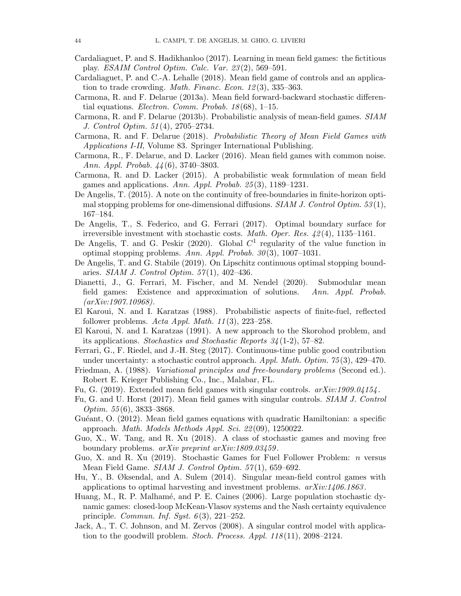- <span id="page-44-15"></span>Cardaliaguet, P. and S. Hadikhanloo (2017). Learning in mean field games: the fictitious play. ESAIM Control Optim. Calc. Var. 23 (2), 569–591.
- <span id="page-44-17"></span>Cardaliaguet, P. and C.-A. Lehalle (2018). Mean field game of controls and an application to trade crowding. *Math. Financ. Econ.*  $12(3)$ ,  $335-363$ .
- <span id="page-44-1"></span>Carmona, R. and F. Delarue (2013a). Mean field forward-backward stochastic differential equations. *Electron. Comm. Probab.*  $18(68)$ , 1–15.
- <span id="page-44-2"></span>Carmona, R. and F. Delarue (2013b). Probabilistic analysis of mean-field games. SIAM J. Control Optim. 51 (4), 2705–2734.
- <span id="page-44-5"></span>Carmona, R. and F. Delarue (2018). Probabilistic Theory of Mean Field Games with Applications I-II, Volume 83. Springer International Publishing.
- <span id="page-44-4"></span>Carmona, R., F. Delarue, and D. Lacker (2016). Mean field games with common noise. Ann. Appl. Probab. 44 (6), 3740–3803.
- <span id="page-44-3"></span>Carmona, R. and D. Lacker (2015). A probabilistic weak formulation of mean field games and applications. Ann. Appl. Probab.  $25(3)$ , 1189–1231.
- <span id="page-44-23"></span>De Angelis, T. (2015). A note on the continuity of free-boundaries in finite-horizon optimal stopping problems for one-dimensional diffusions.  $SIAM J.$  Control Optim. 53(1), 167–184.
- <span id="page-44-18"></span>De Angelis, T., S. Federico, and G. Ferrari (2017). Optimal boundary surface for irreversible investment with stochastic costs. *Math. Oper. Res.*  $\mu$ 2(4), 1135–1161.
- <span id="page-44-22"></span>De Angelis, T. and G. Peskir (2020). Global  $C<sup>1</sup>$  regularity of the value function in optimal stopping problems. Ann. Appl. Probab.  $30(3)$ , 1007–1031.
- <span id="page-44-21"></span>De Angelis, T. and G. Stabile (2019). On Lipschitz continuous optimal stopping boundaries. SIAM J. Control Optim.  $57(1)$ , 402-436.
- <span id="page-44-16"></span>Dianetti, J., G. Ferrari, M. Fischer, and M. Nendel (2020). Submodular mean field games: Existence and approximation of solutions. Ann. Appl. Probab. (arXiv:1907.10968).
- <span id="page-44-11"></span>El Karoui, N. and I. Karatzas (1988). Probabilistic aspects of finite-fuel, reflected follower problems. Acta Appl. Math.  $11(3)$ ,  $223-258$ .
- <span id="page-44-19"></span>El Karoui, N. and I. Karatzas (1991). A new approach to the Skorohod problem, and its applications. Stochastics and Stochastic Reports  $34(1-2)$ , 57–82.
- <span id="page-44-13"></span>Ferrari, G., F. Riedel, and J.-H. Steg (2017). Continuous-time public good contribution under uncertainty: a stochastic control approach.  $Appl. Math. Optim. 75(3), 429-470.$
- <span id="page-44-20"></span>Friedman, A. (1988). Variational principles and free-boundary problems (Second ed.). Robert E. Krieger Publishing Co., Inc., Malabar, FL.
- <span id="page-44-7"></span>Fu, G. (2019). Extended mean field games with singular controls. arXiv:1909.04154 .
- <span id="page-44-6"></span>Fu, G. and U. Horst (2017). Mean field games with singular controls. SIAM J. Control Optim.  $55(6)$ , 3833-3868.
- <span id="page-44-14"></span>Guéant, O. (2012). Mean field games equations with quadratic Hamiltonian: a specific approach. *Math. Models Methods Appl. Sci.*  $22(09)$ , 1250022.
- <span id="page-44-8"></span>Guo, X., W. Tang, and R. Xu (2018). A class of stochastic games and moving free boundary problems. *arXiv preprint arXiv:1809.03459*.
- <span id="page-44-9"></span>Guo, X. and R. Xu (2019). Stochastic Games for Fuel Follower Problem: n versus Mean Field Game. SIAM J. Control Optim. 57(1), 659–692.
- <span id="page-44-10"></span>Hu, Y., B. Øksendal, and A. Sulem (2014). Singular mean-field control games with applications to optimal harvesting and investment problems.  $arXiv:1406.1863$ .
- <span id="page-44-0"></span>Huang, M., R. P. Malhamé, and P. E. Caines (2006). Large population stochastic dynamic games: closed-loop McKean-Vlasov systems and the Nash certainty equivalence principle. *Commun. Inf. Syst.*  $6(3)$ ,  $221-252$ .
- <span id="page-44-12"></span>Jack, A., T. C. Johnson, and M. Zervos (2008). A singular control model with application to the goodwill problem. *Stoch. Process. Appl.*  $118(11)$ , 2098–2124.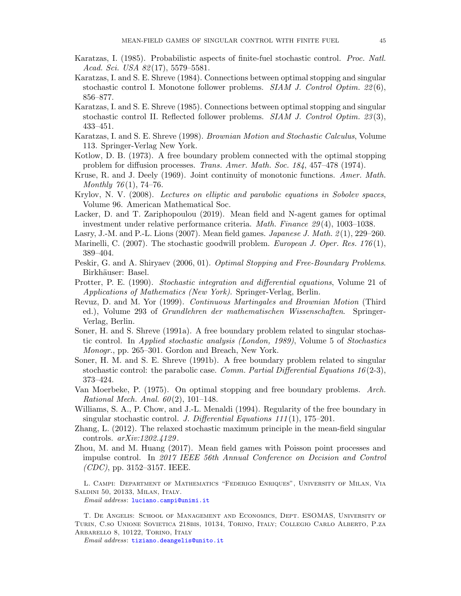- <span id="page-45-3"></span>Karatzas, I. (1985). Probabilistic aspects of finite-fuel stochastic control. Proc. Natl. Acad. Sci. USA 82(17), 5579–5581.
- <span id="page-45-5"></span>Karatzas, I. and S. E. Shreve (1984). Connections between optimal stopping and singular stochastic control I. Monotone follower problems.  $SIAM$  J. Control Optim. 22(6), 856–877.
- <span id="page-45-6"></span>Karatzas, I. and S. E. Shreve (1985). Connections between optimal stopping and singular stochastic control II. Reflected follower problems.  $SIAM J.$  Control Optim. 23(3), 433–451.
- <span id="page-45-8"></span>Karatzas, I. and S. E. Shreve (1998). Brownian Motion and Stochastic Calculus, Volume 113. Springer-Verlag New York.
- <span id="page-45-12"></span>Kotlow, D. B. (1973). A free boundary problem connected with the optimal stopping problem for diffusion processes. Trans. Amer. Math. Soc. 184, 457–478 (1974).
- <span id="page-45-10"></span>Kruse, R. and J. Deely (1969). Joint continuity of monotonic functions. Amer. Math. Monthly  $76(1)$ , 74–76.
- <span id="page-45-18"></span>Krylov, N. V. (2008). Lectures on elliptic and parabolic equations in Sobolev spaces, Volume 96. American Mathematical Soc.
- <span id="page-45-7"></span>Lacker, D. and T. Zariphopoulou (2019). Mean field and N-agent games for optimal investment under relative performance criteria. Math. Finance 29(4), 1003–1038.
- <span id="page-45-0"></span>Lasry, J.-M. and P.-L. Lions  $(2007)$ . Mean field games. *Japanese J. Math.*  $2(1)$ ,  $229-260$ .
- <span id="page-45-4"></span>Marinelli, C. (2007). The stochastic goodwill problem. *European J. Oper. Res.* 176(1), 389–404.
- <span id="page-45-9"></span>Peskir, G. and A. Shiryaev (2006, 01). Optimal Stopping and Free-Boundary Problems. Birkhäuser: Basel.
- <span id="page-45-16"></span>Protter, P. E. (1990). Stochastic integration and differential equations, Volume 21 of Applications of Mathematics (New York). Springer-Verlag, Berlin.
- <span id="page-45-17"></span>Revuz, D. and M. Yor (1999). Continuous Martingales and Brownian Motion (Third ed.), Volume 293 of Grundlehren der mathematischen Wissenschaften. Springer-Verlag, Berlin.
- <span id="page-45-14"></span>Soner, H. and S. Shreve (1991a). A free boundary problem related to singular stochastic control. In Applied stochastic analysis (London, 1989), Volume 5 of Stochastics Monogr., pp. 265–301. Gordon and Breach, New York.
- <span id="page-45-13"></span>Soner, H. M. and S. E. Shreve (1991b). A free boundary problem related to singular stochastic control: the parabolic case. *Comm. Partial Differential Equations 16* (2-3), 373–424.
- <span id="page-45-11"></span>Van Moerbeke, P. (1975). On optimal stopping and free boundary problems. Arch. Rational Mech. Anal.  $60(2)$ , 101–148.
- <span id="page-45-15"></span>Williams, S. A., P. Chow, and J.-L. Menaldi (1994). Regularity of the free boundary in singular stochastic control. J. Differential Equations  $111(1)$ , 175–201.
- <span id="page-45-1"></span>Zhang, L. (2012). The relaxed stochastic maximum principle in the mean-field singular controls. arXiv:1202.4129 .
- <span id="page-45-2"></span>Zhou, M. and M. Huang (2017). Mean field games with Poisson point processes and impulse control. In 2017 IEEE 56th Annual Conference on Decision and Control  $(CDC)$ , pp. 3152–3157. IEEE.

L. Campi: Department of Mathematics "Federigo Enriques", University of Milan, Via Saldini 50, 20133, Milan, Italy.

Email address: [luciano.campi@unimi.it](mailto:luciano.campi@unimi.it)

T. De Angelis: School of Management and Economics, Dept. ESOMAS, University of Turin, C.so Unione Sovietica 218bis, 10134, Torino, Italy; Collegio Carlo Alberto, P.za ARBARELLO 8, 10122, TORINO, ITALY

Email address: [tiziano.deangelis@unito.it](mailto:tiziano.deangelis@unito.it)